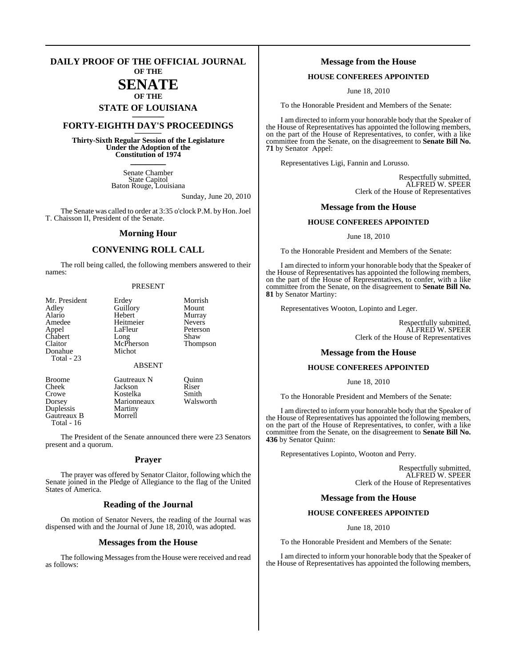# **DAILY PROOF OF THE OFFICIAL JOURNAL OF THE**

# **SENATE**

# **OF THE STATE OF LOUISIANA \_\_\_\_\_\_\_**

# **FORTY-EIGHTH DAY'S PROCEEDINGS \_\_\_\_\_\_\_**

**Thirty-Sixth Regular Session of the Legislature Under the Adoption of the Constitution of 1974 \_\_\_\_\_\_\_**

> Senate Chamber State Capitol Baton Rouge, Louisiana

> > Sunday, June 20, 2010

The Senate was called to order at 3:35 o'clock P.M. by Hon.Joel T. Chaisson II, President of the Senate.

# **Morning Hour**

# **CONVENING ROLL CALL**

The roll being called, the following members answered to their names:

# PRESENT

| Mr. President<br>Adley<br>Alario<br>Amedee<br>Appel<br>Chabert<br>Claitor<br>Donahue<br>Total - 23 | Erdey<br>Guillory<br>Hebert<br>Heitmeier<br>LaFleur<br>Long<br>McPherson<br>Michot<br><b>ABSENT</b> | Morrish<br>Mount<br>Murray<br><b>Nevers</b><br>Peterson<br>Shaw<br>Thompson |
|----------------------------------------------------------------------------------------------------|-----------------------------------------------------------------------------------------------------|-----------------------------------------------------------------------------|
|                                                                                                    |                                                                                                     |                                                                             |

Duplessis Martiny<br>Gautreaux B Morrell Gautreaux B Total - 16

Broome Gautreaux N Quinn<br>Cheek Jackson Riser Cheek Jackson Riser<br>Crowe Kostelka Smith Kostelka Dorsey Marionneaux Walsworth<br>
Duplessis Martiny

The President of the Senate announced there were 23 Senators present and a quorum.

# **Prayer**

The prayer was offered by Senator Claitor, following which the Senate joined in the Pledge of Allegiance to the flag of the United States of America.

# **Reading of the Journal**

On motion of Senator Nevers, the reading of the Journal was dispensed with and the Journal of June 18, 2010, was adopted.

# **Messages from the House**

The following Messages from the House were received and read as follows:

# **Message from the House**

# **HOUSE CONFEREES APPOINTED**

June 18, 2010

To the Honorable President and Members of the Senate:

I am directed to inform your honorable body that the Speaker of the House of Representatives has appointed the following members, on the part of the House of Representatives, to confer, with a like committee from the Senate, on the disagreement to **Senate Bill No. 71** by Senator Appel:

Representatives Ligi, Fannin and Lorusso.

Respectfully submitted, ALFRED W. SPEER Clerk of the House of Representatives

# **Message from the House**

# **HOUSE CONFEREES APPOINTED**

June 18, 2010

To the Honorable President and Members of the Senate:

I am directed to inform your honorable body that the Speaker of the House of Representatives has appointed the following members, on the part of the House of Representatives, to confer, with a like committee from the Senate, on the disagreement to **Senate Bill No. 81** by Senator Martiny:

Representatives Wooton, Lopinto and Leger.

Respectfully submitted, ALFRED W. SPEER Clerk of the House of Representatives

# **Message from the House**

# **HOUSE CONFEREES APPOINTED**

June 18, 2010

To the Honorable President and Members of the Senate:

I am directed to inform your honorable body that the Speaker of the House of Representatives has appointed the following members, on the part of the House of Representatives, to confer, with a like committee from the Senate, on the disagreement to **Senate Bill No. 436** by Senator Quinn:

Representatives Lopinto, Wooton and Perry.

Respectfully submitted, ALFRED W. SPEER Clerk of the House of Representatives

# **Message from the House**

# **HOUSE CONFEREES APPOINTED**

June 18, 2010

To the Honorable President and Members of the Senate:

I am directed to inform your honorable body that the Speaker of the House of Representatives has appointed the following members,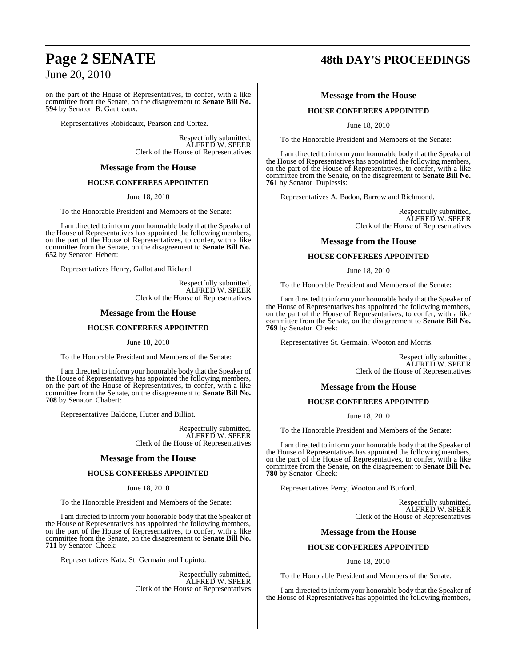on the part of the House of Representatives, to confer, with a like committee from the Senate, on the disagreement to **Senate Bill No. 594** by Senator B. Gautreaux:

Representatives Robideaux, Pearson and Cortez.

Respectfully submitted, ALFRED W. SPEER Clerk of the House of Representatives

# **Message from the House**

# **HOUSE CONFEREES APPOINTED**

June 18, 2010

To the Honorable President and Members of the Senate:

I am directed to inform your honorable body that the Speaker of the House of Representatives has appointed the following members, on the part of the House of Representatives, to confer, with a like committee from the Senate, on the disagreement to **Senate Bill No. 652** by Senator Hebert:

Representatives Henry, Gallot and Richard.

Respectfully submitted, ALFRED W. SPEER Clerk of the House of Representatives

# **Message from the House**

# **HOUSE CONFEREES APPOINTED**

June 18, 2010

To the Honorable President and Members of the Senate:

I am directed to inform your honorable body that the Speaker of the House of Representatives has appointed the following members, on the part of the House of Representatives, to confer, with a like committee from the Senate, on the disagreement to **Senate Bill No. 708** by Senator Chabert:

Representatives Baldone, Hutter and Billiot.

Respectfully submitted, ALFRED W. SPEER Clerk of the House of Representatives

# **Message from the House**

# **HOUSE CONFEREES APPOINTED**

# June 18, 2010

To the Honorable President and Members of the Senate:

I am directed to inform your honorable body that the Speaker of the House of Representatives has appointed the following members, on the part of the House of Representatives, to confer, with a like committee from the Senate, on the disagreement to **Senate Bill No. 711** by Senator Cheek:

Representatives Katz, St. Germain and Lopinto.

Respectfully submitted, ALFRED W. SPEER Clerk of the House of Representatives

# **Page 2 SENATE 48th DAY'S PROCEEDINGS**

# **Message from the House**

# **HOUSE CONFEREES APPOINTED**

June 18, 2010

To the Honorable President and Members of the Senate:

I am directed to inform your honorable body that the Speaker of the House of Representatives has appointed the following members, on the part of the House of Representatives, to confer, with a like committee from the Senate, on the disagreement to **Senate Bill No. 761** by Senator Duplessis:

Representatives A. Badon, Barrow and Richmond.

Respectfully submitted, ALFRED W. SPEER Clerk of the House of Representatives

# **Message from the House**

# **HOUSE CONFEREES APPOINTED**

June 18, 2010

To the Honorable President and Members of the Senate:

I am directed to inform your honorable body that the Speaker of the House of Representatives has appointed the following members, on the part of the House of Representatives, to confer, with a like committee from the Senate, on the disagreement to **Senate Bill No. 769** by Senator Cheek:

Representatives St. Germain, Wooton and Morris.

Respectfully submitted, ALFRED W. SPEER Clerk of the House of Representatives

# **Message from the House**

# **HOUSE CONFEREES APPOINTED**

June 18, 2010

To the Honorable President and Members of the Senate:

I am directed to inform your honorable body that the Speaker of the House of Representatives has appointed the following members, on the part of the House of Representatives, to confer, with a like committee from the Senate, on the disagreement to **Senate Bill No. 780** by Senator Cheek:

Representatives Perry, Wooton and Burford.

Respectfully submitted, ALFRED W. SPEER Clerk of the House of Representatives

# **Message from the House**

# **HOUSE CONFEREES APPOINTED**

June 18, 2010

To the Honorable President and Members of the Senate:

I am directed to inform your honorable body that the Speaker of the House of Representatives has appointed the following members,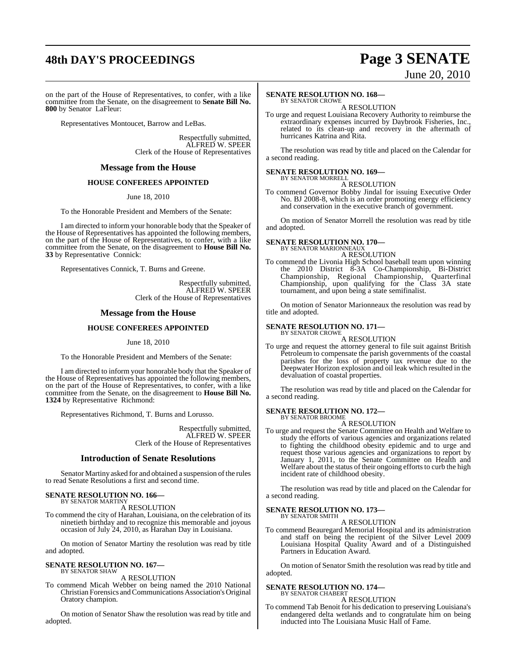# **48th DAY'S PROCEEDINGS Page 3 SENATE**

# June 20, 2010

on the part of the House of Representatives, to confer, with a like committee from the Senate, on the disagreement to **Senate Bill No. 800** by Senator LaFleur:

Representatives Montoucet, Barrow and LeBas.

Respectfully submitted, ALFRED W. SPEER Clerk of the House of Representatives

# **Message from the House**

# **HOUSE CONFEREES APPOINTED**

June 18, 2010

To the Honorable President and Members of the Senate:

I am directed to inform your honorable body that the Speaker of the House of Representatives has appointed the following members, on the part of the House of Representatives, to confer, with a like committee from the Senate, on the disagreement to **House Bill No. 33** by Representative Connick:

Representatives Connick, T. Burns and Greene.

Respectfully submitted, ALFRED W. SPEER Clerk of the House of Representatives

# **Message from the House**

# **HOUSE CONFEREES APPOINTED**

June 18, 2010

To the Honorable President and Members of the Senate:

I am directed to inform your honorable body that the Speaker of the House of Representatives has appointed the following members, on the part of the House of Representatives, to confer, with a like committee from the Senate, on the disagreement to **House Bill No. 1324** by Representative Richmond:

Representatives Richmond, T. Burns and Lorusso.

Respectfully submitted, ALFRED W. SPEER Clerk of the House of Representatives

# **Introduction of Senate Resolutions**

Senator Martiny asked for and obtained a suspension of the rules to read Senate Resolutions a first and second time.

#### **SENATE RESOLUTION NO. 166—** BY SENATOR MARTINY

A RESOLUTION

To commend the city of Harahan, Louisiana, on the celebration of its ninetieth birthday and to recognize this memorable and joyous occasion of July 24, 2010, as Harahan Day in Louisiana.

On motion of Senator Martiny the resolution was read by title and adopted.

#### **SENATE RESOLUTION NO. 167—** BY SENATOR SHAW

A RESOLUTION

To commend Micah Webber on being named the 2010 National Christian Forensics and Communications Association's Original Oratory champion.

On motion of Senator Shaw the resolution was read by title and adopted.

# **SENATE RESOLUTION NO. 168—**

BY SENATOR CROWE A RESOLUTION

To urge and request Louisiana Recovery Authority to reimburse the extraordinary expenses incurred by Daybrook Fisheries, Inc., related to its clean-up and recovery in the aftermath of hurricanes Katrina and Rita.

The resolution was read by title and placed on the Calendar for a second reading.

# **SENATE RESOLUTION NO. 169—** BY SENATOR MORRELL

A RESOLUTION

To commend Governor Bobby Jindal for issuing Executive Order No. BJ 2008-8, which is an order promoting energy efficiency and conservation in the executive branch of government.

On motion of Senator Morrell the resolution was read by title and adopted.

# **SENATE RESOLUTION NO. 170—**

BY SENATOR MARIONNEAUX A RESOLUTION

To commend the Livonia High School baseball team upon winning the 2010 District 8-3A Co-Championship, Bi-District Championship, Regional Championship, Quarterfinal Championship, upon qualifying for the Class 3A state tournament, and upon being a state semifinalist.

On motion of Senator Marionneaux the resolution was read by title and adopted.

#### **SENATE RESOLUTION NO. 171—** BY SENATOR CROWE

A RESOLUTION

To urge and request the attorney general to file suit against British Petroleum to compensate the parish governments of the coastal parishes for the loss of property tax revenue due to the Deepwater Horizon explosion and oil leak which resulted in the devaluation of coastal properties.

The resolution was read by title and placed on the Calendar for a second reading.

#### **SENATE RESOLUTION NO. 172—** BY SENATOR BROOME

A RESOLUTION

To urge and request the Senate Committee on Health and Welfare to study the efforts of various agencies and organizations related to fighting the childhood obesity epidemic and to urge and request those various agencies and organizations to report by January 1, 2011, to the Senate Committee on Health and Welfare about the status of their ongoing efforts to curb the high incident rate of childhood obesity.

The resolution was read by title and placed on the Calendar for a second reading.

#### **SENATE RESOLUTION NO. 173—** BY SENATOR SMITH

A RESOLUTION

To commend Beauregard Memorial Hospital and its administration and staff on being the recipient of the Silver Level 2009 Louisiana Hospital Quality Award and of a Distinguished Partners in Education Award.

On motion of Senator Smith the resolution was read by title and adopted.

#### **SENATE RESOLUTION NO. 174—** BY SENATOR CHABERT

# A RESOLUTION

To commend Tab Benoit for his dedication to preserving Louisiana's endangered delta wetlands and to congratulate him on being inducted into The Louisiana Music Hall of Fame.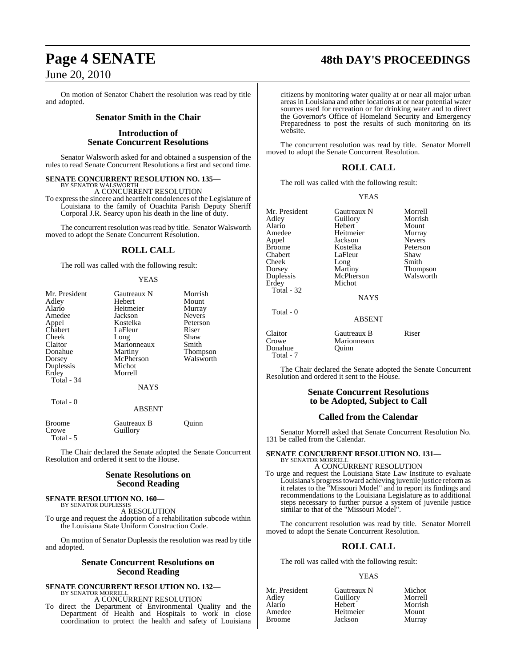On motion of Senator Chabert the resolution was read by title and adopted.

# **Senator Smith in the Chair**

# **Introduction of Senate Concurrent Resolutions**

Senator Walsworth asked for and obtained a suspension of the rules to read Senate Concurrent Resolutions a first and second time.

**SENATE CONCURRENT RESOLUTION NO. 135—** BY SENATOR WALSWORTH

A CONCURRENT RESOLUTION

To expressthe sincere and heartfelt condolences of the Legislature of Louisiana to the family of Ouachita Parish Deputy Sheriff Corporal J.R. Searcy upon his death in the line of duty.

The concurrent resolution was read by title. Senator Walsworth moved to adopt the Senate Concurrent Resolution.

# **ROLL CALL**

The roll was called with the following result:

# YEAS

| Mr. President | Gautreaux N   | Morrish         |
|---------------|---------------|-----------------|
| Adley         | <b>Hebert</b> | Mount           |
| Alario        | Heitmeier     | Murray          |
| Amedee        | Jackson       | <b>Nevers</b>   |
| Appel         | Kostelka      | Peterson        |
| Chabert       | LaFleur       | Riser           |
| Cheek         | Long          | Shaw            |
| Claitor       | Marionneaux   | Smith           |
| Donahue       | Martiny       | <b>Thompson</b> |
| Dorsey        | McPherson     | Walsworth       |
| Duplessis     | Michot        |                 |
| Erdey         | Morrell       |                 |
| Total - 34    |               |                 |
|               | <b>NAYS</b>   |                 |
| Total - 0     |               |                 |
|               | <b>ABSENT</b> |                 |

| Broome    | Gautreaux B | Ouinn |  |
|-----------|-------------|-------|--|
| Crowe     | Guillory    |       |  |
| Total - 5 |             |       |  |

The Chair declared the Senate adopted the Senate Concurrent Resolution and ordered it sent to the House.

# **Senate Resolutions on Second Reading**

# **SENATE RESOLUTION NO. 160—** BY SENATOR DUPLESSIS

A RESOLUTION To urge and request the adoption of a rehabilitation subcode within the Louisiana State Uniform Construction Code.

On motion of Senator Duplessis the resolution was read by title and adopted.

# **Senate Concurrent Resolutions on Second Reading**

# **SENATE CONCURRENT RESOLUTION NO. 132—** BY SENATOR MORRELL A CONCURRENT RESOLUTION

To direct the Department of Environmental Quality and the Department of Health and Hospitals to work in close coordination to protect the health and safety of Louisiana

citizens by monitoring water quality at or near all major urban areas in Louisiana and other locations at or near potential water sources used for recreation or for drinking water and to direct the Governor's Office of Homeland Security and Emergency Preparedness to post the results of such monitoring on its website.

The concurrent resolution was read by title. Senator Morrell moved to adopt the Senate Concurrent Resolution.

# **ROLL CALL**

The roll was called with the following result:

# YEAS

| Mr. President | Gautreaux N   | Morrell       |
|---------------|---------------|---------------|
| Adley         | Guillory      | Morrish       |
| Alario        | Hebert        | Mount         |
| Amedee        | Heitmeier     | Murray        |
| Appel         | Jackson       | <b>Nevers</b> |
| <b>Broome</b> | Kostelka      | Peterson      |
| Chabert       | LaFleur       | Shaw          |
| Cheek         |               | Smith         |
|               | Long          |               |
| Dorsey        | Martiny       | Thompson      |
| Duplessis     | McPherson     | Walsworth     |
| Erdey         | Michot        |               |
| Total - 32    |               |               |
|               | <b>NAYS</b>   |               |
| Total - 0     |               |               |
|               | <b>ABSENT</b> |               |
| Claitor       | Gautreaux B   | Riser         |
| Crowe         | Marionneaux   |               |
| Donahue       | Ouinn)        |               |

Total - 7

The Chair declared the Senate adopted the Senate Concurrent Resolution and ordered it sent to the House.

# **Senate Concurrent Resolutions to be Adopted, Subject to Call**

# **Called from the Calendar**

Senator Morrell asked that Senate Concurrent Resolution No. 131 be called from the Calendar.

# **SENATE CONCURRENT RESOLUTION NO. 131—** BY SENATOR MORRELL

A CONCURRENT RESOLUTION To urge and request the Louisiana State Law Institute to evaluate Louisiana's progress toward achieving juvenile justice reform as it relates to the "Missouri Model" and to report its findings and recommendations to the Louisiana Legislature as to additional steps necessary to further pursue a system of juvenile justice similar to that of the "Missouri Model".

The concurrent resolution was read by title. Senator Morrell moved to adopt the Senate Concurrent Resolution.

# **ROLL CALL**

The roll was called with the following result:

# YEAS

| Mr. President | Gautreaux N | Michot  |
|---------------|-------------|---------|
| Adlev         | Guillory    | Morrell |
| Alario        | Hebert      | Morrish |
| Amedee        | Heitmeier   | Mount   |
| Broome        | Jackson     | Murray  |

**Page 4 SENATE 48th DAY'S PROCEEDINGS**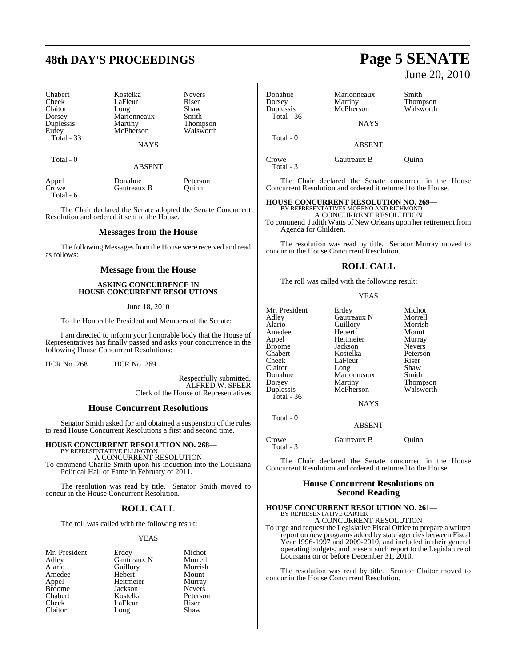# **48th DAY'S PROCEEDINGS Page 5 SENATE**

| Chabert           | Kostelka    | <b>Nevers</b>   |
|-------------------|-------------|-----------------|
| Cheek             | LaFleur     | Riser           |
| Claitor           | Long        | Shaw            |
| Dorsey            | Marionneaux | Smith           |
| Duplessis         | Martiny     | <b>Thompson</b> |
| Erdey             | McPherson   | Walsworth       |
| <b>Total - 33</b> |             |                 |
|                   | <b>NAYS</b> |                 |
| Total - 0         |             |                 |

ABSENT

| Appel     | Donahue     | Peterson |
|-----------|-------------|----------|
| Crowe     | Gautreaux B | Ouinn    |
| Total - 6 |             |          |

The Chair declared the Senate adopted the Senate Concurrent Resolution and ordered it sent to the House.

# **Messages from the House**

The following Messages from the House were received and read as follows:

# **Message from the House**

# **ASKING CONCURRENCE IN HOUSE CONCURRENT RESOLUTIONS**

June 18, 2010

To the Honorable President and Members of the Senate:

I am directed to inform your honorable body that the House of Representatives has finally passed and asks your concurrence in the following House Concurrent Resolutions:

HCR No. 268 HCR No. 269

Respectfully submitted, ALFRED W. SPEER Clerk of the House of Representatives

# **House Concurrent Resolutions**

Senator Smith asked for and obtained a suspension of the rules to read House Concurrent Resolutions a first and second time.

# **HOUSE CONCURRENT RESOLUTION NO. 268—** BY REPRESENTATIVE ELLINGTON

A CONCURRENT RESOLUTION To commend Charlie Smith upon his induction into the Louisiana

Political Hall of Fame in February of 2011.

The resolution was read by title. Senator Smith moved to concur in the House Concurrent Resolution.

# **ROLL CALL**

The roll was called with the following result:

# YEAS

| Mr. President | Erdey       | Michot        |
|---------------|-------------|---------------|
| Adley         | Gautreaux N | Morrell       |
| Alario        | Guillory    | Morrish       |
| Amedee        | Hebert      | Mount         |
| Appel         | Heitmeier   | Murray        |
| <b>Broome</b> | Jackson     | <b>Nevers</b> |
| Chabert       | Kostelka    | Peterson      |
| Cheek         | LaFleur     | Riser         |
| Claitor       | Long        | Shaw          |

# Donahue Marionneaux Smith<br>
Dorsey Martiny Thom Dorsey Martiny Thompson McPherson Total - 36 **NAYS**  Total - 0 ABSENT

Crowe Gautreaux B Quinn Total - 3

The Chair declared the Senate concurred in the House Concurrent Resolution and ordered it returned to the House.

# **HOUSE CONCURRENT RESOLUTION NO. 269—**

BY REPRESENTATIVES MORENO AND RICHMOND A CONCURRENT RESOLUTION To commend Judith Watts of New Orleans upon her retirement from

Agenda for Children.

The resolution was read by title. Senator Murray moved to concur in the House Concurrent Resolution.

# **ROLL CALL**

The roll was called with the following result:

### YEAS

| Mr. President | Erdey         | Michot        |
|---------------|---------------|---------------|
| Adley         | Gautreaux N   | Morrell       |
| Alario        | Guillory      | Morrish       |
| Amedee        | Hebert        | Mount         |
| Appel         | Heitmeier     | Murray        |
| Broome        | Jackson       | <b>Nevers</b> |
| Chabert       | Kostelka      | Peterson      |
| Cheek         | LaFleur       | Riser         |
| Claitor       | Long          | Shaw          |
| Donahue       | Marionneaux   | Smith         |
| Dorsey        | Martiny       | Thompson      |
| Duplessis     | McPherson     | Walsworth     |
| Total - 36    |               |               |
|               | <b>NAYS</b>   |               |
| Total - 0     |               |               |
|               | <b>ABSENT</b> |               |
|               |               |               |

Crowe Gautreaux B Quinn Total - 3

The Chair declared the Senate concurred in the House Concurrent Resolution and ordered it returned to the House.

# **House Concurrent Resolutions on Second Reading**

# **HOUSE CONCURRENT RESOLUTION NO. 261—** BY REPRESENTATIVE CARTER A CONCURRENT RESOLUTION

To urge and request the Legislative Fiscal Office to prepare a written report on new programs added by state agencies between Fiscal Year 1996-1997 and 2009-2010, and included in their general operating budgets, and present such report to the Legislature of Louisiana on or before December 31, 2010.

The resolution was read by title. Senator Claitor moved to concur in the House Concurrent Resolution.

# June 20, 2010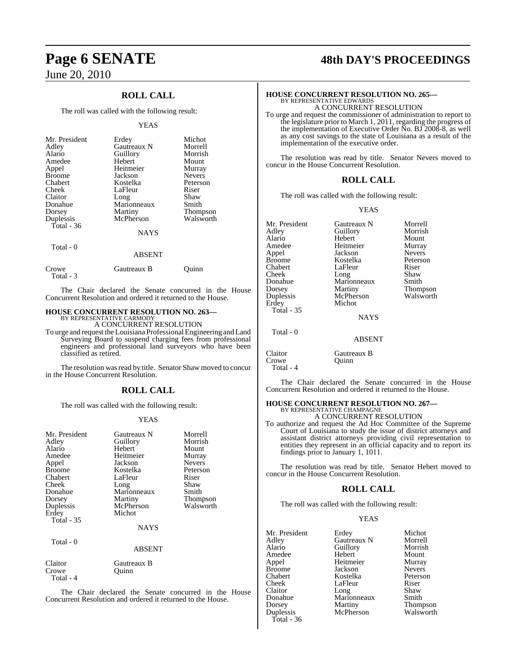# **ROLL CALL**

The roll was called with the following result:

# YEAS

| Mr. President<br>Adley<br>Alario<br>Amedee<br>Appel<br><b>Broome</b><br>Chabert<br>Cheek<br>Claitor<br>Donahue<br>Dorsey<br>Duplessis<br>Total - $36$ | Erdey<br>Gautreaux N<br>Guillory<br>Hebert<br>Heitmeier<br>Jackson<br>Kostelka<br>LaFleur<br>Long<br>Marionneaux<br>Martiny<br>McPherson | Michot<br>Morrell<br>Morrish<br>Mount<br>Murray<br><b>Nevers</b><br>Peterson<br>Riser<br>Shaw<br>Smith<br><b>Thompson</b><br>Walsworth |
|-------------------------------------------------------------------------------------------------------------------------------------------------------|------------------------------------------------------------------------------------------------------------------------------------------|----------------------------------------------------------------------------------------------------------------------------------------|
|                                                                                                                                                       | <b>NAYS</b>                                                                                                                              |                                                                                                                                        |
| Total - 0                                                                                                                                             | <b>ABSENT</b>                                                                                                                            |                                                                                                                                        |

| Gautreaux B | Ouinn |
|-------------|-------|
|             |       |

The Chair declared the Senate concurred in the House Concurrent Resolution and ordered it returned to the House.

# **HOUSE CONCURRENT RESOLUTION NO. 263—** BY REPRESENTATIVE CARMODY

A CONCURRENT RESOLUTION

To urge and request theLouisiana ProfessionalEngineering and Land Surveying Board to suspend charging fees from professional engineers and professional land surveyors who have been classified as retired.

The resolution was read by title. Senator Shaw moved to concur in the House Concurrent Resolution.

# **ROLL CALL**

The roll was called with the following result:

# YEAS

| Mr. President<br>Adley<br>Alario<br>Amedee<br>Appel<br><b>Broome</b><br>Chabert<br>Cheek<br>Donahue<br>Dorsey<br>Duplessis<br>Erdey<br><b>Total - 35</b><br>Total - 0 | Gautreaux N<br>Guillory<br>Hebert<br>Heitmeier<br>Jackson<br>Kostelka<br>LaFleur<br>Long<br>Marionneaux<br>Martiny<br>McPherson<br>Michot<br>NAYS | Morrell<br>Morrish<br>Mount<br>Murray<br><b>Nevers</b><br>Peterson<br>Riser<br>Shaw<br>Smith<br>Thompson<br>Walsworth |
|-----------------------------------------------------------------------------------------------------------------------------------------------------------------------|---------------------------------------------------------------------------------------------------------------------------------------------------|-----------------------------------------------------------------------------------------------------------------------|
|                                                                                                                                                                       | <b>ABSENT</b>                                                                                                                                     |                                                                                                                       |
| Claitor                                                                                                                                                               | Gautreaux B                                                                                                                                       |                                                                                                                       |

Crowe Quinn Total - 4

The Chair declared the Senate concurred in the House Concurrent Resolution and ordered it returned to the House.

# **Page 6 SENATE 48th DAY'S PROCEEDINGS**

# **HOUSE CONCURRENT RESOLUTION NO. 265—** BY REPRESENTATIVE EDWARDS

A CONCURRENT RESOLUTION To urge and request the commissioner of administration to report to the legislature prior to March 1, 2011, regarding the progress of the implementation of Executive Order No. BJ 2008-8, as well as any cost savings to the state of Louisiana as a result of the implementation of the executive order.

The resolution was read by title. Senator Nevers moved to concur in the House Concurrent Resolution.

# **ROLL CALL**

The roll was called with the following result:

# YEAS

| Mr. President<br>Adley<br>Alario<br>Amedee<br>Appel<br><b>Broome</b><br>Chabert<br>Cheek<br>Donahue<br>Dorsey<br>Duplessis<br>Erdey | Gautreaux N<br>Guillory<br>Hebert<br>Heitmeier<br>Jackson<br>Kostelka<br>LaFleur<br>Long<br>Marionneaux<br>Martiny<br>McPherson<br>Michot | Morrell<br>Morrish<br>Mount<br>Murray<br><b>Nevers</b><br>Peterson<br>Riser<br>Shaw<br>Smith<br>Thompson<br>Walsworth |
|-------------------------------------------------------------------------------------------------------------------------------------|-------------------------------------------------------------------------------------------------------------------------------------------|-----------------------------------------------------------------------------------------------------------------------|
| <b>Total - 35</b>                                                                                                                   | NAYS                                                                                                                                      |                                                                                                                       |
| Total - 0                                                                                                                           | <b>ABSENT</b>                                                                                                                             |                                                                                                                       |
| Claitor<br>Crowe<br>Total - 4                                                                                                       | Gautreaux B<br>Ouinn                                                                                                                      |                                                                                                                       |

The Chair declared the Senate concurred in the House Concurrent Resolution and ordered it returned to the House.

# **HOUSE CONCURRENT RESOLUTION NO. 267—**

BY REPRESENTATIVE CHAMPAGNE A CONCURRENT RESOLUTION

To authorize and request the Ad Hoc Committee of the Supreme Court of Louisiana to study the issue of district attorneys and assistant district attorneys providing civil representation to entities they represent in an official capacity and to report its findings prior to January 1, 1011.

The resolution was read by title. Senator Hebert moved to concur in the House Concurrent Resolution.

# **ROLL CALL**

The roll was called with the following result:

# YEAS

| Mr. President | Erdey       | Michot        |
|---------------|-------------|---------------|
| Adley         | Gautreaux N | Morrell       |
| Alario        | Guillory    | Morrish       |
| Amedee        | Hebert      | Mount         |
| Appel         | Heitmeier   | Murray        |
| Broome        | Jackson     | <b>Nevers</b> |
| Chabert       | Kostelka    | Peterson      |
| Cheek         | LaFleur     | Riser         |
| Claitor       | Long        | Shaw          |
| Donahue       | Marionneaux | Smith         |
| Dorsey        | Martiny     | Thompson      |
| Duplessis     | McPherson   | Walsworth     |
| Total - 36    |             |               |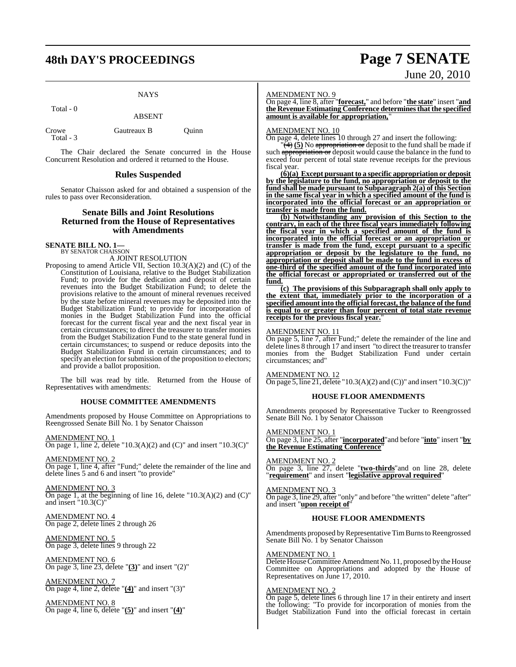# **48th DAY'S PROCEEDINGS Page 7 SENATE**

# **NAYS**

Total - 0

ABSENT

| Crowe     | Gautreaux B | Ouinn |
|-----------|-------------|-------|
| Total - 3 |             |       |

The Chair declared the Senate concurred in the House Concurrent Resolution and ordered it returned to the House.

# **Rules Suspended**

Senator Chaisson asked for and obtained a suspension of the rules to pass over Reconsideration.

# **Senate Bills and Joint Resolutions Returned from the House of Representatives with Amendments**

**SENATE BILL NO. 1—**<br>BY SENATOR CHAISSON

A JOINT RESOLUTION

Proposing to amend Article VII, Section 10.3(A)(2) and (C) of the Constitution of Louisiana, relative to the Budget Stabilization Fund; to provide for the dedication and deposit of certain revenues into the Budget Stabilization Fund; to delete the provisions relative to the amount of mineral revenues received by the state before mineral revenues may be deposited into the Budget Stabilization Fund; to provide for incorporation of monies in the Budget Stabilization Fund into the official forecast for the current fiscal year and the next fiscal year in certain circumstances; to direct the treasurer to transfer monies from the Budget Stabilization Fund to the state general fund in certain circumstances; to suspend or reduce deposits into the Budget Stabilization Fund in certain circumstances; and to specify an election for submission of the proposition to electors; and provide a ballot proposition.

The bill was read by title. Returned from the House of Representatives with amendments:

# **HOUSE COMMITTEE AMENDMENTS**

Amendments proposed by House Committee on Appropriations to Reengrossed Senate Bill No. 1 by Senator Chaisson

AMENDMENT NO. 1 On page 1, line 2, delete "10.3(A)(2) and (C)" and insert "10.3(C)"

AMENDMENT NO. 2 On page 1, line 4, after "Fund;" delete the remainder of the line and delete lines 5 and 6 and insert "to provide"

AMENDMENT NO. 3 On page 1, at the beginning of line 16, delete " $10.3(A)(2)$  and  $(C)$ " and insert "10.3(C)"

AMENDMENT NO. 4 On page 2, delete lines 2 through 26

AMENDMENT NO. 5 On page 3, delete lines 9 through 22

AMENDMENT NO. 6 On page 3, line 23, delete "**(3)**" and insert "(2)"

AMENDMENT NO. 7 On page 4, line 2, delete "**(4)**" and insert "(3)"

AMENDMENT NO. 8 On page 4, line 6, delete "**(5)**" and insert "**(4)**"

# AMENDMENT NO. 9

On page 4, line 8, after "**forecast,**" and before "**the state**" insert "**and the Revenue Estimating Conference determinesthat the specified amount is available for appropriation,**"

# AMENDMENT NO. 10

On page 4, delete lines 10 through 27 and insert the following:

 $\overline{(*)}$  (5) No appropriation or deposit to the fund shall be made if such appropriation or deposit would cause the balance in the fund to exceed four percent of total state revenue receipts for the previous fiscal year.

**(6)(a) Except pursuant to a specific appropriation or deposit by the legislature to the fund, no appropriation or deposit to the fund shall be made pursuant to Subparagraph 2(a) of this Section in the same fiscal year in which a specified amount of the fund is incorporated into the official forecast or an appropriation or transfer is made from the fund.**

**(b) Notwithstanding any provision of this Section to the contrary, in each of the three fiscal years immediately following the fiscal year in which a specified amount of the fund is incorporated into the official forecast or an appropriation or transfer is made from the fund, except pursuant to a specific appropriation or deposit by the legislature to the fund, no appropriation or deposit shall be made to the fund in excess of one-third of the specified amount of the fund incorporated into the official forecast or appropriated or transferred out of the fund.**

**(c) The provisions of this Subparagraph shall only apply to the extent that, immediately prior to the incorporation of a specified amount into the official forecast, the balance of the fund is equal to or greater than four percent of total state revenue receipts for the previous fiscal year.**"

# AMENDMENT NO. 11

On page 5, line 7, after Fund;" delete the remainder of the line and delete lines 8 through 17 and insert "to direct the treasurer to transfer monies from the Budget Stabilization Fund under certain circumstances; and"

AMENDMENT NO. 12

On page 5, line 21, delete "10.3(A)(2) and (C))" and insert "10.3(C))"

# **HOUSE FLOOR AMENDMENTS**

Amendments proposed by Representative Tucker to Reengrossed Senate Bill No. 1 by Senator Chaisson

# AMENDMENT NO. 1

On page 3, line 25, after "**incorporated**"and before "**into**" insert "**by the Revenue Estimating Conference** 

AMENDMENT NO. 2

On page 3, line 27, delete "**two-thirds**"and on line 28, delete "**requirement**" and insert "**legislative approval required**"

AMENDMENT NO. 3 On page 3, line 29, after "only" and before "the written" delete "after" and insert "**upon receipt of**"

# **HOUSE FLOOR AMENDMENTS**

Amendments proposed by Representative Tim Burns to Reengrossed Senate Bill No. 1 by Senator Chaisson

# AMENDMENT NO. 1

Delete House Committee Amendment No. 11, proposed by the House Committee on Appropriations and adopted by the House of Representatives on June 17, 2010.

### AMENDMENT NO. 2

On page 5, delete lines 6 through line 17 in their entirety and insert the following: "To provide for incorporation of monies from the Budget Stabilization Fund into the official forecast in certain

# June 20, 2010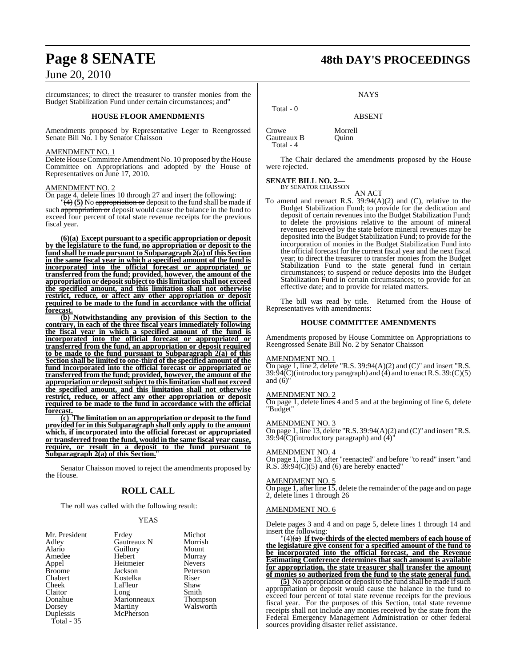circumstances; to direct the treasurer to transfer monies from the Budget Stabilization Fund under certain circumstances; and"

# **HOUSE FLOOR AMENDMENTS**

Amendments proposed by Representative Leger to Reengrossed Senate Bill No. 1 by Senator Chaisson

# AMENDMENT NO. 1

Delete House Committee Amendment No. 10 proposed by the House Committee on Appropriations and adopted by the House of Representatives on June 17, 2010.

# AMENDMENT NO. 2

On page 4, delete lines 10 through 27 and insert the following:

 $\left(\frac{4}{2}\right)$  (5) No appropriation or deposit to the fund shall be made if such appropriation or deposit would cause the balance in the fund to exceed four percent of total state revenue receipts for the previous fiscal year.

**(6)(a) Except pursuant to a specific appropriation or deposit by the legislature to the fund, no appropriation or deposit to the fund shall be made pursuant to Subparagraph 2(a) of this Section in the same fiscal year in which a specified amount of the fund is incorporated into the official forecast or appropriated or transferred from the fund; provided, however, the amount of the appropriation or depositsubjectto thislimitation shall not exceed the specified amount, and this limitation shall not otherwise restrict, reduce, or affect any other appropriation or deposit required to be made to the fund in accordance with the official forecast.**

**(b) Notwithstanding any provision of this Section to the contrary, in each of the three fiscal years immediately following the fiscal year in which a specified amount of the fund is incorporated into the official forecast or appropriated or transferred from the fund, an appropriation or deposit required to be made to the fund pursuant to Subparagraph 2(a) of this Section shall be limited to one-third of the specified amount of the fund incorporated into the official forecast or appropriated or transferred from the fund; provided, however, the amount of the appropriation or depositsubjectto thislimitation shall not exceed the specified amount, and this limitation shall not otherwise restrict, reduce, or affect any other appropriation or deposit required to be made to the fund in accordance with the official forecast.**

**(c) The limitation on an appropriation or deposit to the fund provided for in this Subparagraph shall only apply to the amount which, if incorporated into the official forecast or appropriated or transferred from the fund, would in the same fiscal year cause, require, or result in a deposit to the fund pursuant to Subparagraph 2(a) of this Section.**"

Senator Chaisson moved to reject the amendments proposed by the House.

# **ROLL CALL**

The roll was called with the following result:

# YEAS

| Mr. President           | Erdey<br>Gautreaux N | Michot<br>Morrish |
|-------------------------|----------------------|-------------------|
| Adley                   |                      |                   |
| Alario                  | Guillory             | Mount             |
| Amedee                  | Hebert               | Murray            |
| Appel                   | Heitmeier            | <b>Nevers</b>     |
| <b>Broome</b>           | Jackson              | Peterson          |
| Chabert                 | Kostelka             | Riser             |
| Cheek                   | LaFleur              | Shaw              |
| Claitor                 | Long                 | Smith             |
| Donahue                 | Marionneaux          | Thompson          |
| Dorsey                  | Martiny              | Walsworth         |
| Duplessis<br>Total - 35 | McPherson            |                   |
|                         |                      |                   |

# **Page 8 SENATE 48th DAY'S PROCEEDINGS**

**NAYS** 

ABSENT

Crowe Morrell<br>
Gautreaux B Ouinn Gautreaux B Total - 4

Total - 0

The Chair declared the amendments proposed by the House were rejected.

#### **SENATE BILL NO. 2—** BY SENATOR CHAISSON

AN ACT

To amend and reenact R.S. 39:94(A)(2) and (C), relative to the Budget Stabilization Fund; to provide for the dedication and deposit of certain revenues into the Budget Stabilization Fund; to delete the provisions relative to the amount of mineral revenues received by the state before mineral revenues may be deposited into the Budget Stabilization Fund; to provide for the incorporation of monies in the Budget Stabilization Fund into the official forecast for the current fiscal year and the next fiscal year; to direct the treasurer to transfer monies from the Budget Stabilization Fund to the state general fund in certain circumstances; to suspend or reduce deposits into the Budget Stabilization Fund in certain circumstances; to provide for an effective date; and to provide for related matters.

The bill was read by title. Returned from the House of Representatives with amendments:

# **HOUSE COMMITTEE AMENDMENTS**

Amendments proposed by House Committee on Appropriations to Reengrossed Senate Bill No. 2 by Senator Chaisson

# AMENDMENT NO. 1

On page 1, line 2, delete "R.S.  $39:94(A)(2)$  and (C)" and insert "R.S. 39:94(C)(introductory paragraph) and (4) and to enact R.S. 39:(C)(5) and  $(6)$ "

# AMENDMENT NO. 2

On page 1, delete lines 4 and 5 and at the beginning of line 6, delete "Budget"

# AMENDMENT NO. 3

On page 1, line 13, delete "R.S. 39:94(A)(2) and (C)" and insert "R.S.  $39:94(C)$ (introductory paragraph) and  $(4)$ '

# AMENDMENT NO. 4

On page 1, line 13, after "reenacted" and before "to read" insert "and R.S.  $39:94(C)(5)$  and (6) are hereby enacted"

# AMENDMENT NO. 5

On page 1, after line 15, delete the remainder of the page and on page 2, delete lines 1 through 26

# AMENDMENT NO. 6

Delete pages 3 and 4 and on page 5, delete lines 1 through 14 and insert the following:

 $\textbf{T}(4)(a)$  **If two-thirds of the elected members of each house of the legislature give consent for a specified amount of the fund to be incorporated into the official forecast, and the Revenue Estimating Conference determines that such amount is available for appropriation, the state treasurer shall transfer the amount of monies so authorized from the fund to the state general fund.**

**(5)** No appropriation or deposit to the fund shall be made if such appropriation or deposit would cause the balance in the fund to exceed four percent of total state revenue receipts for the previous fiscal year. For the purposes of this Section, total state revenue receipts shall not include any monies received by the state from the Federal Emergency Management Administration or other federal sources providing disaster relief assistance.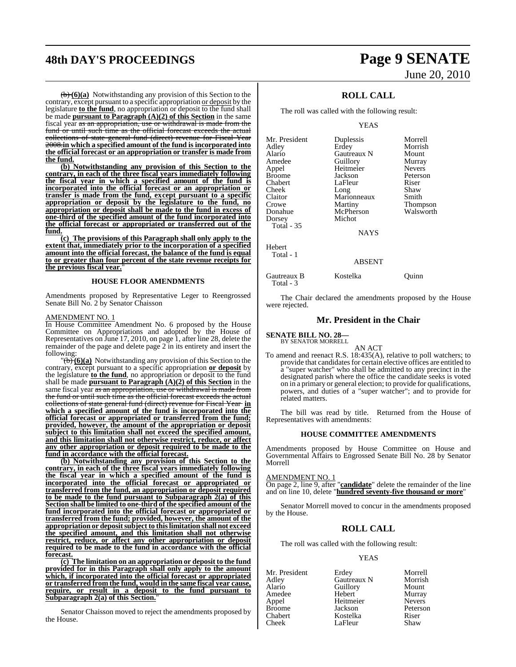# **48th DAY'S PROCEEDINGS Page 9 SENATE**

(b) **(6)(a)** Notwithstanding any provision of this Section to the contrary, except pursuant to a specific appropriation or deposit by the legislature **to the fund**, no appropriation or deposit to the fund shall be made **pursuant** to **Paragraph**  $(A)(2)$  of this Section in the same fiscal year as an appropriation, use or withdrawal is made from the fund or until such time as the official forecast exceeds the actual collections of state general fund (direct) revenue for Fiscal Year 2008.**in which a specified amount of the fund is incorporated into the official forecast or an appropriation or transfer is made from the fund.**

**(b) Notwithstanding any provision of this Section to the contrary, in each of the three fiscal years immediately following the fiscal year in which a specified amount of the fund is incorporated into the official forecast or an appropriation or transfer is made from the fund, except pursuant to a specific appropriation or deposit by the legislature to the fund, no appropriation or deposit shall be made to the fund in excess of one-third of the specified amount of the fund incorporated into the official forecast or appropriated or transferred out of the fund.**

**(c) The provisions of this Paragraph shall only apply to the extent that, immediately prior to the incorporation of a specified amount into the official forecast, the balance of the fund is equal to or greater than four percent of the state revenue receipts for the previous fiscal year.** 

# **HOUSE FLOOR AMENDMENTS**

Amendments proposed by Representative Leger to Reengrossed Senate Bill No. 2 by Senator Chaisson

# AMENDMENT NO. 1

In House Committee Amendment No. 6 proposed by the House Committee on Appropriations and adopted by the House of Representatives on June 17, 2010, on page 1, after line 28, delete the remainder of the page and delete page 2 in its entirety and insert the following:

 $\mathcal{F}(\mathbf{b})$  (6)(a) Notwithstanding any provision of this Section to the contrary, except pursuant to a specific appropriation **or deposit** by the legislature **to the fund**, no appropriation or deposit to the fund shall be made **pursuant to Paragraph (A)(2) of this Section** in the same fiscal year as an appropriation, use or withdrawal is made from the fund or until such time as the official forecast exceeds the actual collections of state general fund (direct) revenue for Fiscal Year **in which a specified amount of the fund is incorporated into the official forecast or appropriated or transferred from the fund; provided, however, the amount of the appropriation or deposit subject to this limitation shall not exceed the specified amount, and this limitation shall not otherwise restrict, reduce, or affect any other appropriation or deposit required to be made to the fund in accordance with the official forecast.**

**(b) Notwithstanding any provision of this Section to the contrary, in each of the three fiscal years immediately following the fiscal year in which a specified amount of the fund is incorporated into the official forecast or appropriated or transferred from the fund, an appropriation or deposit required to be made to the fund pursuant to Subparagraph 2(a) of this Section shall be limited to one-third of the specified amount of the fund incorporated into the official forecast or appropriated or transferred from the fund; provided, however, the amount of the appropriation or depositsubject to thislimitation shall not exceed the specified amount, and this limitation shall not otherwise restrict, reduce, or affect any other appropriation or deposit required to be made to the fund in accordance with the official forecast.**

**(c) The limitation on an appropriation or deposit to the fund provided for in this Paragraph shall only apply to the amount which, if incorporated into the official forecast or appropriated or transferred from the fund, would in the same fiscal year cause, require, or result in a deposit to the fund pursuant to Subparagraph 2(a) of this Section.**"

Senator Chaisson moved to reject the amendments proposed by the House.

# June 20, 2010

# **ROLL CALL**

The roll was called with the following result:

## YEAS

| Mr. President | Duplessis   | Morrell         |
|---------------|-------------|-----------------|
| Adley         | Erdey       | Morrish         |
| Alario        | Gautreaux N | Mount           |
| Amedee        | Guillory    | Murray          |
| Appel         | Heitmeier   | <b>Nevers</b>   |
| <b>Broome</b> | Jackson     | Peterson        |
| Chabert       | LaFleur     | Riser           |
| Cheek         | Long        | Shaw            |
| Claitor       | Marionneaux | Smith           |
| Crowe         | Martiny     | <b>Thompson</b> |
| Donahue       | McPherson   | Walsworth       |
| Dorsey        | Michot      |                 |
| Total - 35    |             |                 |
|               |             |                 |

NAYS

ABSENT

### Hebert

# Total - 1

Gautreaux B Kostelka Quinn

Total - 3

The Chair declared the amendments proposed by the House were rejected.

# **Mr. President in the Chair**

**SENATE BILL NO. 28—** BY SENATOR MORRELL

AN ACT

To amend and reenact R.S. 18:435(A), relative to poll watchers; to provide that candidates for certain elective offices are entitled to a "super watcher" who shall be admitted to any precinct in the designated parish where the office the candidate seeks is voted on in a primary or general election; to provide for qualifications, powers, and duties of a "super watcher"; and to provide for related matters.

The bill was read by title. Returned from the House of Representatives with amendments:

# **HOUSE COMMITTEE AMENDMENTS**

Amendments proposed by House Committee on House and Governmental Affairs to Engrossed Senate Bill No. 28 by Senator Morrell

# AMENDMENT NO. 1

On page 2, line 9, after "**candidate**" delete the remainder of the line and on line 10, delete "**hundred seventy-five thousand or more**"

Senator Morrell moved to concur in the amendments proposed by the House.

# **ROLL CALL**

The roll was called with the following result:

# YEAS

| Mr. President | Erdey       | Morrell       |
|---------------|-------------|---------------|
| Adley         | Gautreaux N | Morrish       |
| Alario        | Guillory    | Mount         |
| Amedee        | Hebert      | Murray        |
| Appel         | Heitmeier   | <b>Nevers</b> |
| <b>Broome</b> | Jackson     | Peterson      |
| Chabert       | Kostelka    | Riser         |
| Cheek         | LaFleur     | Shaw          |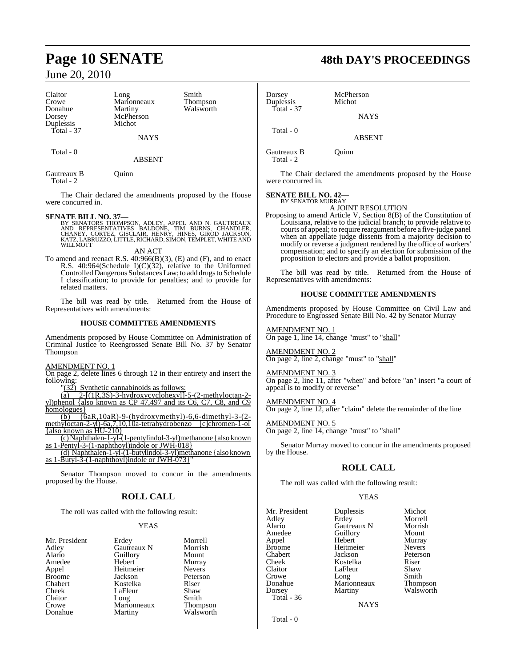| Claitor<br>Crowe<br>Donahue<br>Dorsey<br>Duplessis | Long<br>Marionneaux<br>Martiny<br>McPherson<br>Michot | Smith<br>Thompson<br>Walsworth |
|----------------------------------------------------|-------------------------------------------------------|--------------------------------|
| $Total - 37$                                       | <b>NAYS</b>                                           |                                |
| Total $-0$                                         | <b>ABSENT</b>                                         |                                |

Gautreaux B Quinn Total - 2

The Chair declared the amendments proposed by the House were concurred in.

**SENATE BILL NO. 37—**<br>BY SENATORS THOMPSON, ADLEY, APPEL AND N. GAUTREAUX<br>AND REPRESENTATIVES BALDONE, TIM BURNS, CHANDLER,<br>CHANEY, CORTEZ, GISCLAIR, HENRY, HINES, GIROD JACKSON, KATZ, LABRUZZO, LITTLE, RICHARD, SIMON, TEMPLET, WHITE AND WILLMOTT

AN ACT

To amend and reenact R.S. 40:966(B)(3), (E) and (F), and to enact R.S.  $40:964$ (Schedule I)(C)(32), relative to the Uniformed Controlled Dangerous Substances Law; to add drugs to Schedule I classification; to provide for penalties; and to provide for related matters.

The bill was read by title. Returned from the House of Representatives with amendments:

# **HOUSE COMMITTEE AMENDMENTS**

Amendments proposed by House Committee on Administration of Criminal Justice to Reengrossed Senate Bill No. 37 by Senator Thompson

AMENDMENT NO. 1

On page 2, delete lines 6 through 12 in their entirety and insert the following:<br> $\frac{90}{22}$ 

Synthetic cannabinoids as follows:

 $\overline{(a)}$  2- $\overline{(1R,3S)}$ -3-hydroxycyclohexyl]-5- $(2$ -methyloctan-2 yl)phenol {also known as CP 47,497 and its C6, C7, C8, and C9 homologues }

(b) (6aR,10aR)-9-(hydroxymethyl)-6,6-dimethyl-3-(2 methyloctan-2-yl)-6a,7,10,10a-tetrahydrobenzo [c]chromen-1-ol {also known as HU-210}

(c) Naphthalen-1-yl-(1-pentylindol-3-yl)methanone {also known as 1-Pentyl-3-(1-naphthoyl)indole or JWH-018}

(d) Naphthalen-1-yl-(1-butylindol-3-yl)methanone {also known as 1-Butyl-3-(1-naphthoyl)indole or JWH-073}"

Senator Thompson moved to concur in the amendments proposed by the House.

# **ROLL CALL**

The roll was called with the following result:

# YEAS

| Mr. President |
|---------------|
| Adley         |
| Alario        |
| Amedee        |
| Appel         |
| <b>Broome</b> |
| Chabert       |
| Cheek         |
| Claitor       |
| Crowe         |
| Donahue       |

Erdey Morrell<br>
Gautreaux N Morrish Gautreaux N Morrisl<br>Guillory Mount Alario Guillory<br>
Hebert Murray Hebert Murray<br>
Heitmeier Nevers Heitmeier Jackson Peterson<br>Kostelka Riser Kostelka Riser<br>LaFleur Shaw LaFleur Shaw<br>Long Smith Long Smith<br>Marionneaux Thompson Marionneaux Martiny Walsworth

# **Page 10 SENATE 48th DAY'S PROCEEDINGS**

Dorsey McPherson<br>
Duplessis Michot Duplessis  $Total - 37$ Total - 0

Gautreaux B Quinn

Total - 2

The Chair declared the amendments proposed by the House were concurred in.

**NAYS** 

ABSENT

## **SENATE BILL NO. 42—** BY SENATOR MURRAY

A JOINT RESOLUTION

Proposing to amend Article V, Section 8(B) of the Constitution of Louisiana, relative to the judicial branch; to provide relative to courts of appeal; to require reargument before a five-judge panel when an appellate judge dissents from a majority decision to modify or reverse a judgment rendered by the office of workers' compensation; and to specify an election for submission of the proposition to electors and provide a ballot proposition.

The bill was read by title. Returned from the House of Representatives with amendments:

# **HOUSE COMMITTEE AMENDMENTS**

Amendments proposed by House Committee on Civil Law and Procedure to Engrossed Senate Bill No. 42 by Senator Murray

# AMENDMENT NO. 1

On page 1, line 14, change "must" to "shall"

# AMENDMENT NO. 2

 $\frac{\overline{R_{11}}}{\overline{R_{12}}}{\overline{R_{12}}}{\overline{R_{13}}}{\overline{R_{14}}}{\overline{R_{15}}}{\overline{R_{16}}}{\overline{R_{16}}}{\overline{R_{17}}}{\overline{R_{18}}}{\overline{R_{18}}}{\overline{R_{18}}}{\overline{R_{18}}}{\overline{R_{18}}}{\overline{R_{18}}}{\overline{R_{18}}}{\overline{R_{18}}}{\overline{R_{18}}}{\overline{R_{18}}}{\overline{R_{18}}}{\overline{R_{18}}}{\overline{R_{18$ 

AMENDMENT NO. 3

On page 2, line 11, after "when" and before "an" insert "a court of appeal is to modify or reverse"

AMENDMENT NO. 4

On page 2, line 12, after "claim" delete the remainder of the line

# AMENDMENT NO. 5

On page 2, line 14, change "must" to "shall"

Senator Murray moved to concur in the amendments proposed by the House.

# **ROLL CALL**

The roll was called with the following result:

Erdey

Mr. President Duplessis Michot<br>
Adlev Erdev Morrell Alario Gautreaux N Morrish Amedee Guillory<br>Appel Hebert Appel Hebert Murray Broome Heitmeier<br>Chabert Iackson Chabert Jackson Peterson Cheek Kostelka Riser Claitor LaFleur Shaw<br>Crowe Long Smith Crowe Long<br>Donahue Maric Donahue Marionneaux Thompson Total - 36

Walsworth

NAYS

Total - 0

**YEAS**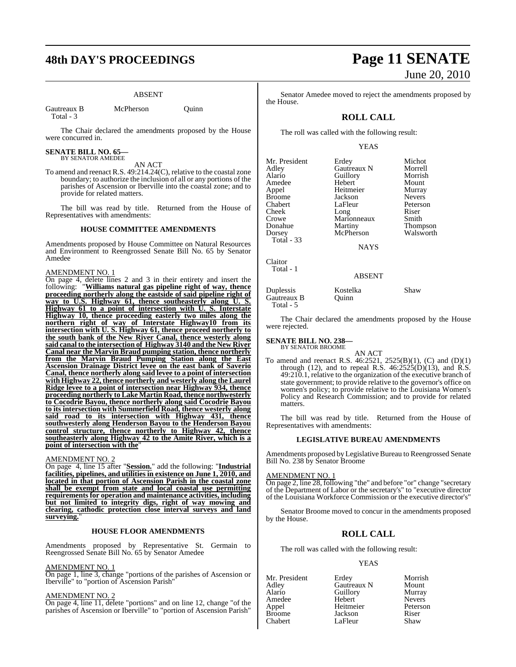# ABSENT

Gautreaux B McPherson Quinn Total - 3

The Chair declared the amendments proposed by the House were concurred in.

# **SENATE BILL NO. 65—** BY SENATOR AMEDEE

AN ACT

To amend and reenact R.S. 49:214.24(C), relative to the coastal zone boundary; to authorize the inclusion of all or any portions of the parishes of Ascension or Iberville into the coastal zone; and to provide for related matters.

The bill was read by title. Returned from the House of Representatives with amendments:

# **HOUSE COMMITTEE AMENDMENTS**

Amendments proposed by House Committee on Natural Resources and Environment to Reengrossed Senate Bill No. 65 by Senator Amedee

## AMENDMENT NO. 1

On page 4, delete lines 2 and 3 in their entirety and insert the following: "**Williams natural gas pipeline right of way, thence proceeding northerly along the eastside of said pipeline right of way to U.S. Highway 61, thence southeasterly along U. S. Highway 61 to a point of intersection with U. S. Interstate Highway 10, thence proceeding easterly two miles along the northern right of way of Interstate Highway10 from its intersection with U. S. Highway 61, thence proceed northerly to the south bank of the New River Canal, thence westerly along said canal to the intersection of Highway 3140 and the New River Canal near the Marvin Braud pumping station, thence northerly from the Marvin Braud Pumping Station along the East Ascension Drainage District levee on the east bank of Saverio Canal, thence northerly along said levee to a point of intersection with Highway 22, thence northerly and westerly along the Laurel Ridge levee to a point of intersection near Highway 934, thence proceeding northerly to Lake Martin Road,thence northwesterly to Cocodrie Bayou, thence northerly along said Cocodrie Bayou to its intersection with Summerfield Road, thence westerly along said road to its intersection with Highway 431, thence southwesterly along Henderson Bayou to the Henderson Bayou control structure, thence northerly to Highway 42, thence southeasterly along Highway 42 to the Amite River, which is a point of intersection with the**"

# AMENDMENT NO. 2

On page 4, line 15 after "**Session.**" add the following: "**Industrial facilities, pipelines, and utilities in existence on June 1, 2010, and located in that portion of Ascension Parish in the coastal zone shall be exempt from state and local coastal use permitting requirements for operation and maintenance activities, including but not limited to integrity digs, right of way mowing and clearing, cathodic protection close interval surveys and land surveying.**"

### **HOUSE FLOOR AMENDMENTS**

Amendments proposed by Representative St. Germain to Reengrossed Senate Bill No. 65 by Senator Amedee

### AMENDMENT NO. 1

On page 1, line 3, change "portions of the parishes of Ascension or Iberville" to "portion of Ascension Parish"

# AMENDMENT NO. 2

On page 4, line 11, delete "portions" and on line 12, change "of the parishes of Ascension or Iberville" to "portion of Ascension Parish"

# **48th DAY'S PROCEEDINGS Page 11 SENATE** June 20, 2010

Senator Amedee moved to reject the amendments proposed by the House.

# **ROLL CALL**

The roll was called with the following result:

# YEAS

| Erdey       | Michot          |
|-------------|-----------------|
| Gautreaux N | Morrell         |
| Guillory    | Morrish         |
| Hebert      | Mount           |
| Heitmeier   | Murray          |
| Jackson     | <b>Nevers</b>   |
| LaFleur     | Peterson        |
|             | Riser           |
| Marionneaux | Smith           |
| Martiny     | <b>Thompson</b> |
| McPherson   | Walsworth       |
|             |                 |
|             | Long            |

**NAYS** 

ABSENT

Duplessis Kostelka Shaw Gautreaux B

Claitor Total - 1

Total - 5

The Chair declared the amendments proposed by the House were rejected.

#### **SENATE BILL NO. 238—** BY SENATOR BROOME

AN ACT To amend and reenact R.S. 46:2521, 2525(B)(1), (C) and (D)(1) through (12), and to repeal R.S.  $46:2525(D)(13)$ , and R.S. 49:210.1, relative to the organization of the executive branch of state government; to provide relative to the governor's office on women's policy; to provide relative to the Louisiana Women's Policy and Research Commission; and to provide for related matters.

The bill was read by title. Returned from the House of Representatives with amendments:

# **LEGISLATIVE BUREAU AMENDMENTS**

Amendments proposed by Legislative Bureau to Reengrossed Senate Bill No. 238 by Senator Broome

# AMENDMENT NO. 1

On page 2, line 28, following "the" and before "or" change "secretary of the Department of Labor or the secretary's" to "executive director of the Louisiana Workforce Commission or the executive director's"

Senator Broome moved to concur in the amendments proposed by the House.

# **ROLL CALL**

The roll was called with the following result:

# YEAS

Mr. President Erdey Morrish<br>Adley Gautreaux N Mount Adley Gautreaux N Mount Auillory<br>
Hebert Mevers Amedee Hebert Nevers Appel Heitmeier Peterson **Broom**<br>Broomer Jackson<br>Broomer Shaw Chabert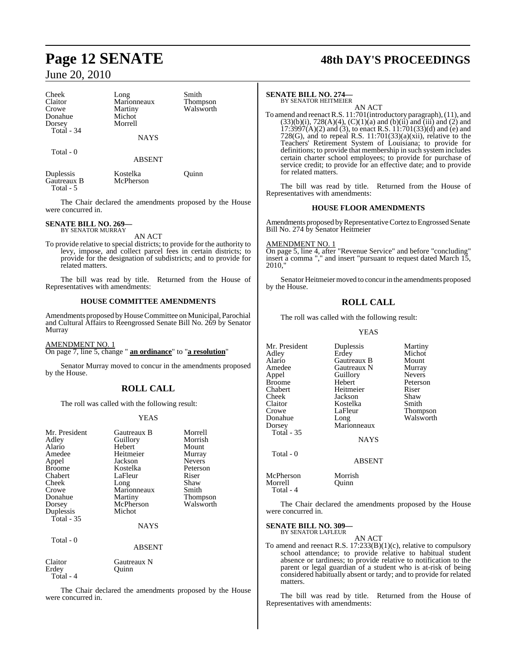| Cheek<br>Claitor<br>Crowe<br>Donahue<br>Dorsey<br>Total - 34 | Long<br>Marionneaux<br>Martiny<br>Michot<br>Morrell | Smith<br>Thompson<br>Walsworth |
|--------------------------------------------------------------|-----------------------------------------------------|--------------------------------|
|                                                              | <b>NAYS</b>                                         |                                |
| Total - 0                                                    | <b>ABSENT</b>                                       |                                |
| Duplessis                                                    | Kostelka                                            | <b>Juinn</b>                   |

Gautreaux B McPherson Total - 5

The Chair declared the amendments proposed by the House were concurred in.

#### **SENATE BILL NO. 269—** BY SENATOR MURRAY

AN ACT

To provide relative to special districts; to provide for the authority to levy, impose, and collect parcel fees in certain districts; to provide for the designation of subdistricts; and to provide for related matters.

The bill was read by title. Returned from the House of Representatives with amendments:

# **HOUSE COMMITTEE AMENDMENTS**

Amendments proposed by House Committee on Municipal, Parochial and Cultural Affairs to Reengrossed Senate Bill No. 269 by Senator Murray

AMENDMENT NO. 1 On page 7, line 5, change " **an ordinance**" to "**a resolution**"

Senator Murray moved to concur in the amendments proposed by the House.

# **ROLL CALL**

The roll was called with the following result:

# YEAS

| Mr. President<br>Adley<br>Alario<br>Amedee<br>Appel<br><b>Broome</b><br>Chabert<br>Cheek<br>Crowe<br>Donahue<br>Dorsey<br>Duplessis | Gautreaux B<br>Guillory<br>Hebert<br>Heitmeier<br>Jackson<br>Kostelka<br>LaFleur<br>Long<br>Marionneaux<br>Martiny<br>McPherson<br>Michot | Morrell<br>Morrish<br>Mount<br>Murray<br><b>Nevers</b><br>Peterson<br>Riser<br>Shaw<br>Smith<br><b>Thompson</b><br>Walsworth |
|-------------------------------------------------------------------------------------------------------------------------------------|-------------------------------------------------------------------------------------------------------------------------------------------|------------------------------------------------------------------------------------------------------------------------------|
| Total $-35$                                                                                                                         | <b>NAYS</b>                                                                                                                               |                                                                                                                              |
| Total - 0                                                                                                                           | <b>ABSENT</b>                                                                                                                             |                                                                                                                              |

| Claitor   | Gautreaux N |
|-----------|-------------|
| Erdev     | Ouinn       |
| Total - 4 |             |

The Chair declared the amendments proposed by the House were concurred in.

# **Page 12 SENATE 48th DAY'S PROCEEDINGS**

# **SENATE BILL NO. 274—**

BY SENATOR HEITMEIER AN ACT

To amend and reenactR.S. 11:701(introductory paragraph),(11), and  $(33)(b)(i)$ ,  $728(A)(4)$ ,  $(C)(1)(a)$  and  $(b)(ii)$  and  $(iii)$  and  $(2)$  and  $17:3997(A)(2)$  and (3), to enact R.S.  $11:701(33)(d)$  and (e) and 728(G), and to repeal R.S.  $11:701(33)(a)(xii)$ , relative to the Teachers' Retirement System of Louisiana; to provide for definitions; to provide that membership in such system includes certain charter school employees; to provide for purchase of service credit; to provide for an effective date; and to provide for related matters.

The bill was read by title. Returned from the House of Representatives with amendments:

# **HOUSE FLOOR AMENDMENTS**

Amendments proposed by Representative Cortez to Engrossed Senate Bill No. 274 by Senator Heitmeier

AMENDMENT NO. 1

On page 5, line 4, after "Revenue Service" and before "concluding" insert a comma "," and insert "pursuant to request dated March 15, 2010,"

Senator Heitmeier moved to concur in the amendments proposed by the House.

# **ROLL CALL**

The roll was called with the following result:

YEAS

Mr. President Duplessis Martiny<br>
Adley Erdey Michot Adley Erdey Michot Amedee Gautreaux N Murray<br>
Appel Guillory Nevers Appel Guillory<br>Broome Hebert Broome Hebert Peterson Chabert Heitmeier Riser Cheek Jackson Shaw<br>Claitor Kostelka Smith Claitor Kostelka<br>Crowe LaFleur Crowe LaFleur Thompson<br>
Donahue Long Walsworth Dorsey Marionneaux Total - 35

Total - 0

Gautreaux B Mount<br> **Gautreaux N** Murray

Walsworth

NAYS

ABSENT

McPherson Morrish Morrell Quinn Total - 4

The Chair declared the amendments proposed by the House were concurred in.

#### **SENATE BILL NO. 309—** BY SENATOR LAFLEUR

AN ACT

To amend and reenact R.S. 17:233(B)(1)(c), relative to compulsory school attendance; to provide relative to habitual student absence or tardiness; to provide relative to notification to the parent or legal guardian of a student who is at-risk of being considered habitually absent or tardy; and to provide for related matters.

The bill was read by title. Returned from the House of Representatives with amendments: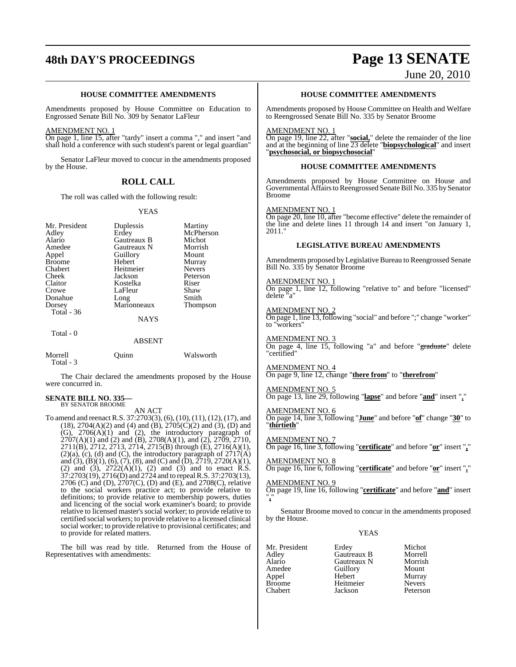# **48th DAY'S PROCEEDINGS Page 13 SENATE**

# June 20, 2010

# **HOUSE COMMITTEE AMENDMENTS**

Amendments proposed by House Committee on Education to Engrossed Senate Bill No. 309 by Senator LaFleur

### AMENDMENT NO. 1

On page 1, line 15, after "tardy" insert a comma "," and insert "and shall hold a conference with such student's parent or legal guardian"

Senator LaFleur moved to concur in the amendments proposed by the House.

# **ROLL CALL**

The roll was called with the following result:

# YEAS

| Mr. President        | Duplessis     | Martiny       |
|----------------------|---------------|---------------|
| Adley                | Erdey         | McPherson     |
| Alario               | Gautreaux B   | Michot        |
| Amedee               | Gautreaux N   | Morrish       |
| Appel                | Guillory      | Mount         |
| <b>Broome</b>        | Hebert        | Murray        |
| Chabert              | Heitmeier     | <b>Nevers</b> |
| Cheek                | Jackson       | Peterson      |
| Claitor              | Kostelka      | Riser         |
| Crowe                | LaFleur       | Shaw          |
| Donahue              | Long          | Smith         |
| Dorsey               | Marionneaux   | Thompson      |
| Total - 36           |               |               |
|                      | <b>NAYS</b>   |               |
| Total $-0$           |               |               |
|                      | <b>ABSENT</b> |               |
| Morrell<br>Total - 3 | Ouınn         | Walsworth     |

The Chair declared the amendments proposed by the House were concurred in.

#### **SENATE BILL NO. 335—** BY SENATOR BROOME

AN ACT

To amend and reenact R.S. 37:2703(3), (6), (10), (11), (12), (17), and  $(18)$ ,  $2704(A)(2)$  and  $(4)$  and  $(B)$ ,  $2705(C)(2)$  and  $(3)$ ,  $(D)$  and (G), 2706(A)(1) and (2), the introductory paragraph of  $2707(A)(1)$  and (2) and (B),  $2708(A)(1)$ , and (2),  $2709$ ,  $2710$ , 2711(B), 2712, 2713, 2714, 2715(B) through (E), 2716(A)(1),  $(2)(a)$ ,  $(c)$ ,  $(d)$  and  $(C)$ , the introductory paragraph of  $2717(A)$ and (3), (B)(1), (6), (7), (8), and (C) and (D),  $2719$ ,  $2720(A)(1)$ , (2) and (3),  $2722(A)(1)$ , (2) and (3) and to enact R.S. 37:2703(19), 2716(D) and 2724 and to repealR.S. 37:2703(13), 2706 (C) and (D), 2707(C), (D) and (E), and 2708(C), relative to the social workers practice act; to provide relative to definitions; to provide relative to membership powers, duties and licencing of the social work examiner's board; to provide relative to licensed master's social worker; to provide relative to certified social workers; to provide relative to a licensed clinical social worker; to provide relative to provisional certificates; and to provide for related matters.

The bill was read by title. Returned from the House of Representatives with amendments:

# **HOUSE COMMITTEE AMENDMENTS**

Amendments proposed by House Committee on Health and Welfare to Reengrossed Senate Bill No. 335 by Senator Broome

# AMENDMENT NO. 1

On page 19, line 22, after "**social,**" delete the remainder of the line and at the beginning of line 23 delete "**biopsychological**" and insert "**psychosocial, or biopsychosocial**"

# **HOUSE COMMITTEE AMENDMENTS**

Amendments proposed by House Committee on House and Governmental Affairs to Reengrossed Senate Bill No. 335 by Senator Broome

# AMENDMENT NO. 1

On page 20, line 10, after "become effective" delete the remainder of the line and delete lines 11 through 14 and insert "on January 1, 2011."

# **LEGISLATIVE BUREAU AMENDMENTS**

Amendments proposed by Legislative Bureau to Reengrossed Senate Bill No. 335 by Senator Broome

# AMENDMENT NO. 1

On page 1, line 12, following "relative to" and before "licensed" delete "a"

## AMENDMENT NO. 2

On page 1, line 13, following "social" and before ";" change "worker" to "workers"

# AMENDMENT NO. 3

On page 4, line 15, following "a" and before "graduate" delete "certified"

# AMENDMENT NO. 4 On page 9, line 12, change "**there from**" to "**therefrom**"

# AMENDMENT NO. 5

On page 13, line 29, following "**lapse**" and before "**and**" insert ","

# AMENDMENT NO. 6

On page 14, line 3, following "**June**" and before "**of**" change "**30**" to "**thirtieth**"

# AMENDMENT NO. 7

On page 16, line 3, following "**certificate**" and before "**or**" insert "**,**"

# AMENDMENT NO. 8

On page 16, line 6, following "**certificate**" and before "**or**" insert "**,**"

# AMENDMENT NO. 9

On page 19, line 16, following "**certificate**" and before "**and**" insert "**,**"

Senator Broome moved to concur in the amendments proposed by the House.

# YEAS

Mr. President Erdey Michot<br>Adley Gautreaux B Morrell Adley Gautreaux B Morrell Alario Gautreaux N Morrish Appel Hebert Murray Broome<br>
Chabert Heitmeier<br>
Jackson

Amedeu<br>
Amedeu<br>
Amedeu<br>
Amedeu<br>
Mount<br>
Murray Peterson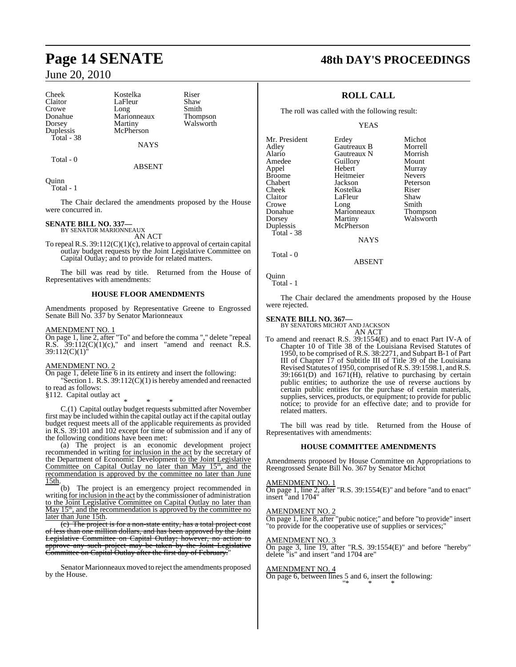Cheek Kostelka Riser<br>Claitor LaFleur Shaw Crowe Long<br>
Donahue Marionneaux Total - 38

Claitor LaFleur Shaw<br>Crowe Long Smith Dorsey Martiny Walsworth<br>
Duplessis McPherson McPherson

**NAYS** 

ABSENT

Donahue Marionneaux Thompson

Total - 0

Quinn Total - 1

The Chair declared the amendments proposed by the House were concurred in.

#### **SENATE BILL NO. 337—** BY SENATOR MARIONNEAUX

AN ACT

To repeal R.S. 39:112(C)(1)(c), relative to approval of certain capital outlay budget requests by the Joint Legislative Committee on Capital Outlay; and to provide for related matters.

The bill was read by title. Returned from the House of Representatives with amendments:

# **HOUSE FLOOR AMENDMENTS**

Amendments proposed by Representative Greene to Engrossed Senate Bill No. 337 by Senator Marionneaux

# AMENDMENT NO. 1

On page 1, line 2, after "To" and before the comma "," delete "repeal R.S.  $39:112(C)(1)(c)$ ," and insert "amend and reenact R.S. 39:112(C)(1)"

# AMENDMENT NO. 2

On page 1, delete line 6 in its entirety and insert the following: "Section 1. R.S. 39:112(C)(1) is hereby amended and reenacted to read as follows:

§112. Capital outlay act

\* \* \* C.(1) Capital outlay budget requests submitted after November first may be included within the capital outlay act if the capital outlay budget request meets all of the applicable requirements as provided in R.S. 39:101 and 102 except for time of submission and if any of the following conditions have been met:

(a) The project is an economic development project recommended in writing for inclusion in the act by the secretary of the Department of Economic Development to the Joint Legislative<br>Committee on Capital Outlay no later than May 15<sup>th</sup>, and the recommendation is approved by the committee no later than June 15th.

(b) The project is an emergency project recommended in writing for inclusion in the act by the commissioner of administration to the Joint Legislative Committee on Capital Outlay no later than May 15<sup>th</sup>, and the recommendation is approved by the committee no later than June 15th.

(c) The project is for a non-state entity, has a total project cost of less than one million dollars, and has been approved by the Joint Legislative Committee on Capital Outlay; however, no action to approve any such project may be taken by the Joint Legislative Committee on Capital Outlay after the first day of February.

Senator Marionneaux moved to reject the amendments proposed by the House.

# **Page 14 SENATE 48th DAY'S PROCEEDINGS**

# **ROLL CALL**

The roll was called with the following result:

YEAS

| Mr. President | Erdey       | Michot          |
|---------------|-------------|-----------------|
| Adley         | Gautreaux B | Morrell         |
| Alario        | Gautreaux N | Morrish         |
| Amedee        | Guillory    | Mount           |
| Appel         | Hebert      | Murray          |
| <b>Broome</b> | Heitmeier   | <b>Nevers</b>   |
| Chabert       | Jackson     | Peterson        |
| Cheek         | Kostelka    | Riser           |
| Claitor       | LaFleur     | Shaw            |
| Crowe         | Long        | Smith           |
| Donahue       | Marionneaux | <b>Thompson</b> |
| Dorsey        | Martiny     | Walsworth       |
| Duplessis     | McPherson   |                 |
| Total - 38    |             |                 |
|               | NAYS        |                 |

Total - 0

Quinn Total - 1

The Chair declared the amendments proposed by the House were rejected.

ABSENT

# **SENATE BILL NO. 367—**

BY SENATORS MICHOT AND JACKSON

AN ACT To amend and reenact R.S. 39:1554(E) and to enact Part IV-A of Chapter 10 of Title 38 of the Louisiana Revised Statutes of 1950, to be comprised of R.S. 38:2271, and Subpart B-1 of Part III of Chapter 17 of Subtitle III of Title 39 of the Louisiana Revised Statutes of 1950, comprised ofR.S. 39:1598.1, andR.S. 39:1661(D) and 1671(H), relative to purchasing by certain public entities; to authorize the use of reverse auctions by certain public entities for the purchase of certain materials, supplies, services, products, or equipment; to provide for public notice; to provide for an effective date; and to provide for related matters.

The bill was read by title. Returned from the House of Representatives with amendments:

# **HOUSE COMMITTEE AMENDMENTS**

Amendments proposed by House Committee on Appropriations to Reengrossed Senate Bill No. 367 by Senator Michot

# AMENDMENT NO. 1

On page 1, line 2, after "R.S. 39:1554(E)" and before "and to enact" insert "and 1704"

### AMENDMENT NO. 2

On page 1, line 8, after "pubic notice;" and before "to provide" insert "to provide for the cooperative use of supplies or services;"

### AMENDMENT NO. 3

On page 3, line 19, after "R.S. 39:1554(E)" and before "hereby" delete "is" and insert "and 1704 are"

AMENDMENT NO. 4

On page 6, between lines 5 and 6, insert the following: "\* \* \*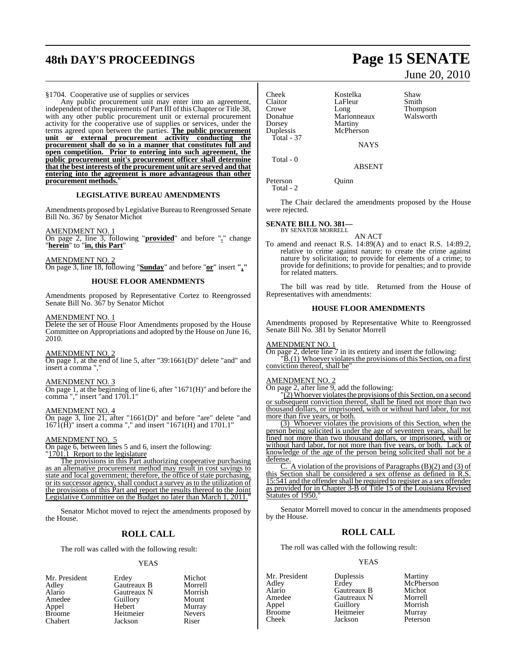# **48th DAY'S PROCEEDINGS Page 15 SENATE**

# §1704. Cooperative use of supplies or services

Any public procurement unit may enter into an agreement, independent of the requirements of Part III of this Chapter or Title 38. with any other public procurement unit or external procurement activity for the cooperative use of supplies or services, under the terms agreed upon between the parties. **The public procurement unit or external procurement activity conducting the procurement shall do so in a manner that constitutes full and open competition. Prior to entering into such agreement, the public procurement unit's procurement officer shall determine that the best interests of the procurement unit are served and that entering into the agreement is more advantageous than other procurement methods.**"

## **LEGISLATIVE BUREAU AMENDMENTS**

Amendments proposed by Legislative Bureau to Reengrossed Senate Bill No. 367 by Senator Michot

AMENDMENT NO. 1

On page 2, line 3, following "**provided**" and before "**.**" change "**herein**" to "**in, this Part**"

AMENDMENT NO. 2 On page 3, line 18, following "**Sunday**" and before "**or**" insert **","**

# **HOUSE FLOOR AMENDMENTS**

Amendments proposed by Representative Cortez to Reengrossed Senate Bill No. 367 by Senator Michot

### AMENDMENT NO. 1

Delete the set of House Floor Amendments proposed by the House Committee on Appropriations and adopted by the House on June 16, 2010.

## AMENDMENT NO. 2

On page 1, at the end of line 5, after "39:1661(D)" delete "and" and insert a comma ",

# AMENDMENT NO. 3

On page 1, at the beginning of line 6, after "1671(H)" and before the comma "," insert "and 1701.1"

# AMENDMENT NO. 4

On page 3, line 21, after "1661(D)" and before "are" delete "and 1671(H)" insert a comma "," and insert "1671(H) and 1701.1"

## AMENDMENT NO. 5

On page 6, between lines 5 and 6, insert the following:

"1701.1 Report to the legislature

The provisions in this Part authorizing cooperative purchasing as an alternative procurement method may result in cost savings to state and local government; therefore, the office of state purchasing, or its successor agency, shall conduct a survey as to the utilization of the provisions of this Part and report the results thereof to the Joint Legislative Committee on the Budget no later than March 1, 2011."

Senator Michot moved to reject the amendments proposed by the House.

# **ROLL CALL**

The roll was called with the following result:

### YEAS

Mr. President Erdey Michot<br>Adley Gautreaux B Morrell Adley Gautreaux B Morrell Alario Gautreaux N Morrish Guillory Mount<br>
Hebert Murray Appel Hebert Murray<br>Broome Heitmeier Nevers Broome Heitmeier Never<br>Chabert Lackson Riser **Jackson** 

Dorsey<br>Duplessis Total - 37

Cheek Kostelka Shaw<br>Claitor LaFleur Smith Claitor LaFleur<br>Crowe Long Crowe Long Thompson Marionneaux<br>Martiny McPherson **NAYS** 

Total - 0

ABSENT

Peterson Quinn Total - 2

The Chair declared the amendments proposed by the House were rejected.

# **SENATE BILL NO. 381—** BY SENATOR MORRELL

AN ACT

To amend and reenact R.S. 14:89(A) and to enact R.S. 14:89.2, relative to crime against nature; to create the crime against nature by solicitation; to provide for elements of a crime; to provide for definitions; to provide for penalties; and to provide for related matters.

The bill was read by title. Returned from the House of Representatives with amendments:

# **HOUSE FLOOR AMENDMENTS**

Amendments proposed by Representative White to Reengrossed Senate Bill No. 381 by Senator Morrell

AMENDMENT NO. 1

On page 2, delete line 7 in its entirety and insert the following:  $\overline{B}(1)$  Whoever violates the provisions of this Section, on a first conviction thereof, shall be"

# AMENDMENT NO. 2

On page 2, after line 9, add the following:

"(2) Whoever violates the provisions of this Section, on a second or subsequent conviction thereof, shall be fined not more than two thousand dollars, or imprisoned, with or without hard labor, for not more than five years, or both.

(3) Whoever violates the provisions of this Section, when the person being solicited is under the age of seventeen years, shall be fined not more than two thousand dollars, or imprisoned, with or without hard labor, for not more than five years, or both. Lack of knowledge of the age of the person being solicited shall not be a defense.

A violation of the provisions of Paragraphs  $(B)(2)$  and  $(3)$  of this Section shall be considered a sex offense as defined in R.S. 15:541 and the offendershall be required to register as a sex offender as provided for in Chapter 3-B of Title 15 of the Louisiana Revised Statutes of 1950.

Senator Morrell moved to concur in the amendments proposed by the House.

# **ROLL CALL**

The roll was called with the following result:

### YEAS

Mr. President Duplessis Martiny<br>Adley Erdey McPhers Adley Erdey McPherson Alario Gautreaux B Michot Amedee Gautreaux N Morrell<br>
Appel Guillory Morrish Appel Guillory Morrish Broome Heitmeier<br>Cheek Iackson Peterson

# June 20, 2010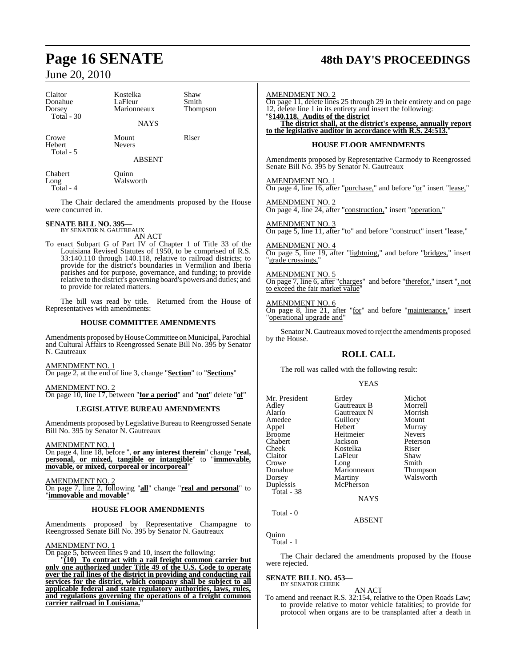# **Page 16 SENATE 48th DAY'S PROCEEDINGS**

# June 20, 2010 Claitor Kostelka Shaw Donahue LaFleur Smith<br>Dorsey Marionneaux Thompson Marionneaux Total - 30 **NAYS** Crowe Mount Riser<br>Hebert Nevers Hebert Total - 5 ABSENT Chabert Quinn Long Walsworth Total - 4 The Chair declared the amendments proposed by the House were concurred in. **SENATE BILL NO. 395—** BY SENATOR N. GAUTREAUX AN ACT To enact Subpart G of Part IV of Chapter 1 of Title 33 of the Louisiana Revised Statutes of 1950, to be comprised of R.S. 33:140.110 through 140.118, relative to railroad districts; to provide for the district's boundaries in Vermilion and Iberia parishes and for purpose, governance, and funding; to provide relative to the district's governing board's powers and duties; and to provide for related matters. The bill was read by title. Returned from the House of Representatives with amendments: AMENDMENT NO. 2

# **HOUSE COMMITTEE AMENDMENTS**

Amendments proposed by House Committee on Municipal, Parochial and Cultural Affairs to Reengrossed Senate Bill No. 395 by Senator N. Gautreaux

AMENDMENT NO. 1

On page 2, at the end of line 3, change "**Section**" to "**Sections**"

AMENDMENT NO. 2 On page 10, line 17, between "**for a period**" and "**not**" delete "**of**"

# **LEGISLATIVE BUREAU AMENDMENTS**

Amendments proposed by Legislative Bureau to Reengrossed Senate Bill No. 395 by Senator N. Gautreaux

AMENDMENT NO. 1

On page 4, line 18, before ", **or any interest therein**" change "**real, personal, or mixed, tangible or intangible**" to "**immovable, movable, or mixed, corporeal or incorporeal**"

AMENDMENT NO. 2

On page 7, line 2, following "**all**" change "**real and personal**" to "**immovable and movable**"

# **HOUSE FLOOR AMENDMENTS**

Amendments proposed by Representative Champagne to Reengrossed Senate Bill No. 395 by Senator N. Gautreaux

AMENDMENT NO. 1

On page 5, between lines 9 and 10, insert the following:

"**(10) To contract with a rail freight common carrier but only one authorized under Title 49 of the U.S. Code to operate over the rail lines of the district in providing and conducting rail services for the district, which company shall be subject to all applicable federal and state regulatory authorities, laws, rules, and regulations governing the operations of a freight common carrier railroad in Louisiana.**"

| On page 11, delete lines 25 through 29 in their entirety and on page<br>12, delete line 1 in its entirety and insert the following:                               |
|-------------------------------------------------------------------------------------------------------------------------------------------------------------------|
| "§140.118. Audits of the district<br>The district shall, at the district's expense, annually report<br>to the legislative auditor in accordance with R.S. 24:513. |
| <b>HOUSE FLOOR AMENDMENTS</b>                                                                                                                                     |
| Amendments proposed by Representative Carmody to Reengrossed<br>Senate Bill No. 395 by Senator N. Gautreaux                                                       |
| <b>AMENDMENT NO. 1</b><br>On page 4, line 16, after "purchase," and before "or" insert "lease,"                                                                   |
| <b>AMENDMENT NO. 2</b><br>On page 4, line 24, after "construction," insert "operation,"                                                                           |
| <b>AMENDMENT NO. 3</b><br>On page 5, line 11, after "to" and before "construct" insert "lease,"                                                                   |
| <b>AMENDMENT NO. 4</b><br>On page 5, line 19, after "lightning," and before "bridges," insert<br>"grade crossings."                                               |
| <b>AMENDMENT NO. 5</b><br>On page 7, line 6, after "charges" and before "therefor," insert ", not<br>to exceed the fair market value"                             |
| <b>AMENDMENT NO. 6</b><br>On page 8, line 21, after "for" and before "maintenance," insert<br>"operational upgrade and"                                           |
| Senator N. Gautreaux moved to reject the amendments proposed<br>by the House.                                                                                     |

# **ROLL CALL**

The roll was called with the following result:

# YEAS

| Mr. President | Erdey       | Michot        |
|---------------|-------------|---------------|
| Adley         | Gautreaux B | Morrell       |
| Alario        | Gautreaux N | Morrish       |
| Amedee        | Guillory    | Mount         |
| Appel         | Hebert      | Murray        |
| <b>Broome</b> | Heitmeier   | <b>Nevers</b> |
| Chabert       | Jackson     | Peterson      |
| Cheek         | Kostelka    | Riser         |
| Claitor       | LaFleur     | Shaw          |
| Crowe         | Long        | Smith         |
| Donahue       | Marionneaux | Thompson      |
| Dorsey        | Martiny     | Walsworth     |
| Duplessis     | McPherson   |               |
| Total - 38    |             |               |
|               | NAYS        |               |

Quinn Total - 1

Total - 0

The Chair declared the amendments proposed by the House were rejected.

ABSENT

# **SENATE BILL NO. 453—**

BY SENATOR CHEEK

AN ACT To amend and reenact R.S. 32:154, relative to the Open Roads Law; to provide relative to motor vehicle fatalities; to provide for protocol when organs are to be transplanted after a death in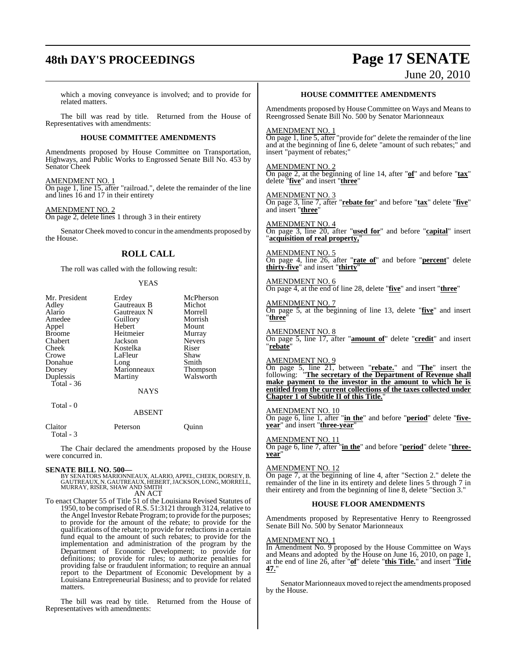# **48th DAY'S PROCEEDINGS Page 17 SENATE**

June 20, 2010

which a moving conveyance is involved; and to provide for related matters.

The bill was read by title. Returned from the House of Representatives with amendments:

# **HOUSE COMMITTEE AMENDMENTS**

Amendments proposed by House Committee on Transportation, Highways, and Public Works to Engrossed Senate Bill No. 453 by Senator Cheek

AMENDMENT NO. 1

On page 1, line 15, after "railroad.", delete the remainder of the line and lines 16 and 17 in their entirety

# AMENDMENT NO. 2

On page 2, delete lines 1 through 3 in their entirety

Senator Cheek moved to concur in the amendments proposed by the House.

# **ROLL CALL**

The roll was called with the following result:

# YEAS

| Mr. President | Erdey         | McPherson     |
|---------------|---------------|---------------|
| Adley         | Gautreaux B   | Michot        |
| Alario        | Gautreaux N   | Morrell       |
| Amedee        | Guillory      | Morrish       |
| Appel         | Hebert        | Mount         |
| Broome        | Heitmeier     | Murray        |
| Chabert       | Jackson       | <b>Nevers</b> |
| Cheek         | Kostelka      | Riser         |
| Crowe         | LaFleur       | Shaw          |
| Donahue       | Long          | Smith         |
| Dorsey        | Marionneaux   | Thompson      |
| Duplessis     | Martiny       | Walsworth     |
| Total - 36    |               |               |
|               | <b>NAYS</b>   |               |
| Total - 0     |               |               |
|               | <b>ABSENT</b> |               |
| Claitor       | Peterson      | Ouinn         |

Total - 3

The Chair declared the amendments proposed by the House were concurred in.

**SENATE BILL NO. 500—**<br>BY SENATORS MARIONNEAUX, ALARIO, APPEL, CHEEK, DORSEY, B.<br>GAUTREAUX, N. GAUTREAUX, HEBERT, JACKSON, LONG, MORRELL,<br>MURRAY, RISER, SHAW AND SMITH AN ACT

To enact Chapter 55 of Title 51 of the Louisiana Revised Statutes of 1950, to be comprised of R.S. 51:3121 through 3124, relative to the Angel Investor Rebate Program; to provide for the purposes; to provide for the amount of the rebate; to provide for the qualifications of the rebate; to provide for reductions in a certain fund equal to the amount of such rebates; to provide for the implementation and administration of the program by the Department of Economic Development; to provide for definitions; to provide for rules; to authorize penalties for providing false or fraudulent information; to require an annual report to the Department of Economic Development by a Louisiana Entrepreneurial Business; and to provide for related matters.

The bill was read by title. Returned from the House of Representatives with amendments:

# **HOUSE COMMITTEE AMENDMENTS**

Amendments proposed by House Committee on Ways and Means to Reengrossed Senate Bill No. 500 by Senator Marionneaux

## AMENDMENT NO. 1

On page 1, line 5, after "provide for" delete the remainder of the line and at the beginning of line 6, delete "amount of such rebates;" and insert "payment of rebates;"

# AMENDMENT NO. 2

On page 2, at the beginning of line 14, after "**of**" and before "**tax**" delete "**five**" and insert "**three**"

## AMENDMENT NO. 3 On page 3, line 7, after "**rebate for**" and before "**tax**" delete "**five**" and insert "**three**"

AMENDMENT NO. 4 On page 3, line 20, after "**used for**" and before "**capital**" insert **<u>acquisition of real property,</u>"** 

AMENDMENT NO. 5 On page 4, line 26, after "**rate of**" and before "**percent**" delete **thirty-five**" and insert "**thirty**"

AMENDMENT NO. 6 On page 4, at the end of line 28, delete "**five**" and insert "**three**"

AMENDMENT NO. 7 On page 5, at the beginning of line 13, delete "**five**" and insert "**three**"

AMENDMENT NO. 8 On page 5, line 17, after "**amount of**" delete "**credit**" and insert "**rebate**"

# AMENDMENT NO. 9

On page 5, line 21, between "**rebate.**" and "**The**" insert the following: "**The secretary of the Department of Revenue shall make payment to the investor in the amount to which he is entitled from the current collections of the taxes collected under Chapter 1 of Subtitle II of this Title.**"

# AMENDMENT NO. 10

On page 6, line 1, after "**in the**" and before "**period**" delete "**fiveyear**" and insert "**three-year**"

## AMENDMENT NO. 11

On page 6, line 7, after "**in the**" and before "**period**" delete "**threeyear**"

# AMENDMENT NO. 12

On page 7, at the beginning of line 4, after "Section 2." delete the remainder of the line in its entirety and delete lines 5 through 7 in their entirety and from the beginning of line 8, delete "Section 3."

# **HOUSE FLOOR AMENDMENTS**

Amendments proposed by Representative Henry to Reengrossed Senate Bill No. 500 by Senator Marionneaux

### AMENDMENT NO. 1

In Amendment No. 9 proposed by the House Committee on Ways and Means and adopted by the House on June 16, 2010, on page 1, at the end of line 26, after "**of**" delete "**this Title.**" and insert "**Title 47.**"

Senator Marionneaux moved to reject the amendments proposed by the House.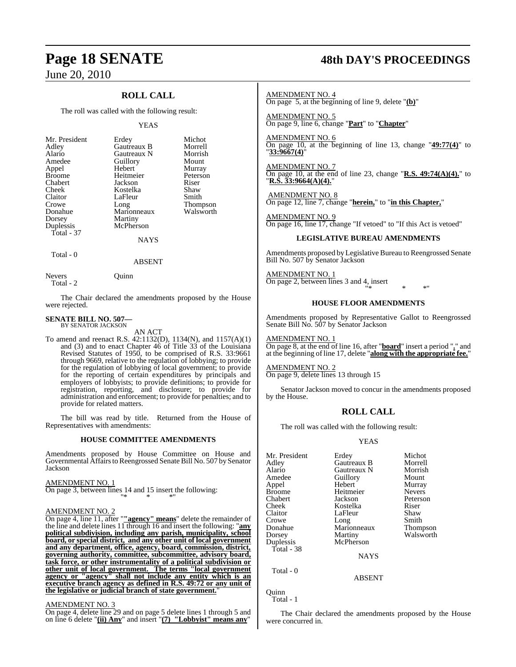# **ROLL CALL**

The roll was called with the following result:

## YEAS

|             | Michot            |
|-------------|-------------------|
| Gautreaux B | Morrell           |
| Gautreaux N | Morrish           |
|             | Mount             |
| Hebert      | Murray            |
| Heitmeier   | Peterson          |
| Jackson     | Riser             |
| Kostelka    | Shaw              |
| LaFleur     | Smith             |
| Long        | <b>Thompson</b>   |
| Marionneaux | Walsworth         |
| Martiny     |                   |
| McPherson   |                   |
|             |                   |
| <b>NAYS</b> |                   |
|             | Erdey<br>Guillory |

Total - 0

Total - 2

Nevers Ouinn

The Chair declared the amendments proposed by the House were rejected.

ABSENT

#### **SENATE BILL NO. 507—** BY SENATOR JACKSON

AN ACT

To amend and reenact R.S. 42:1132(D), 1134(N), and 1157(A)(1) and (3) and to enact Chapter 46 of Title 33 of the Louisiana Revised Statutes of 1950, to be comprised of R.S. 33:9661 through 9669, relative to the regulation of lobbying; to provide for the regulation of lobbying of local government; to provide for the reporting of certain expenditures by principals and employers of lobbyists; to provide definitions; to provide for registration, reporting, and disclosure; to provide for administration and enforcement; to provide for penalties; and to provide for related matters.

The bill was read by title. Returned from the House of Representatives with amendments:

# **HOUSE COMMITTEE AMENDMENTS**

Amendments proposed by House Committee on House and Governmental Affairs to Reengrossed Senate Bill No. 507 by Senator Jackson

AMENDMENT NO. 1

On page 3, between lines 14 and 15 insert the following: "\* \* \*"

# AMENDMENT NO. 2

On page 4, line 11, after "**"agency" means**" delete the remainder of the line and delete lines 11 through 16 and insert the following: "**any political subdivision, including any parish, municipality, school board, or special district, and any other unit of local government and any department, office, agency, board, commission, district, governing authority, committee, subcommittee, advisory board, task force, or other instrumentality of a political subdivision or other unit of local government. The terms "local government agency or "agency" shall not include any entity which is an executive branch agency as defined in R.S. 49:72 or any unit of the legislative or judicial branch of state government.**"

# AMENDMENT NO. 3

On page 4, delete line 29 and on page 5 delete lines 1 through 5 and on line 6 delete "**(ii) Any**" and insert "**(7) "Lobbyist" means any**"

# **Page 18 SENATE 48th DAY'S PROCEEDINGS**

AMENDMENT NO. 4 On page 5, at the beginning of line 9, delete "**(b)**"

AMENDMENT NO. 5 On page 9, line 6, change "**Part**" to "**Chapter**"

AMENDMENT NO. 6 On page 10, at the beginning of line 13, change "**49:77(4)**" to "**33:9667(4)**"

AMENDMENT NO. 7 On page 10, at the end of line 23, change "**R.S. 49:74(A)(4).**" to "**R.S. 33:9664(A)(4).**"

AMENDMENT NO. 8 On page 12, line 7, change "**herein,**" to "**in this Chapter,**"

AMENDMENT NO. 9 On page 16, line 17, change "If vetoed" to "If this Act is vetoed"

# **LEGISLATIVE BUREAU AMENDMENTS**

Amendments proposed byLegislative Bureau to Reengrossed Senate Bill No. 507 by Senator Jackson

AMENDMENT NO. 1 On page 2, between lines 3 and 4, insert "\* \* \*"

# **HOUSE FLOOR AMENDMENTS**

Amendments proposed by Representative Gallot to Reengrossed Senate Bill No. 507 by Senator Jackson

AMENDMENT NO. 1 On page 8, at the end of line 16, after "**board**" insert a period "**.**" and at the beginning of line 17, delete "**along with the appropriate fee.**"

AMENDMENT NO. 2 On page 9, delete lines 13 through 15

Senator Jackson moved to concur in the amendments proposed by the House.

# **ROLL CALL**

The roll was called with the following result:

# YEAS

| Mr. President | Erdey       | Michot          |
|---------------|-------------|-----------------|
| Adley         | Gautreaux B | Morrell         |
| Alario        | Gautreaux N | Morrish         |
| Amedee        | Guillory    | Mount           |
| Appel         | Hebert      | Murray          |
| <b>Broome</b> | Heitmeier   | <b>Nevers</b>   |
| Chabert       | Jackson     | Peterson        |
| Cheek         | Kostelka    | Riser           |
| Claitor       | LaFleur     | Shaw            |
| Crowe         | Long        | Smith           |
| Donahue       | Marionneaux | <b>Thompson</b> |
| Dorsey        | Martiny     | Walsworth       |
| Duplessis     | McPherson   |                 |
| Total - 38    |             |                 |
|               | <b>NAYS</b> |                 |
|               |             |                 |

Total - 0

Quinn Total - 1

The Chair declared the amendments proposed by the House were concurred in.

ABSENT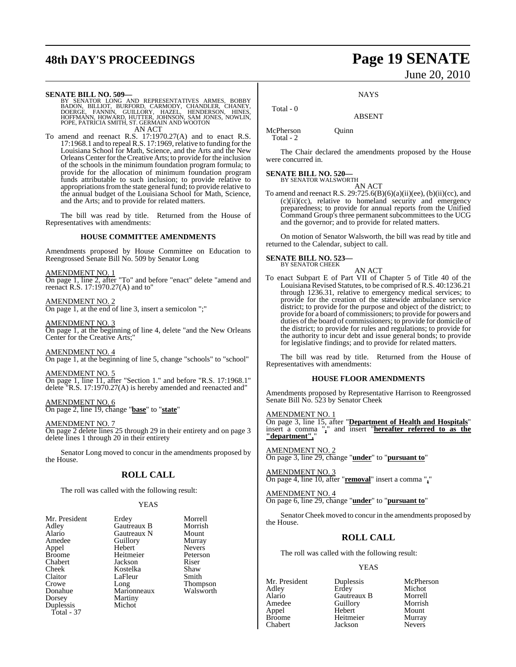# **48th DAY'S PROCEEDINGS Page 19 SENATE**

# June 20, 2010

**SENATE BILL NO. 509—**<br>BY SENATOR LONG AND REPRESENTATIVES ARMES, BOBBY<br>BADON, BILLIOT, BURFORD, CARMODY, CHANDLER, CHANEY,<br>DOERGE, FANNIN, GUILLORY, HAZEL, HENDERSON, HINES,<br>HOFFMANN, HOWARD, HUTTER, JOHNSON, SAM JONES, N AN ACT

To amend and reenact R.S. 17:1970.27(A) and to enact R.S. 17:1968.1 and to repeal R.S. 17:1969, relative to funding for the Louisiana School for Math, Science, and the Arts and the New Orleans Center for the Creative Arts; to provide for the inclusion of the schools in the minimum foundation program formula; to provide for the allocation of minimum foundation program funds attributable to such inclusion; to provide relative to appropriations from the state general fund; to provide relative to the annual budget of the Louisiana School for Math, Science, and the Arts; and to provide for related matters.

The bill was read by title. Returned from the House of Representatives with amendments:

# **HOUSE COMMITTEE AMENDMENTS**

Amendments proposed by House Committee on Education to Reengrossed Senate Bill No. 509 by Senator Long

# AMENDMENT NO. 1

On page 1, line 2, after "To" and before "enact" delete "amend and reenact R.S. 17:1970.27(A) and to"

AMENDMENT NO. 2 On page 1, at the end of line 3, insert a semicolon ";"

AMENDMENT NO. 3 On page 1, at the beginning of line 4, delete "and the New Orleans Center for the Creative Arts;

AMENDMENT NO. 4 On page 1, at the beginning of line 5, change "schools" to "school"

AMENDMENT NO. 5 On page 1, line 11, after "Section 1." and before "R.S. 17:1968.1" delete "R.S. 17:1970.27(A) is hereby amended and reenacted and"

AMENDMENT NO. 6 On page 2, line 19, change "**base**" to "**state**"

AMENDMENT NO. 7

On page 2 delete lines 25 through 29 in their entirety and on page 3 delete lines 1 through 20 in their entirety

Senator Long moved to concur in the amendments proposed by the House.

# **ROLL CALL**

The roll was called with the following result:

# YEAS

| Mr. President | Erdey       | Morrell       |
|---------------|-------------|---------------|
| Adley         | Gautreaux B | Morrish       |
| Alario        | Gautreaux N | Mount         |
| Amedee        | Guillory    | Murray        |
| Appel         | Hebert      | <b>Nevers</b> |
| <b>Broome</b> | Heitmeier   | Peterson      |
| Chabert       | Jackson     | Riser         |
| Cheek         | Kostelka    | Shaw          |
| Claitor       | LaFleur     | Smith         |
| Crowe         | Long        | <b>Thomps</b> |
| Donahue       | Marionneaux | Walswo        |
| Dorsey        | Martiny     |               |
| Duplessis     | Michot      |               |
| Total - 37    |             |               |

Gautreaux B Morrish<br>Gautreaux N Mount Nevers<br>Peterson Thompson<br>Walsworth **NAYS** 

ABSENT

McPherson Quinn Total - 2

Total - 0

The Chair declared the amendments proposed by the House were concurred in.

# **SENATE BILL NO. 520—** BY SENATOR WALSWORTH

AN ACT To amend and reenact R.S.  $29:725.6(B)(6)(a)(ii)(ee)$ ,  $(b)(ii)(cc)$ , and (c)(ii)(cc), relative to homeland security and emergency preparedness; to provide for annual reports from the Unified Command Group's three permanent subcommittees to the UCG and the governor; and to provide for related matters.

On motion of Senator Walsworth, the bill was read by title and returned to the Calendar, subject to call.

# **SENATE BILL NO. 523—**

BY SENATOR CHEEK

AN ACT To enact Subpart E of Part VII of Chapter 5 of Title 40 of the Louisiana Revised Statutes, to be comprised of R.S. 40:1236.21 through 1236.31, relative to emergency medical services; to provide for the creation of the statewide ambulance service district; to provide for the purpose and object of the district; to provide for a board of commissioners; to provide for powers and duties of the board of commissioners; to provide for domicile of the district; to provide for rules and regulations; to provide for the authority to incur debt and issue general bonds; to provide for legislative findings; and to provide for related matters.

The bill was read by title. Returned from the House of Representatives with amendments:

# **HOUSE FLOOR AMENDMENTS**

Amendments proposed by Representative Harrison to Reengrossed Senate Bill No. 523 by Senator Cheek

AMENDMENT NO. 1

On page 3, line 15, after "**Department of Health and Hospitals**" insert a comma "**,**" and insert "**hereafter referred to as the "department",**"

AMENDMENT NO. 2 On page 3, line 29, change "**under**" to "**pursuant to**"

AMENDMENT NO. 3 On page 4, line 10, after "**removal**" insert a comma "**,**"

AMENDMENT NO. 4 On page 6, line 29, change "**under**" to "**pursuant to**"

Senator Cheek moved to concur in the amendments proposed by the House.

# **ROLL CALL**

The roll was called with the following result:

# YEAS

Mr. President Duplessis McPherson<br>Adley Erdey Michot Adley Erdey Michot Alario Gautreaux B Morrell Amedeu<br>
Hebert Mount Appel Hebert Mount Broome Heitmeier Murray<br>Chabert Jackson Nevers Jackson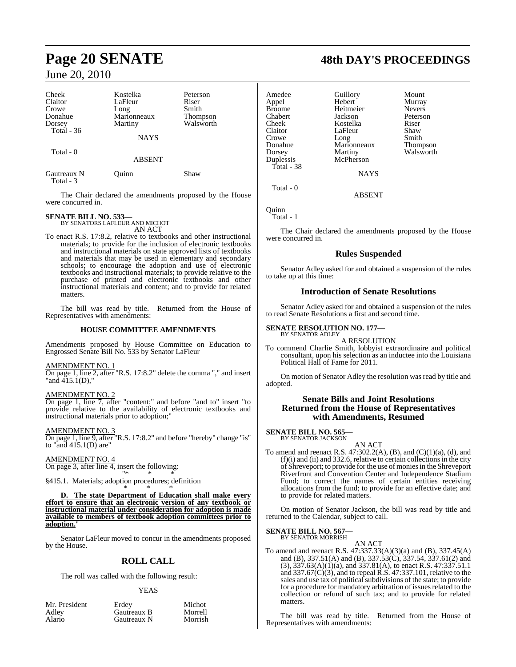| Cheek<br>Claitor<br>Crowe<br>Donahue<br>Dorsey<br>Total $-36$ | Kostelka<br>LaFleur<br>Long<br>Marionneaux<br>Martiny<br>NAYS | Peterson<br>Riser<br>Smith<br><b>Thompson</b><br>Walsworth |
|---------------------------------------------------------------|---------------------------------------------------------------|------------------------------------------------------------|
| Total - 0                                                     | <b>ABSENT</b>                                                 |                                                            |
| Gautreaux N<br>$Total - 3$                                    | Quinn                                                         | Shaw                                                       |

The Chair declared the amendments proposed by the House were concurred in.

# **SENATE BILL NO. 533—** BY SENATORS LAFLEUR AND MICHOT

AN ACT

To enact R.S. 17:8.2, relative to textbooks and other instructional materials; to provide for the inclusion of electronic textbooks and instructional materials on state approved lists of textbooks and materials that may be used in elementary and secondary schools; to encourage the adoption and use of electronic textbooks and instructional materials; to provide relative to the purchase of printed and electronic textbooks and other instructional materials and content; and to provide for related matters.

The bill was read by title. Returned from the House of Representatives with amendments:

# **HOUSE COMMITTEE AMENDMENTS**

Amendments proposed by House Committee on Education to Engrossed Senate Bill No. 533 by Senator LaFleur

# AMENDMENT NO. 1

On page 1, line 2, after "R.S. 17:8.2" delete the comma "," and insert "and  $415.1(D)$ ,"

# AMENDMENT NO. 2

On page 1, line 7, after "content;" and before "and to" insert "to provide relative to the availability of electronic textbooks and instructional materials prior to adoption;"

# AMENDMENT NO. 3

On page 1, line 9, after "R.S. 17:8.2" and before "hereby" change "is" to "and  $415.1(D)$  are"

# AMENDMENT NO. 4

On page 3, after line 4, insert the following: "\* \* \*

§415.1. Materials; adoption procedures; definition \* \* \*

**D. The state Department of Education shall make every effort to ensure that an electronic version of any textbook or instructional material under consideration for adoption is made available to members of textbook adoption committees prior to adoption.**"

Senator LaFleur moved to concur in the amendments proposed by the House.

# **ROLL CALL**

The roll was called with the following result:

# YEAS

| Mr. President   | Erdey                      | Michot             |
|-----------------|----------------------------|--------------------|
| Adlev<br>Alario | Gautreaux B<br>Gautreaux N | Morrell<br>Morrish |
|                 |                            |                    |

# **Page 20 SENATE 48th DAY'S PROCEEDINGS**

Amedee Guillory Mount<br>Appel Hebert Murray Broome Heitmein<br>Chabert Jackson Chabert Jackson Peterson Cheek Kostelka<br>Claitor LaFleur Crowe Long Smith<br>Donahue Marionneaux Thompson Dorsey Martiny Walsworth<br>
Duplessis McPherson Total - 38

Hebert Murray<br>
Heitmeier Nevers LaFleur Shaw<br>Long Smith Dong<br>Marionneaux McPherson **NAYS** 

Quinn

Total - 1

Total - 0

The Chair declared the amendments proposed by the House were concurred in.

ABSENT

# **Rules Suspended**

Senator Adley asked for and obtained a suspension of the rules to take up at this time:

# **Introduction of Senate Resolutions**

Senator Adley asked for and obtained a suspension of the rules to read Senate Resolutions a first and second time.

#### **SENATE RESOLUTION NO. 177—** BY SENATOR ADLEY

A RESOLUTION

To commend Charlie Smith, lobbyist extraordinaire and political consultant, upon his selection as an inductee into the Louisiana Political Hall of Fame for 2011.

On motion of Senator Adley the resolution was read by title and adopted.

# **Senate Bills and Joint Resolutions Returned from the House of Representatives with Amendments, Resumed**

# **SENATE BILL NO. 565—** BY SENATOR JACKSON

AN ACT To amend and reenact R.S. 47:302.2(A), (B), and (C)(1)(a), (d), and  $(f)(i)$  and  $(ii)$  and 332.6, relative to certain collections in the city of Shreveport; to provide for the use of moniesin the Shreveport Riverfront and Convention Center and Independence Stadium Fund; to correct the names of certain entities receiving allocations from the fund; to provide for an effective date; and to provide for related matters.

On motion of Senator Jackson, the bill was read by title and returned to the Calendar, subject to call.

**SENATE BILL NO. 567** BY SENATOR MORRISH

AN ACT

To amend and reenact R.S. 47:337.33(A)(3)(a) and (B), 337.45(A) and (B), 337.51(A) and (B), 337.53(C), 337.54, 337.61(2) and (3), 337.63(A)(1)(a), and 337.81(A), to enact R.S. 47:337.51.1 and 337.67(C)(3), and to repeal R.S. 47:337.101, relative to the sales and use tax of political subdivisions of the state; to provide for a procedure for mandatory arbitration of issues related to the collection or refund of such tax; and to provide for related matters.

The bill was read by title. Returned from the House of Representatives with amendments: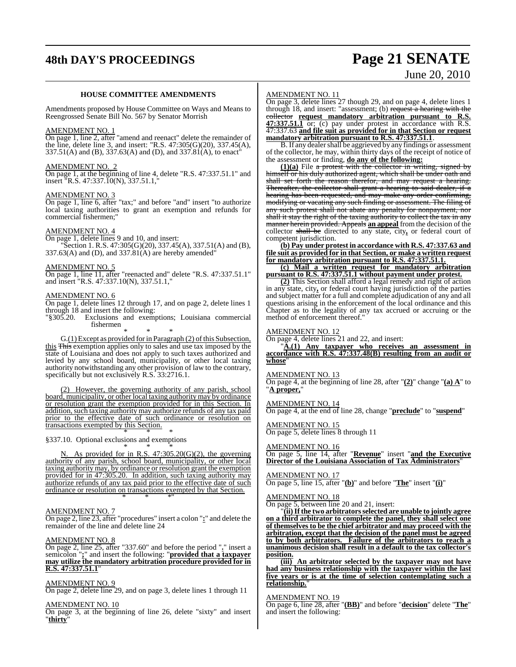# **48th DAY'S PROCEEDINGS Page 21 SENATE**

# June 20, 2010

# **HOUSE COMMITTEE AMENDMENTS**

Amendments proposed by House Committee on Ways and Means to Reengrossed Senate Bill No. 567 by Senator Morrish

#### AMENDMENT NO. 1

On page 1, line 2, after "amend and reenact" delete the remainder of the line, delete line 3, and insert: "R.S. 47:305(G)(20), 337.45(A),  $337.51(A)$  and (B),  $337.63(A)$  and (D), and  $337.81(A)$ , to enact<sup>\*</sup>

# AMENDMENT NO. 2

On page 1, at the beginning of line 4, delete "R.S. 47:337.51.1" and insert "R.S. 47:337.10(N), 337.51.1,"

#### AMENDMENT NO. 3

On page 1, line 6, after "tax;" and before "and" insert "to authorize local taxing authorities to grant an exemption and refunds for commercial fishermen;

# AMENDMENT NO. 4

On page 1, delete lines 9 and 10, and insert: "Section 1. R.S.  $47:305(G)(20)$ ,  $337.45(A)$ ,  $337.51(A)$  and (B),  $337.63(A)$  and (D), and  $337.81(A)$  are hereby amended"

## AMENDMENT NO. 5

On page 1, line 11, after "reenacted and" delete "R.S. 47:337.51.1" and insert "R.S. 47:337.10(N), 337.51.1,"

# AMENDMENT NO. 6

On page 1, delete lines 12 through 17, and on page 2, delete lines 1 through 18 and insert the following:

"§305.20. Exclusions and exemptions; Louisiana commercial fishermen

\* \* \*

G.(1) Except as provided for in Paragraph (2) of this Subsection, this This exemption applies only to sales and use tax imposed by the state of Louisiana and does not apply to such taxes authorized and levied by any school board, municipality, or other local taxing authority notwithstanding any other provision of law to the contrary, specifically but not exclusively R.S. 33:2716.1.

(2) However, the governing authority of any parish, school board, municipality, or other local taxing authoritymay by ordinance or resolution grant the exemption provided for in this Section. In addition, such taxing authority may authorize refunds of any tax paid prior to the effective date of such ordinance or resolution on transactions exempted by this Section.

\* \* \* §337.10. Optional exclusions and exemptions

\* \* \* N. As provided for in R.S. 47:305.20(G)(2), the governing authority of any parish, school board, municipality, or other local taxing authority may, by ordinance or resolution grant the exemption provided for in 47:305.20. In addition, such taxing authority may authorize refunds of any tax paid prior to the effective date of such ordinance or resolution on transactions exempted by that Section. \* \* \*"

# AMENDMENT NO. 7

On page 2, line 23, after "procedures" insert a colon "**:**" and delete the remainder of the line and delete line 24

# AMENDMENT NO. 8

On page 2, line 25, after "337.60" and before the period "**.**" insert a semicolon "**;**" and insert the following: "**provided that a taxpayer may utilize the mandatory arbitration procedure provided for in R.S. 47:337.51.1**"

# AMENDMENT NO. 9

On page 2, delete line 29, and on page 3, delete lines 1 through 11

## AMENDMENT NO. 10

On page 3, at the beginning of line 26, delete "sixty" and insert "**thirty**"

# AMENDMENT NO. 11

On page 3, delete lines 27 though 29, and on page 4, delete lines 1 through 18, and insert: "assessment; (b) request a hearing with the collector **request mandatory arbitration pursuant to R.S. 47:337.51.1** or; (c) pay under protest in accordance with R.S. 47:337.63 **and file suit as provided for in that Section or request mandatory arbitration pursuant to R.S. 47:337.51.1**.

B. If any dealer shall be aggrieved by any findings or assessment of the collector, he may, within thirty days of the receipt of notice of the assessment or finding, **do any of the following:**

**(1)(a)** File a protest with the collector in writing, signed by himself or his duly authorized agent, which shall be under oath and shall set forth the reason therefor, and may request a hearing. Thereafter, the collector shall grant a hearing to said dealer, if a hearing has been requested, and may make any order confirming, modifying or vacating any such finding or assessment. The filing of any such protest shall not abate any penalty for nonpayment, nor shall it stay the right of the taxing authority to collect the tax in any manner herein provided. Appeals **an appeal** from the decision of the collector shall be directed to any state, city, or federal court of competent jurisdiction.

**(b) Pay under protest in accordance with R.S. 47:337.63 and file suit as provided for in that Section, or make a written request for mandatory arbitration pursuant to R.S. 47:337.51.1.**

**(c) Mail a written request for mandatory arbitration pursuant to R.S. 47:337.51.1 without payment under protest.**

**(2)** This Section shall afford a legal remedy and right of action in any state, city**,** or federal court having jurisdiction of the parties and subject matter for a full and complete adjudication of any and all questions arising in the enforcement of the local ordinance and this Chapter as to the legality of any tax accrued or accruing or the method of enforcement thereof."

# AMENDMENT NO. 12

On page 4, delete lines 21 and 22, and insert:

"**A.(1) Any taxpayer who receives an assessment in accordance with R.S. 47:337.48(B) resulting from an audit or whose**"

#### AMENDMENT NO. 13

On page 4, at the beginning of line 28, after "**(2)**" change "**(a) A**" to "**A proper,**"

# AMENDMENT NO. 14

On page 4, at the end of line 28, change "**preclude**" to "**suspend**"

# AMENDMENT NO. 15

On page 5, delete lines 8 through 11

# AMENDMENT NO. 16

On page 5, line 14, after "**Revenue**" insert "**and the Executive Director of the Louisiana Association of Tax Administrators**"

# AMENDMENT NO. 17

On page 5, line 15, after "**(b)**" and before "**The**" insert "**(i)**"

AMENDMENT NO. 18 On page 5, between line 20 and 21, insert:

"**(ii)If the two arbitratorsselected are unable to jointly agree on a third arbitrator to complete the panel, they shall select one of themselves to be the chief arbitrator and may proceed with the arbitration, except that the decision of the panel must be agreed to by both arbitrators. Failure of the arbitrators to reach a unanimous decision shall result in a default to the tax collector's**

# **position.**

**(iii) An arbitrator selected by the taxpayer may not have had any business relationship with the taxpayer within the last five years or is at the time of selection contemplating such a relationship.**"

# AMENDMENT NO. 19

On page 6, line 28, after "**(BB)**" and before "**decision**" delete "**The**" and insert the following: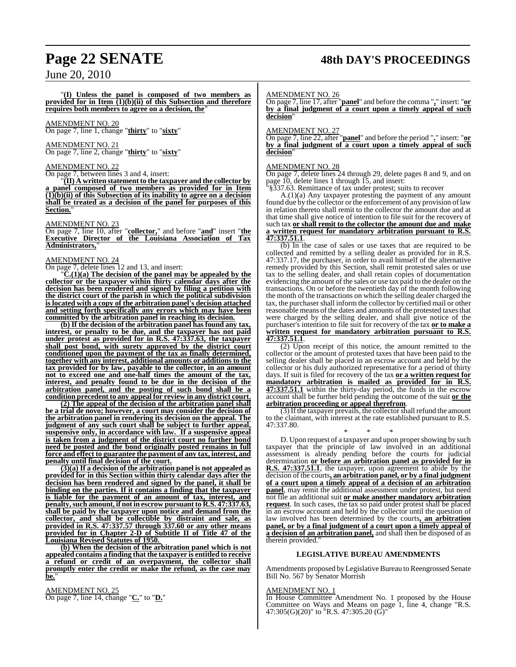# **Page 22 SENATE 48th DAY'S PROCEEDINGS**

June 20, 2010

"**(I) Unless the panel is composed of two members as provided for in Item (1)(b)(ii) of this Subsection and therefore requires both members to agree on a decision, the**"

# AMENDMENT NO. 20

On page 7, line 1, change "**thirty**" to "**sixty**"

# AMENDMENT NO. 21

On page 7, line 2, change "**thirty**" to "**sixty**"

# AMENDMENT NO. 22

On page 7, between lines 3 and 4, insert:

"**(II) A written statement to the taxpayer and the collector by a panel composed of two members as provided for in Item (1)(b)(ii) of this Subsection of its inability to agree on a decision shall be treated as a decision of the panel for purposes of this Section.**"

AMENDMENT NO. 23

On page 7, line 10, after "**collector,**" and before "**and**" insert "**the Executive Director of the Louisiana Association of Tax Administrators,**"

## AMENDMENT NO. 24

On page 7, delete lines 12 and 13, and insert:

"**C.(1)(a) The decision of the panel may be appealed by the collector or the taxpayer within thirty calendar days after the decision has been rendered and signed by filing a petition with the district court of the parish in which the political subdivision is located with a copy of the arbitration panel's decision attached and setting forth specifically any errors which may have been committed by the arbitration panel in reaching its decision.**

**(b) If the decision of the arbitration panel has found any tax, interest, or penalty to be due, and the taxpayer has not paid under protest as provided for in R.S. 47:337.63, the taxpayer shall post bond, with surety approved by the district court conditioned upon the payment of the tax as finally determined, together with any interest, additional amounts or additions to the tax provided for by law, payable to the collector, in an amount not to exceed one and one-half times the amount of the tax, interest, and penalty found to be due in the decision of the arbitration panel, and the posting of such bond shall be a condition precedent to any appeal for review in any district court.**

**(2) The appeal of the decision of the arbitration panel shall be a trial de novo; however, a court may consider the decision of the arbitration panel in rendering its decision on the appeal. The judgment of any such court shall be subject to further appeal, suspensive only, in accordance with law. If a suspensive appeal is taken from a judgment of the district court no further bond need be posted and the bond originally posted remains in full force and effect to guarantee the payment of any tax, interest, and penalty until final decision of the court.**

**(3)(a) If a decision of the arbitration panel is not appealed as provided for in this Section within thirty calendar days after the decision has been rendered and signed by the panel, it shall be binding on the parties. If it contains a finding that the taxpayer is liable for the payment of an amount of tax, interest, and penalty,such amount, if notin escrow pursuant to R.S. 47:337.63, shall be paid by the taxpayer upon notice and demand from the collector, and shall be collectible by distraint and sale, as provided in R.S. 47:337.57 through 337.60 or any other means provided for in Chapter 2-D of Subtitle II of Title 47 of the Louisiana Revised Statutes of 1950.** 

**(b) When the decision of the arbitration panel which is not appealed contains a finding that the taxpayer is entitled to receive a refund or credit of an overpayment, the collector shall promptly enter the credit or make the refund, as the case may be.**"

AMENDMENT NO. 25 On page 7, line 14, change "**C.**" to "**D.**"

# AMENDMENT NO. 26

On page 7, line 17, after "**panel**" and before the comma "**,**" insert: "**or by a final judgment of a court upon a timely appeal of such decision**"

## AMENDMENT NO. 27

On page 7, line 22, after "**panel**" and before the period "**.**" insert: "**or by a final judgment of a court upon a timely appeal of such decision**"

# AMENDMENT NO. 28

On page 7, delete lines 24 through 29, delete pages 8 and 9, and on page 10, delete lines 1 through 15, and insert:

§337.63. Remittance of tax under protest; suits to recover

A.(1)(a) Any taxpayer protesting the payment of any amount found due by the collector or the enforcement of any provision of law in relation thereto shall remit to the collector the amount due and at that time shall give notice of intention to file suit for the recovery of such tax **or shall remit to the collector the amount due and make a written request for mandatory arbitration pursuant to R.S. 47:337.51.1**.

(b) In the case of sales or use taxes that are required to be collected and remitted by a selling dealer as provided for in R.S. 47:337.17, the purchaser, in order to avail himself of the alternative remedy provided by this Section, shall remit protested sales or use tax to the selling dealer, and shall retain copies of documentation evidencing the amount of the sales or use tax paid to the dealer on the transactions. On or before the twentieth day of the month following the month of the transactions on which the selling dealer charged the tax, the purchaser shall inform the collector by certified mail or other reasonable means of the dates and amounts of the protested taxes that were charged by the selling dealer, and shall give notice of the purchaser's intention to file suit for recovery of the tax **or to make a written request for mandatory arbitration pursuant to R.S. 47:337.51.1**.

(2) Upon receipt of this notice, the amount remitted to the collector or the amount of protested taxes that have been paid to the selling dealer shall be placed in an escrow account and held by the collector or his duly authorized representative for a period of thirty days. If suit is filed for recovery of the tax **or a written request for mandatory arbitration is mailed as provided for in R.S. 47:337.51.1** within the thirty-day period, the funds in the escrow account shall be further held pending the outcome of the suit **or the arbitration proceeding or appeal therefrom**.

(3) Ifthe taxpayer prevails, the collectorshall refund the amount to the claimant, with interest at the rate established pursuant to R.S. 47:337.80.

\* \* \* D. Upon request of a taxpayer and upon propershowing by such taxpayer that the principle of law involved in an additional assessment is already pending before the courts for judicial determination **or before an arbitration panel as provided for in R.S. 47:337.51.1**, the taxpayer, upon agreement to abide by the decision of the courts**, an arbitration panel, or by a final judgment of a court upon a timely appeal of a decision of an arbitration panel**, may remit the additional assessment under protest, but need not file an additional suit **or make another mandatory arbitration request**. In such cases, the tax so paid under protest shall be placed in an escrow account and held by the collector until the question of law involved has been determined by the courts**, an arbitration panel, or by a final judgment of a court upon a timely appeal of a decision of an arbitration panel,** and shall then be disposed of as therein provided.

# **LEGISLATIVE BUREAU AMENDMENTS**

Amendments proposed by Legislative Bureau to Reengrossed Senate Bill No. 567 by Senator Morrish

## AMENDMENT NO. 1

In House Committee Amendment No. 1 proposed by the House Committee on Ways and Means on page 1, line 4, change "R.S. 47:305(G)(20)" to "R.S. 47:305.20 (G)"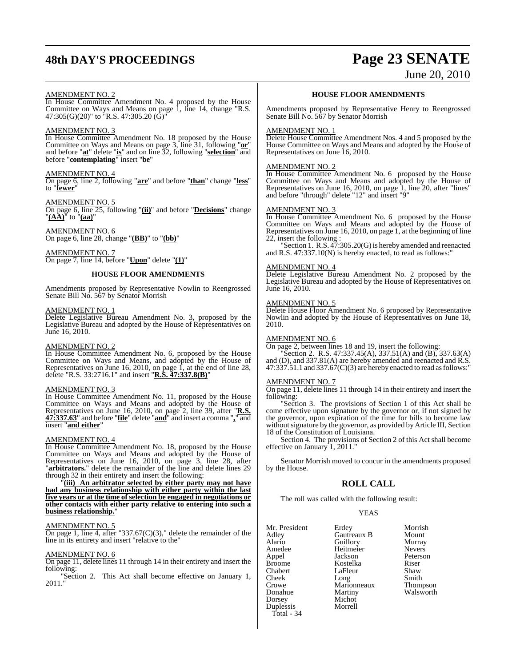# **48th DAY'S PROCEEDINGS Page 23 SENATE**

# June 20, 2010

# AMENDMENT NO. 2

In House Committee Amendment No. 4 proposed by the House Committee on Ways and Means on page 1, line 14, change "R.S. 47:305(G)(20)" to "R.S. 47:305.20 (G)"

## AMENDMENT NO. 3

In House Committee Amendment No. 18 proposed by the House Committee on Ways and Means on page 3, line 31, following "**or**" and before "**at**" delete "**is**" and on line 32, following "**selection**" and before "**contemplating**" insert "**be**"

# AMENDMENT NO. 4

On page 6, line 2, following "**are**" and before "**than**" change "**less**" to "**fewer**"

## AMENDMENT NO. 5

On page 6, line 25, following "**(ii)**" and before "**Decisions**" change "**(AA)**" to "**(aa)**"

AMENDMENT NO. 6 On page 6, line 28, change "**(BB)**" to "**(bb)**"

## AMENDMENT NO. 7 On page 7, line 14, before "**Upon**" delete "**(1)**"

# **HOUSE FLOOR AMENDMENTS**

Amendments proposed by Representative Nowlin to Reengrossed Senate Bill No. 567 by Senator Morrish

# AMENDMENT NO. 1

Delete Legislative Bureau Amendment No. 3, proposed by the Legislative Bureau and adopted by the House of Representatives on June 16, 2010.

# AMENDMENT NO. 2

In House Committee Amendment No. 6, proposed by the House Committee on Ways and Means, and adopted by the House of Representatives on June 16, 2010, on page 1, at the end of line 28, delete "R.S. 33:2716.1" and insert "**R.S. 47:337.8(B)**"

# AMENDMENT NO. 3

In House Committee Amendment No. 11, proposed by the House Committee on Ways and Means and adopted by the House of Representatives on June 16, 2010, on page 2, line 39, after "**R.S. 47:337.63**" and before "**file**" delete "**and**" and insert a comma "**,**" and insert "**and either**"

# AMENDMENT NO. 4

In House Committee Amendment No. 18, proposed by the House Committee on Ways and Means and adopted by the House of Representatives on June 16, 2010, on page 3, line 28, after "**arbitrators.**" delete the remainder of the line and delete lines 29 through 32 in their entirety and insert the following:

"**(iii) An arbitrator selected by either party may not have had any business relationship with either party within the last five years or at the time of selection be engaged in negotiations or other contacts with either party relative to entering into such a business relationship.**"

# AMENDMENT NO. 5

On page 1, line 4, after "337.67 $(C)(3)$ ," delete the remainder of the line in its entirety and insert "relative to the"

# AMENDMENT NO. 6

On page 11, delete lines 11 through 14 in their entirety and insert the following:

"Section 2. This Act shall become effective on January 1, 2011."

# **HOUSE FLOOR AMENDMENTS**

Amendments proposed by Representative Henry to Reengrossed Senate Bill No. 567 by Senator Morrish

## AMENDMENT NO. 1

Delete House Committee Amendment Nos. 4 and 5 proposed by the House Committee on Ways and Means and adopted by the House of Representatives on June 16, 2010.

# AMENDMENT NO. 2

In House Committee Amendment No. 6 proposed by the House Committee on Ways and Means and adopted by the House of Representatives on June 16, 2010, on page 1, line 20, after "lines" and before "through" delete "12" and insert "9"

# AMENDMENT NO. 3

In House Committee Amendment No. 6 proposed by the House Committee on Ways and Means and adopted by the House of Representatives on June 16, 2010, on page 1, at the beginning of line 22, insert the following :

"Section 1. R.S. 47:305.20(G) is hereby amended and reenacted and R.S. 47:337.10(N) is hereby enacted, to read as follows:"

# AMENDMENT NO. 4

Delete Legislative Bureau Amendment No. 2 proposed by the Legislative Bureau and adopted by the House of Representatives on June 16, 2010.

# AMENDMENT NO. 5

Delete House Floor Amendment No. 6 proposed by Representative Nowlin and adopted by the House of Representatives on June 18, 2010.

# AMENDMENT NO. 6

On page 2, between lines 18 and 19, insert the following:

"Section 2. R.S. 47:337.45(A), 337.51(A) and (B), 337.63(A) and (D), and 337.81(A) are hereby amended and reenacted and R.S. 47:337.51.1 and 337.67(C)(3) are hereby enacted to read asfollows:"

# AMENDMENT NO. 7

On page 11, delete lines 11 through 14 in their entirety and insert the following:

"Section 3. The provisions of Section 1 of this Act shall be come effective upon signature by the governor or, if not signed by the governor, upon expiration of the time for bills to become law without signature by the governor, as provided by Article III, Section 18 of the Constitution of Louisiana.

Section 4. The provisions of Section 2 of this Act shall become effective on January<sup>1</sup>, 2011."

Senator Morrish moved to concur in the amendments proposed by the House.

# **ROLL CALL**

The roll was called with the following result:

# YEAS

| Mr. President | Erdey       | Morrish       |
|---------------|-------------|---------------|
| Adley         | Gautreaux B | Mount         |
| Alario        | Guillory    | Murray        |
| Amedee        | Heitmeier   | <b>Nevers</b> |
| Appel         | Jackson     | Peterson      |
| Broome        | Kostelka    | Riser         |
| Chabert       | LaFleur     | Shaw          |
| Cheek         | Long        | Smith         |
| Crowe         | Marionneaux | Thompson      |
| Donahue       | Martiny     | Walsworth     |
| Dorsey        | Michot      |               |
| Duplessis     | Morrell     |               |
| Total - 34    |             |               |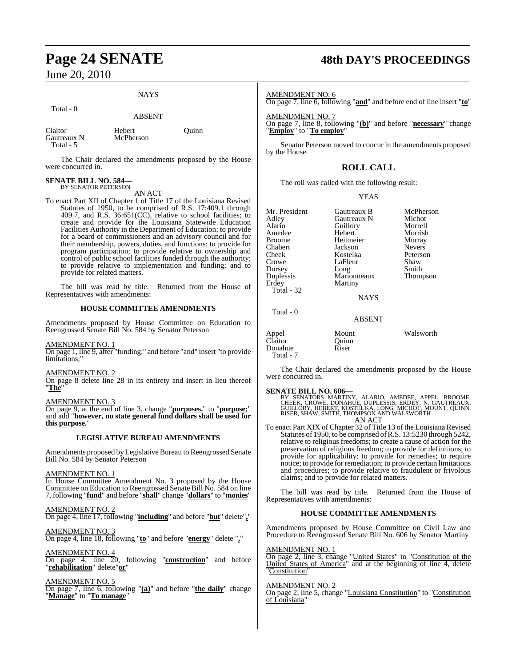# **NAYS**

Total - 0

# ABSENT

| Claitor     | Hebert    | Ouinn |
|-------------|-----------|-------|
| Gautreaux N | McPherson |       |
| Total - $5$ |           |       |

The Chair declared the amendments proposed by the House were concurred in.

# **SENATE BILL NO. 584—** BY SENATOR PETERSON

AN ACT

To enact Part XII of Chapter 1 of Title 17 of the Louisiana Revised Statutes of 1950, to be comprised of R.S. 17:409.1 through 409.7, and R.S.  $36:651(CC)$ , relative to school facilities; to create and provide for the Louisiana Statewide Education Facilities Authority in the Department of Education; to provide for a board of commissioners and an advisory council and for their membership, powers, duties, and functions; to provide for program participation; to provide relative to ownership and control of public school facilities funded through the authority; to provide relative to implementation and funding; and to provide for related matters.

The bill was read by title. Returned from the House of Representatives with amendments:

# **HOUSE COMMITTEE AMENDMENTS**

Amendments proposed by House Committee on Education to Reengrossed Senate Bill No. 584 by Senator Peterson

AMENDMENT NO. 1

On page 1, line 9, after "funding;" and before "and" insert "to provide limitations;"

# AMENDMENT NO. 2

On page 8 delete line 28 in its entirety and insert in lieu thereof "**The**"

AMENDMENT NO. 3

On page 9, at the end of line 3, change "**purposes.**" to "**purpose;**" and add "**however, no state general fund dollars shall be used for this purpose.**"

# **LEGISLATIVE BUREAU AMENDMENTS**

Amendments proposed by Legislative Bureau to Reengrossed Senate Bill No. 584 by Senator Peterson

AMENDMENT NO. 1

In House Committee Amendment No. 3 proposed by the House Committee on Education to Reengrossed Senate Bill No. 584 on line 7, following "**fund**" and before "**shall**" change "**dollars**" to "**monies**"

AMENDMENT NO. 2

On page 4, line 17, following "**including**" and before "**but**" delete"**,**"

AMENDMENT NO. 3 On page 4, line 18, following "**to**" and before "**energy**" delete "**,**"

AMENDMENT NO. 4 On page 4, line 20, following "**construction**" and before "**rehabilitation**" delete"**or**"

<u>AMENDMENT NO. 5</u>

On page 7, line 6, following "**(a)**" and before "**the daily**" change "**Manage**" to "**To manage**"

# **Page 24 SENATE 48th DAY'S PROCEEDINGS**

AMENDMENT NO. 6

On page 7, line 6, following "**and**" and before end of line insert "**to**"

AMENDMENT NO. 7 On page 7, line 8, following "**(b)**" and before "**necessary**" change "**Employ**" to "**To employ**"

Senator Peterson moved to concur in the amendments proposed by the House.

# **ROLL CALL**

The roll was called with the following result:

# YEAS

| Mr. President<br>Adley<br>Alario<br>Amedee<br><b>Broome</b><br>Chabert<br>Cheek<br>Crowe<br>Dorsey | Gautreaux B<br>Gautreaux N<br>Guillory<br>Hebert<br>Heitmeier<br>Jackson<br>Kostelka<br>LaFleur<br>Long | McPherson<br>Michot<br>Morrell<br>Morrish<br>Murray<br><b>Nevers</b><br>Peterson<br>Shaw<br>Smith |
|----------------------------------------------------------------------------------------------------|---------------------------------------------------------------------------------------------------------|---------------------------------------------------------------------------------------------------|
| Duplessis<br>Erdey                                                                                 | Marionneaux<br>Martiny                                                                                  | Thompson                                                                                          |
| Total - 32                                                                                         | <b>NAYS</b>                                                                                             |                                                                                                   |
| Total - 0                                                                                          | <b>ABSENT</b>                                                                                           |                                                                                                   |

| Appel<br>Claitor<br>Donahue<br>Total - 7 | Mount<br>Ouinn<br>Riser | Walsworth |
|------------------------------------------|-------------------------|-----------|
|                                          |                         |           |

The Chair declared the amendments proposed by the House were concurred in.

# **SENATE BILL NO. 606—**

BY SENATORS MARTINY, ALARIO, AMEDEE, APPEL, BROOME,<br>CHEEK, CROWE, DONAHUE, DUPLESSIS, ERDEY, N. GAUTREAUX,<br>GUILLORY, HEBERT, KOSTELKA, LONG, MICHOT, MOUNT, QUINN,<br>RISER, SHAW, SMITH, THOMPSON AND WALSWORTH AN ACT

To enact Part XIX of Chapter 32 of Title 13 of the Louisiana Revised Statutes of 1950, to be comprised ofR.S. 13:5230 through 5242, relative to religious freedoms; to create a cause of action for the preservation of religious freedom; to provide for definitions; to provide for applicability; to provide for remedies; to require notice; to provide for remediation; to provide certain limitations and procedures; to provide relative to fraudulent or frivolous claims; and to provide for related matters.

The bill was read by title. Returned from the House of Representatives with amendments:

# **HOUSE COMMITTEE AMENDMENTS**

Amendments proposed by House Committee on Civil Law and Procedure to Reengrossed Senate Bill No. 606 by Senator Martiny

# AMENDMENT NO. 1

On page 2, line 3, change "United States" to "Constitution of the United States of America" and at the beginning of line 4, delete "Constitution"

# AMENDMENT NO. 2

On page 2, line 5, change "Louisiana Constitution" to "Constitution of Louisiana"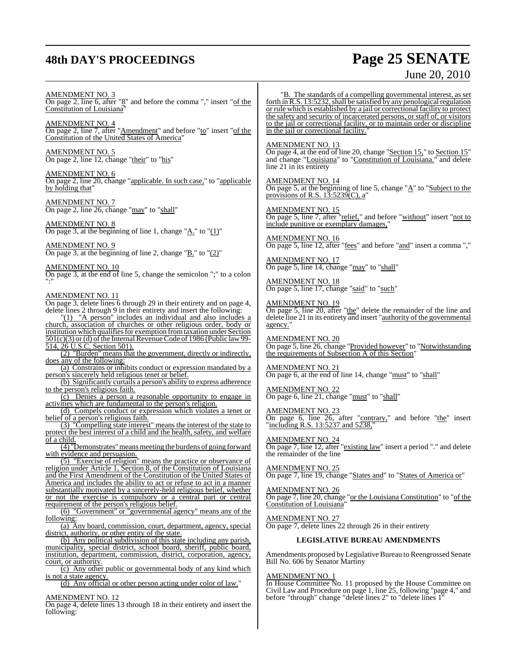# **48th DAY'S PROCEEDINGS Page 25 SENATE**

# June 20, 2010

AMENDMENT NO. 3

On page 2, line 6, after "8" and before the comma "," insert "of the Constitution of Louisiana"

AMENDMENT NO. 4 On page 2, line 7, after "<u>Amendment</u>" and before "to" insert "of the Constitution of the United States of America"

AMENDMENT NO. 5 On page 2, line 12, change "their" to "his"

AMENDMENT NO. 6 On page 2, line 20, change "applicable. In such case," to "applicable by holding that"

AMENDMENT NO. 7 On page 2, line 26, change "may" to "shall"

AMENDMENT NO. 8 On page 3, at the beginning of line 1, change "A." to " $(1)$ "

AMENDMENT NO. 9 On page 3, at the beginning of line 2, change " $\underline{B}$ ." to " $(2)$ "

AMENDMENT NO. 10 On page 3, at the end of line 5, change the semicolon ";" to a colon ":"

# AMENDMENT NO. 11

On page 3, delete lines 6 through 29 in their entirety and on page 4, delete lines 2 through 9 in their entirety and insert the following: "(1) "A person" includes an individual and also includes a

church, association of churches or other religious order, body or institution which qualifies for exemption from taxation under Section  $501(c)(3)$  or (d) of the Internal Revenue Code of 1986 (Public law 99-514, 26 U.S.C. Section 501).

(2) "Burden" means that the government, directly or indirectly, does any of the following:

(a) Constrains or inhibits conduct or expression mandated by a person's sincerely held religious tenet or belief.

(b) Significantly curtails a person's ability to express adherence to the person's religious faith.

(c) Denies a person a reasonable opportunity to engage in activities which are fundamental to the person's religion.

(d) Compels conduct or expression which violates a tenet or belief of a person's religious faith.

(3) "Compelling state interest" means the interest of the state to protect the best interest of a child and the health, safety, and welfare of a child.

 $\overline{(4)}$  "Demonstrates" means meeting the burdens of going forward with evidence and persuasion.

(5) "Exercise of religion" means the practice or observance of religion under Article 1, Section 8, of the Constitution of Louisiana and the First Amendment of the Constitution of the United States of America and includes the ability to act or refuse to act in a manner substantially motivated by a sincerely-held religious belief, whether or not the exercise is compulsory or a central part or central requirement of the person's religious belief.

(6) "Government" or "governmental agency" means any of the following:

(a) Any board, commission, court, department, agency, special district, authority, or other entity of the state.

(b) Any political subdivision of this state including any parish, municipality, special district, school board, sheriff, public board, institution, department, commission, district, corporation, agency, court, or authority.

(c) Any other public or governmental body of any kind which is not a state agency.

(d) Any official or other person acting under color of law."

# AMENDMENT NO. 12

On page 4, delete lines 13 through 18 in their entirety and insert the following:

"B. The standards of a compelling governmental interest, as set forth in R.S. 13:5232, shall be satisfied by any penological regulation or rule which is established by a jail or correctional facility to protect the safety and security of incarcerated persons, or staff of, or visitors to the jail or correctional facility, or to maintain order or discipline in the jail or correctional facility."

AMENDMENT NO. 13

On page 4, at the end of line 20, change "Section 15," to Section 15" and change "Louisiana" to "Constitution of Louisiana." and delete line 21 in its entirety

AMENDMENT NO. 14 On page 5, at the beginning of line 5, change " $\underline{A}$ " to "Subject to the provisions of R.S.  $13:5239(C)$ , a

AMENDMENT NO. 15

On page 5, line 7, after "relief," and before "without" insert "not to include punitive or exemplary damages,

AMENDMENT NO. 16  $\overline{On}$  page 5, line 12, after "<u>fees</u>" and before " $\overline{and}$ " insert a comma ","

AMENDMENT NO. 17 On page 5, line 14, change "may" to "shall"

AMENDMENT NO. 18 On page 5, line 17, change "said" to "such"

AMENDMENT NO. 19

On page 5, line 20, after "the" delete the remainder of the line and delete line 21 in its entirety and insert "authority of the governmental agency."

AMENDMENT NO. 20 On page 5, line 26, change "Provided however" to "Notwithstanding the requirements of Subsection A of this Section"

AMENDMENT NO. 21 On page 6, at the end of line 14, change "must" to "shall"

AMENDMENT NO. 22 On page 6, line 21, change "must" to "shall"

AMENDMENT NO. 23 On page 6, line 26, after "contrary," and before "the" insert "including R.S. 13:5237 and 5238,"

AMENDMENT NO. 24 On page 7, line 12, after "existing law" insert a period "." and delete the remainder of the line

AMENDMENT NO. 25 On page 7, line 19, change "States and" to "States of America or"

AMENDMENT NO. 26

On page 7, line 20, change "or the Louisiana Constitution" to "of the Constitution of Louisiana"

AMENDMENT NO. 27 On page 7, delete lines 22 through 26 in their entirety

# **LEGISLATIVE BUREAU AMENDMENTS**

Amendments proposed byLegislative Bureau to Reengrossed Senate Bill No. 606 by Senator Martiny

# AMENDMENT NO. 1

In House Committee No. 11 proposed by the House Committee on Civil Law and Procedure on page 1, line 25, following "page 4," and before "through" change "delete lines 2" to "delete lines 1"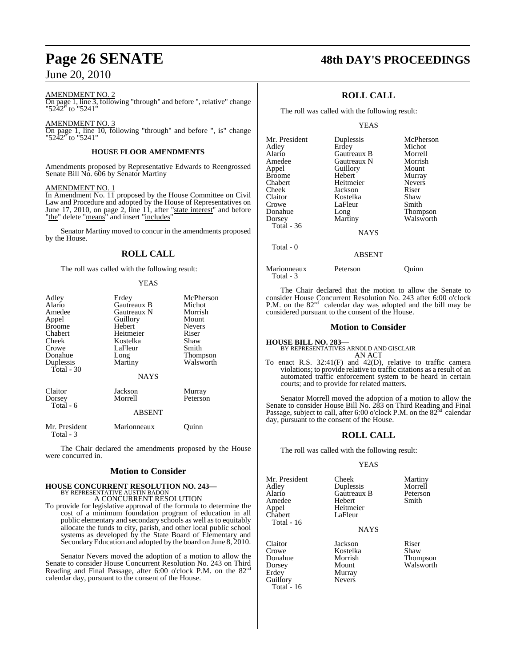# AMENDMENT NO. 2

On page 1, line 3, following "through" and before ", relative" change "5242" to "5241"

# AMENDMENT NO. 3

On page 1, line 10, following "through" and before ", is" change "5242" to "5241"

# **HOUSE FLOOR AMENDMENTS**

Amendments proposed by Representative Edwards to Reengrossed Senate Bill No. 606 by Senator Martiny

# AMENDMENT NO. 1

In Amendment No. 11 proposed by the House Committee on Civil Law and Procedure and adopted by the House of Representatives on June 17, 2010, on page 2, line 11, after "state interest" and before "the" delete "means" and insert "includes"

Senator Martiny moved to concur in the amendments proposed by the House.

# **ROLL CALL**

The roll was called with the following result:

# YEAS

| Adley<br>Alario<br>Amedee<br>Appel<br><b>Broome</b><br>Chabert<br>Cheek<br>Crowe<br>Donahue<br>Duplessis<br>Total $-30$ | Erdey<br>Gautreaux B<br>Gautreaux N<br>Guillory<br>Hebert<br>Heitmeier<br>Kostelka<br>LaFleur<br>Long<br>Martiny<br><b>NAYS</b> | McPherson<br>Michot<br>Morrish<br>Mount<br><b>Nevers</b><br>Riser<br>Shaw<br>Smith<br>Thompson<br>Walsworth |
|-------------------------------------------------------------------------------------------------------------------------|---------------------------------------------------------------------------------------------------------------------------------|-------------------------------------------------------------------------------------------------------------|
| Claitor<br>Dorsey<br>Total - 6                                                                                          | Jackson<br>Morrell<br><b>ABSENT</b>                                                                                             | Murray<br>Peterson                                                                                          |
| Mr. President<br>Total - 3                                                                                              | Marionneaux                                                                                                                     | Juınn                                                                                                       |

The Chair declared the amendments proposed by the House were concurred in.

# **Motion to Consider**

# **HOUSE CONCURRENT RESOLUTION NO. 243—**

BY REPRESENTATIVE AUSTIN BADON A CONCURRENT RESOLUTION

To provide for legislative approval of the formula to determine the cost of a minimum foundation program of education in all public elementary and secondary schools as well as to equitably allocate the funds to city, parish, and other local public school systems as developed by the State Board of Elementary and Secondary Education and adopted by the board on June 8, 2010.

Senator Nevers moved the adoption of a motion to allow the Senate to consider House Concurrent Resolution No. 243 on Third Reading and Final Passage, after 6:00 o'clock P.M. on the 82nd calendar day, pursuant to the consent of the House.

# **Page 26 SENATE 48th DAY'S PROCEEDINGS**

# **ROLL CALL**

The roll was called with the following result:

# YEAS

| Mr. President | Duplessis   | McPherson       |
|---------------|-------------|-----------------|
| Adley         | Erdey       | Michot          |
| Alario        | Gautreaux B | Morrell         |
| Amedee        | Gautreaux N | Morrish         |
| Appel         | Guillory    | Mount           |
| <b>Broome</b> | Hebert      | Murray          |
| Chabert       | Heitmeier   | <b>Nevers</b>   |
| Cheek         | Jackson     | Riser           |
| Claitor       | Kostelka    | Shaw            |
| Crowe         | LaFleur     | Smith           |
| Donahue       | Long        | <b>Thompson</b> |
| Dorsey        | Martiny     | Walsworth       |
| Total - 36    |             |                 |
|               | <b>NAYS</b> |                 |
| Total - 0     |             |                 |
|               | ABSENT      |                 |

Marionneaux Peterson Quinn Total - 3

The Chair declared that the motion to allow the Senate to consider House Concurrent Resolution No. 243 after 6:00 o'clock P.M. on the  $82<sup>nd</sup>$  calendar day was adopted and the bill may be

# considered pursuant to the consent of the House.

# **Motion to Consider**

#### **HOUSE BILL NO. 283—** BY REPRESENTATIVES ARNOLD AND GISCLAIR AN ACT

To enact R.S. 32:41(F) and 42(D), relative to traffic camera violations; to provide relative to traffic citations as a result of an automated traffic enforcement system to be heard in certain courts; and to provide for related matters.

Senator Morrell moved the adoption of a motion to allow the Senate to consider House Bill No. 283 on Third Reading and Final<br>Passage, subject to call, after 6:00 o'clock P.M. on the 82<sup>nd</sup> calendar day, pursuant to the consent of the House.

# **ROLL CALL**

The roll was called with the following result:

# YEAS

| Mr. President<br>Adley<br>Alario<br>Amedee<br>Appel<br>Chabert<br>Total - 16 | Cheek<br>Duplessis<br>Gautreaux B<br>Hebert<br>Heitmeier<br>LaFleur<br><b>NAYS</b> | Martiny<br>Morrell<br>Peterson<br>Smith |
|------------------------------------------------------------------------------|------------------------------------------------------------------------------------|-----------------------------------------|
| Claitor                                                                      | Jackson                                                                            | Riser                                   |
| Crowe                                                                        | Kostelka                                                                           | Shaw                                    |

Donahue Morrish Thompson Erdey Murray<br>Guillory Nevers Total - 16

Guillory

Walsworth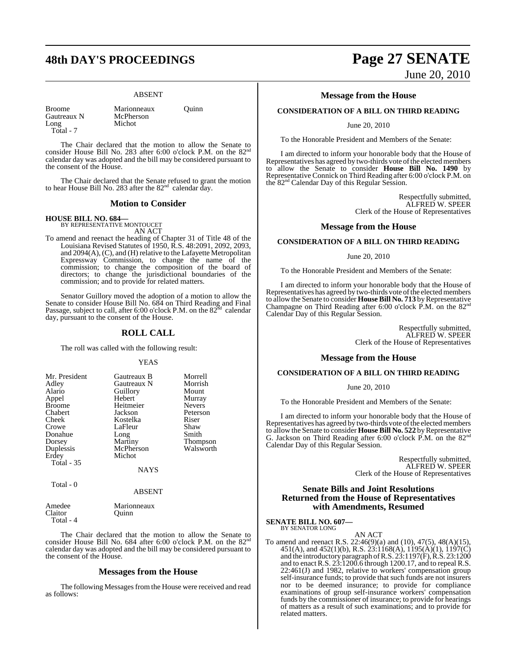# **48th DAY'S PROCEEDINGS Page 27 SENATE**

# ABSENT

Gautreaux N<br>Long Total - 7

Broome Marionneaux Quinn<br>
Gautreaux N McPherson Michot

The Chair declared that the motion to allow the Senate to consider House Bill No. 283 after 6:00 o'clock P.M. on the 82<sup>nd</sup> calendar day was adopted and the bill may be considered pursuant to the consent of the House.

The Chair declared that the Senate refused to grant the motion to hear House Bill No. 283 after the  $82<sup>nd</sup>$  calendar day.

# **Motion to Consider**

# **HOUSE BILL NO. 684—** BY REPRESENTATIVE MONTOUCET

AN ACT

To amend and reenact the heading of Chapter 31 of Title 48 of the Louisiana Revised Statutes of 1950, R.S. 48:2091, 2092, 2093, and 2094(A), (C), and (H) relative to the Lafayette Metropolitan Expressway Commission, to change the name of the commission; to change the composition of the board of directors; to change the jurisdictional boundaries of the commission; and to provide for related matters.

Senator Guillory moved the adoption of a motion to allow the Senate to consider House Bill No. 684 on Third Reading and Final<br>Passage, subject to call, after 6:00 o'clock P.M. on the 82<sup>nd</sup> calendar day, pursuant to the consent of the House.

# **ROLL CALL**

The roll was called with the following result:

### YEAS

| Mr. President     | Gautreaux B | Morrell       |
|-------------------|-------------|---------------|
| Adley             | Gautreaux N | Morrish       |
| Alario            | Guillory    | Mount         |
| Appel             | Hebert      | Murray        |
| <b>Broome</b>     | Heitmeier   | <b>Nevers</b> |
| Chabert           | Jackson     | Peterson      |
| Cheek             | Kostelka    | Riser         |
| Crowe             | LaFleur     | Shaw          |
| Donahue           | Long        | Smith         |
| Dorsey            | Martiny     | Thompson      |
| Duplessis         | McPherson   | Walsworth     |
| Erdey             | Michot      |               |
| <b>Total - 35</b> |             |               |
|                   | <b>NAYS</b> |               |

Total - 0

ABSENT

| Amedee    | Marionneaux |
|-----------|-------------|
|           |             |
| Claitor   | Ouinn       |
| Total - 4 |             |

The Chair declared that the motion to allow the Senate to consider House Bill No. 684 after 6:00 o'clock P.M. on the 82<sup>nd</sup> calendar day was adopted and the bill may be considered pursuant to the consent of the House.

# **Messages from the House**

The following Messages from the House were received and read as follows:

# June 20, 2010

# **Message from the House**

# **CONSIDERATION OF A BILL ON THIRD READING**

June 20, 2010

To the Honorable President and Members of the Senate:

I am directed to inform your honorable body that the House of Representatives has agreed by two-thirds vote of the elected members to allow the Senate to consider **House Bill No. 1490** by Representative Connick on Third Reading after 6:00 o'clock P.M. on the 82nd Calendar Day of this Regular Session.

> Respectfully submitted, ALFRED W. SPEER Clerk of the House of Representatives

# **Message from the House**

# **CONSIDERATION OF A BILL ON THIRD READING**

June 20, 2010

To the Honorable President and Members of the Senate:

I am directed to inform your honorable body that the House of Representatives has agreed by two-thirds vote of the elected members to allowthe Senate to consider **House Bill No. 713** byRepresentative Champagne on Third Reading after 6:00 o'clock  $\vec{P}$ .M. on the 82<sup>nd</sup> Calendar Day of this Regular Session.

> Respectfully submitted, ALFRED W. SPEER Clerk of the House of Representatives

# **Message from the House**

# **CONSIDERATION OF A BILL ON THIRD READING**

## June 20, 2010

To the Honorable President and Members of the Senate:

I am directed to inform your honorable body that the House of Representatives has agreed by two-thirds vote of the elected members to allow the Senate to consider **House Bill No. 522** byRepresentative G. Jackson on Third Reading after 6:00 o'clock  $\check{P}$ .M. on the 82<sup>nd</sup> Calendar Day of this Regular Session.

> Respectfully submitted, ALFRED W. SPEER Clerk of the House of Representatives

# **Senate Bills and Joint Resolutions Returned from the House of Representatives with Amendments, Resumed**

# **SENATE BILL NO. 607—**

BY SENATOR LONG

AN ACT To amend and reenact R.S. 22:46(9)(a) and (10), 47(5), 48(A)(15), 451(A), and 452(1)(b), R.S. 23:1168(A), 1195(A)(1), 1197(C) and the introductory paragraph ofR.S. 23:1197(F), R.S. 23:1200 and to enact R.S. 23:1200.6 through 1200.17, and to repeal R.S. 22:461(J) and 1982, relative to workers' compensation group self-insurance funds; to provide that such funds are not insurers nor to be deemed insurance; to provide for compliance examinations of group self-insurance workers' compensation funds by the commissioner of insurance; to provide for hearings of matters as a result of such examinations; and to provide for related matters.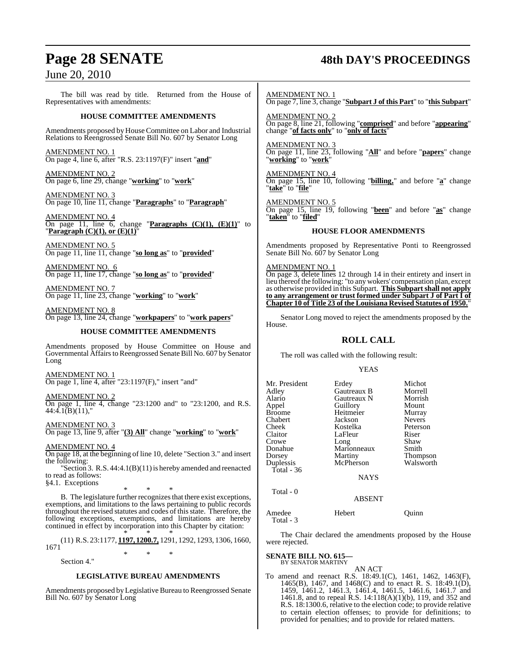# **Page 28 SENATE 48th DAY'S PROCEEDINGS**

June 20, 2010

The bill was read by title. Returned from the House of Representatives with amendments:

# **HOUSE COMMITTEE AMENDMENTS**

Amendments proposed by House Committee on Labor and Industrial Relations to Reengrossed Senate Bill No. 607 by Senator Long

AMENDMENT NO. 1 On page 4, line 6, after "R.S. 23:1197(F)" insert "**and**"

AMENDMENT NO. 2 On page 6, line 29, change "**working**" to "**work**"

AMENDMENT NO. 3 On page 10, line 11, change "**Paragraphs**" to "**Paragraph**"

AMENDMENT NO. 4 On page 11, line 6, change "**Paragraphs**  $(C)(1)$ ,  $(E)(1)$ " to "**Paragraph (C)(1), or (E)(1)**"

AMENDMENT NO. 5 On page 11, line 11, change "**so long as**" to "**provided**"

AMENDMENT NO. 6 On page 11, line 17, change "**so long as**" to "**provided**"

AMENDMENT NO. 7 On page 11, line 23, change "**working**" to "**work**"

AMENDMENT NO. 8 On page 13, line 24, change "**workpapers**" to "**work papers**"

# **HOUSE COMMITTEE AMENDMENTS**

Amendments proposed by House Committee on House and Governmental Affairs to Reengrossed Senate Bill No. 607 by Senator Long

AMENDMENT NO. 1 On page 1, line 4, after "23:1197(F)," insert "and"

AMENDMENT NO. 2

On page 1, line 4, change "23:1200 and" to "23:1200, and R.S.  $44:4.1(B)(11)$ ,"

AMENDMENT NO. 3 On page 13, line 9, after "**(3) All**" change "**working**" to "**work**"

AMENDMENT NO. 4

On page 18, at the beginning of line 10, delete "Section 3." and insert the following:

"Section 3. R.S. 44:4.1(B)(11) is hereby amended and reenacted to read as follows:

§4.1. Exceptions

\* \* \* B. The legislature further recognizes that there exist exceptions, exemptions, and limitations to the laws pertaining to public records throughout the revised statutes and codes of thisstate. Therefore, the following exceptions, exemptions, and limitations are hereby continued in effect by incorporation into this Chapter by citation:

\* \* \* (11) R.S. 23:1177, **1197, 1200.7,** 1291, 1292, 1293, 1306, 1660, 1671 \* \* \*

Section 4."

# **LEGISLATIVE BUREAU AMENDMENTS**

Amendments proposed by Legislative Bureau to Reengrossed Senate Bill No. 607 by Senator Long

AMENDMENT NO. 1

On page 7, line 3, change "**Subpart J of this Part**" to "**this Subpart**"

AMENDMENT NO. 2 On page 8, line 21, following "**comprised**" and before "**appearing**" change "**of facts only**" to "**only of facts**"

AMENDMENT NO. 3 On page 11, line 23, following "**All**" and before "**papers**" change "**working**" to "**work**"

AMENDMENT NO. 4 On page 15, line 10, following "**billing,**" and before "**a**" change "**take**" to "**file**"

AMENDMENT NO. 5 On page 15, line 19, following "**been**" and before "**as**" change "**taken**" to "**filed**"

# **HOUSE FLOOR AMENDMENTS**

Amendments proposed by Representative Ponti to Reengrossed Senate Bill No. 607 by Senator Long

# AMENDMENT NO. 1

On page 3, delete lines 12 through 14 in their entirety and insert in lieu thereof the following: "to any wokers' compensation plan, except as otherwise provided in this Subpart. **This Subpartshall not apply to any arrangement or trust formed under Subpart J of Part I of Chapter 10 of Title 23 of the Louisiana Revised Statutes of 1950.**"

Senator Long moved to reject the amendments proposed by the House.

# **ROLL CALL**

The roll was called with the following result:

# YEAS

| Mr. President | Erdey       | Michot        |
|---------------|-------------|---------------|
| Adley         | Gautreaux B | Morrell       |
| Alario        | Gautreaux N | Morrish       |
| Appel         | Guillory    | Mount         |
| Broome        | Heitmeier   | Murray        |
| Chabert       | Jackson     | <b>Nevers</b> |
| Cheek         | Kostelka    | Peterson      |
| Claitor       | LaFleur     | Riser         |
| Crowe         | Long        | Shaw          |
| Donahue       | Marionneaux | Smith         |
| Dorsey        | Martiny     | Thompson      |
| Duplessis     | McPherson   | Walsworth     |
| Total - 36    |             |               |
|               | <b>NAYS</b> |               |
| Total - 0     |             |               |
|               | ARSENT      |               |

Total - 3

Amedee Hebert Quinn

The Chair declared the amendments proposed by the House were rejected.

**SENATE BILL NO. 615—** BY SENATOR MARTINY

AN ACT

To amend and reenact R.S. 18:49.1(C), 1461, 1462, 1463(F), 1465(B), 1467, and 1468(C) and to enact R. S. 18:49.1(D), 1459, 1461.2, 1461.3, 1461.4, 1461.5, 1461.6, 1461.7 and 1461.8, and to repeal R.S. 14:118(A)(1)(b), 119, and 352 and R.S. 18:1300.6, relative to the election code; to provide relative to certain election offenses; to provide for definitions; to provided for penalties; and to provide for related matters.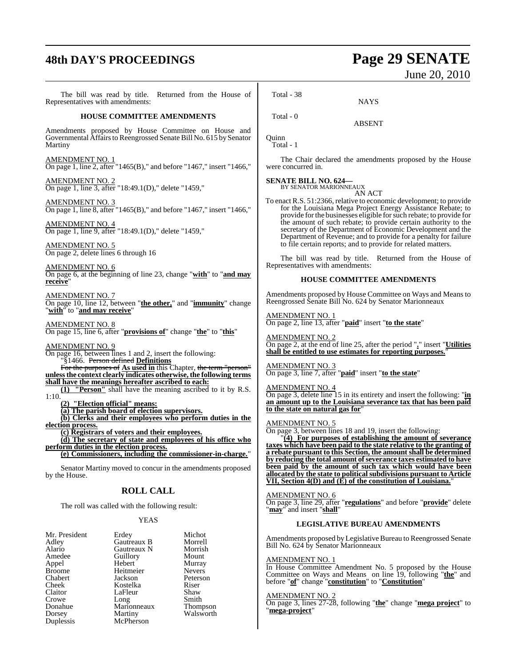# **48th DAY'S PROCEEDINGS Page 29 SENATE**

# June 20, 2010

The bill was read by title. Returned from the House of Representatives with amendments: **HOUSE COMMITTEE AMENDMENTS** Amendments proposed by House Committee on House and Governmental Affairsto Reengrossed Senate Bill No. 615 by Senator Martiny AMENDMENT NO. 1 On page 1, line 2, after "1465(B)," and before "1467," insert "1466," AMENDMENT NO. 2 On page 1, line 3, after "18:49.1(D)," delete "1459," AMENDMENT NO. 3 On page 1, line 8, after "1465(B)," and before "1467," insert "1466," AMENDMENT NO. 4 On page 1, line 9, after "18:49.1(D)," delete "1459," AMENDMENT NO. 5 On page 2, delete lines 6 through 16 AMENDMENT NO. 6 On page 6, at the beginning of line 23, change "**with**" to "**and may receive** AMENDMENT NO. 7 On page 10, line 12, between "**the other,**" and "**immunity**" change "**with**" to "**and may receive**" AMENDMENT NO. 8 On page 15, line 6, after "**provisions of**" change "**the**" to "**this**" AMENDMENT NO. 9 On page 16, between lines 1 and 2, insert the following: "§1466. Person defined **Definitions** For the purposes of **As used in** this Chapter, the term "person" **unlessthe context clearly indicates otherwise, the following terms shall have the meanings hereafter ascribed to each: (1) "Person"** shall have the meaning ascribed to it by R.S. **(2) "Election official" means: (a) The parish board of election supervisors. (b) Clerks and their employees who perform duties in the election process. (c) Registrars of voters and their employees. (d) The secretary of state and employees of his office who perform duties in the election process. (e) Commissioners, including the commissioner-in-charge.**" Senator Martiny moved to concur in the amendments proposed by the House. **ROLL CALL** The roll was called with the following result: Total - 38 Total - 0 **Ouinn** Total - 1

# YEAS

| Mr. President | Erdey       | Michot          |
|---------------|-------------|-----------------|
| Adley         | Gautreaux B | Morrell         |
| Alario        | Gautreaux N | Morrish         |
| Amedee        | Guillory    | Mount           |
| Appel         | Hebert      | Murray          |
| <b>Broome</b> | Heitmeier   | <b>Nevers</b>   |
| Chabert       | Jackson     | Peterson        |
| Cheek         | Kostelka    | Riser           |
| Claitor       | LaFleur     | Shaw            |
| Crowe         | Long        | Smith           |
| Donahue       | Marionneaux | <b>Thompson</b> |
| Dorsey        | Martiny     | Walsworth       |
| Duplessis     | McPherson   |                 |

1:10.

NAYS

ABSENT

The Chair declared the amendments proposed by the House were concurred in.

**SENATE BILL NO. 624—** BY SENATOR MARIONNEAUX

AN ACT

To enact R.S. 51:2366, relative to economic development; to provide for the Louisiana Mega Project Energy Assistance Rebate; to provide for the businesses eligible for such rebate; to provide for the amount of such rebate; to provide certain authority to the secretary of the Department of Economic Development and the Department of Revenue; and to provide for a penalty for failure to file certain reports; and to provide for related matters.

The bill was read by title. Returned from the House of Representatives with amendments:

# **HOUSE COMMITTEE AMENDMENTS**

Amendments proposed by House Committee on Ways and Means to Reengrossed Senate Bill No. 624 by Senator Marionneaux

# AMENDMENT NO. 1

On page 2, line 13, after "**paid**" insert "**to the state**"

# AMENDMENT NO. 2

On page 2, at the end of line 25, after the period "**.**" insert "**Utilities shall be entitled to use estimates for reporting purposes.**"

# AMENDMENT NO. 3

On page 3, line 7, after "**paid**" insert "**to the state**"

# AMENDMENT NO. 4

On page 3, delete line 15 in its entirety and insert the following: "**in an amount up to the Louisiana severance tax that has been paid to the state on natural gas for**"

# AMENDMENT NO. 5

On page 3, between lines 18 and 19, insert the following:

"**(4) For purposes of establishing the amount of severance taxes which have been paid to the state relative to the granting of a rebate pursuant to this Section, the amount shall be determined <u>by reducing** the total amount of severance taxes estimated to have</u> **been paid by the amount of such tax which would have been allocated by the state to political subdivisions pursuant to Article VII, Section 4(D) and (E) of the constitution of Louisiana.**"

# AMENDMENT NO. 6

On page 3, line 29, after "**regulations**" and before "**provide**" delete "**may**" and insert "**shall**"

# **LEGISLATIVE BUREAU AMENDMENTS**

Amendments proposed by Legislative Bureau to Reengrossed Senate Bill No. 624 by Senator Marionneaux

# AMENDMENT NO. 1

In House Committee Amendment No. 5 proposed by the House Committee on Ways and Means on line 19, following "**the**" and before "**of**" change "**constitution**" to "**Constitution**"

# AMENDMENT NO. 2

On page 3, lines 27-28, following "**the**" change "**mega project**" to "**mega-project**"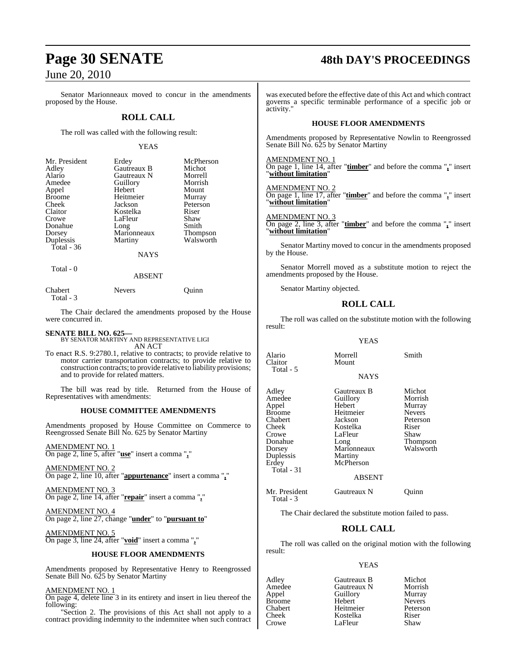Senator Marionneaux moved to concur in the amendments proposed by the House.

# **ROLL CALL**

The roll was called with the following result:

## YEAS

| Mr. President | Erdey       | McPherson       |
|---------------|-------------|-----------------|
| Adley         | Gautreaux B | Michot          |
| Alario        | Gautreaux N | Morrell         |
| Amedee        | Guillory    | Morrish         |
| Appel         | Hebert      | Mount           |
| <b>Broome</b> | Heitmeier   | Murray          |
| Cheek         | Jackson     | Peterson        |
| Claitor       | Kostelka    | Riser           |
| Crowe         | LaFleur     | Shaw            |
| Donahue       | Long        | Smith           |
| Dorsey        | Marionneaux | <b>Thompson</b> |
| Duplessis     | Martiny     | Walsworth       |
| Total - 36    |             |                 |
|               | <b>NAYS</b> |                 |

Total - 0

## ABSENT

| Chabert   | <b>Nevers</b> | Ouinn |
|-----------|---------------|-------|
| Total - 3 |               |       |

The Chair declared the amendments proposed by the House were concurred in.

**SENATE BILL NO. 625—** BY SENATOR MARTINY AND REPRESENTATIVE LIGI AN ACT

To enact R.S. 9:2780.1, relative to contracts; to provide relative to motor carrier transportation contracts; to provide relative to construction contracts; to provide relative to liability provisions; and to provide for related matters.

The bill was read by title. Returned from the House of Representatives with amendments:

## **HOUSE COMMITTEE AMENDMENTS**

Amendments proposed by House Committee on Commerce to Reengrossed Senate Bill No. 625 by Senator Martiny

AMENDMENT NO. 1

On page 2, line 5, after "**use**" insert a comma "**,**"

AMENDMENT NO. 2 On page 2, line 10, after "**appurtenance**" insert a comma "**,**"

<u>AMENDMENT NO. 3</u> On page 2, line 14, after "**repair**" insert a comma "**,**"

AMENDMENT NO. 4 On page 2, line 27, change "**under**" to "**pursuant to**"

AMENDMENT NO. 5 On page 3, line 24, after "**void**" insert a comma "**,**"

### **HOUSE FLOOR AMENDMENTS**

Amendments proposed by Representative Henry to Reengrossed Senate Bill No. 625 by Senator Martiny

# AMENDMENT NO. 1

On page 4, delete line 3 in its entirety and insert in lieu thereof the following:

"Section 2. The provisions of this Act shall not apply to a contract providing indemnity to the indemnitee when such contract

# **Page 30 SENATE 48th DAY'S PROCEEDINGS**

was executed before the effective date of this Act and which contract governs a specific terminable performance of a specific job or activity."

# **HOUSE FLOOR AMENDMENTS**

Amendments proposed by Representative Nowlin to Reengrossed Senate Bill No. 625 by Senator Martiny

AMENDMENT NO. 1

On page 1, line 14, after "**timber**" and before the comma "**,**" insert "**without limitation**"

AMENDMENT NO. 2

On page 1, line 17, after "**timber**" and before the comma "**,**" insert "**without limitation**"

AMENDMENT NO. 3

On page 2, line 3, after "**timber**" and before the comma "**,**" insert "**without limitation**"

Senator Martiny moved to concur in the amendments proposed by the House.

Senator Morrell moved as a substitute motion to reject the amendments proposed by the House.

Senator Martiny objected.

# **ROLL CALL**

The roll was called on the substitute motion with the following result:

# YEAS

Alario Morrell Smith

NAYS

Adley Gautreaux B Michot Appel Hebert Murray Broome Heitmeier Nevers<br>
Chabert Jackson Peterson Chabert Jackson Peters<br>Cheek Kostelka Riser Crowe LaFleur Shaw<br>Donahue Long Thom Duplessis<br>Erdey Total - 31

Claitor Total - 5

> Amedeu<br>The Guillory Morrish<br>Murray Murray Kostelka Marionneaux<br>Martiny **McPherson**

Donahue Long Thompson

# ABSENT

Mr. President Gautreaux N Quinn Total - 3

The Chair declared the substitute motion failed to pass.

# **ROLL CALL**

The roll was called on the original motion with the following result:

# YEAS

LaFleur

Adley **Gautreaux B** Michot<br>Amedee Gautreaux N Morrish Amedee Gautreaux N Morrish Broome Hebert Nevers<br>
Chabert Heitmeier Peterson Chabert Heitmeier Peters<br>Cheek Kostelka Riser Cheek Kostelka Riser

Appel Guillory<br>
Hebert Nevers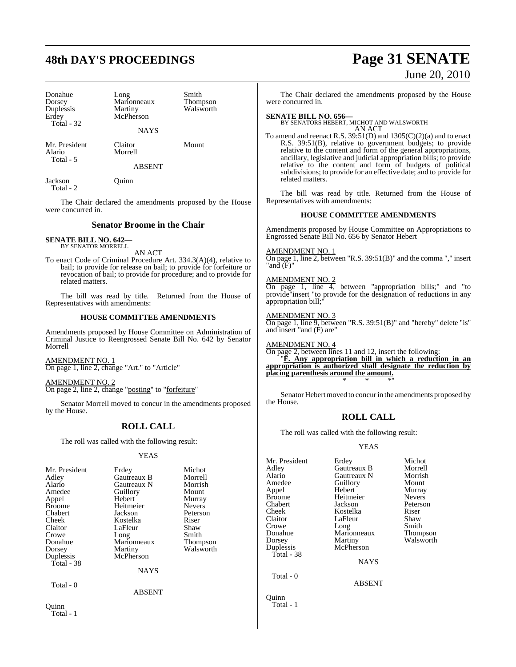# **48th DAY'S PROCEEDINGS Page 31 SENATE**

| Donahue<br>Dorsey<br>Duplessis | Long<br>Marionneaux<br>Martiny | Smith<br>Thompson<br>Walsworth |
|--------------------------------|--------------------------------|--------------------------------|
| Erdey<br><b>Total - 32</b>     | McPherson                      |                                |
|                                | <b>NAYS</b>                    |                                |
| Mr. President<br>Alario        | Claitor<br>Morrell             | Mount                          |

Total - 5

Total - 2

Jackson Quinn

The Chair declared the amendments proposed by the House were concurred in.

ABSENT

# **Senator Broome in the Chair**

**SENATE BILL NO. 642—** BY SENATOR MORRELL

AN ACT

To enact Code of Criminal Procedure Art. 334.3(A)(4), relative to bail; to provide for release on bail; to provide for forfeiture or revocation of bail; to provide for procedure; and to provide for related matters.

The bill was read by title. Returned from the House of Representatives with amendments:

# **HOUSE COMMITTEE AMENDMENTS**

Amendments proposed by House Committee on Administration of Criminal Justice to Reengrossed Senate Bill No. 642 by Senator Morrell

AMENDMENT NO. 1 On page 1, line 2, change "Art." to "Article"

AMENDMENT NO. 2 On page 2, line 2, change "posting" to "forfeiture"

Senator Morrell moved to concur in the amendments proposed by the House.

# **ROLL CALL**

The roll was called with the following result:

# YEAS

|               | Michot                                                                                                                                                  |
|---------------|---------------------------------------------------------------------------------------------------------------------------------------------------------|
|               | Morrell                                                                                                                                                 |
|               | Morrish                                                                                                                                                 |
|               | Mount                                                                                                                                                   |
|               | Murray                                                                                                                                                  |
|               | <b>Nevers</b>                                                                                                                                           |
|               | Peterson                                                                                                                                                |
|               | Riser                                                                                                                                                   |
|               | Shaw                                                                                                                                                    |
|               | Smith                                                                                                                                                   |
|               | Thompson                                                                                                                                                |
|               | Walsworth                                                                                                                                               |
|               |                                                                                                                                                         |
|               |                                                                                                                                                         |
| <b>NAYS</b>   |                                                                                                                                                         |
|               |                                                                                                                                                         |
| <b>ABSENT</b> |                                                                                                                                                         |
|               |                                                                                                                                                         |
|               | Erdey<br>Gautreaux B<br>Gautreaux N<br>Guillory<br>Hebert<br>Heitmeier<br>Jackson<br>Kostelka<br>LaFleur<br>Long<br>Marionneaux<br>Martiny<br>McPherson |

Total - 1

# June 20, 2010

The Chair declared the amendments proposed by the House were concurred in.

**SENATE BILL NO. 656—** BY SENATORS HEBERT, MICHOT AND WALSWORTH AN ACT

To amend and reenact R.S. 39:51(D) and 1305(C)(2)(a) and to enact R.S. 39:51(B), relative to government budgets; to provide relative to the content and form of the general appropriations, ancillary, legislative and judicial appropriation bills; to provide relative to the content and form of budgets of political subdivisions; to provide for an effective date; and to provide for related matters.

The bill was read by title. Returned from the House of Representatives with amendments:

# **HOUSE COMMITTEE AMENDMENTS**

Amendments proposed by House Committee on Appropriations to Engrossed Senate Bill No. 656 by Senator Hebert

AMENDMENT NO. 1

On page 1, line 2, between "R.S. 39:51(B)" and the comma "," insert "and (F)"

# AMENDMENT NO. 2

On page 1, line 4, between "appropriation bills;" and "to provide"insert "to provide for the designation of reductions in any appropriation bill;

AMENDMENT NO. 3

On page 1, line 9, between "R.S. 39:51(B)" and "hereby" delete "is" and insert "and (F) are"

AMENDMENT NO. 4 On page 2, between lines 11 and 12, insert the following:

"**F. Any appropriation bill in which a reduction in an appropriation is authorized shall designate the reduction by placing parenthesis around the amount.** \* \* \*"

Senator Hebert moved to concur in the amendments proposed by the House.

# **ROLL CALL**

The roll was called with the following result:

Guillory<br>Hebert

Heitmeier<br>Jackson

LaFleur

Marionneaux<br>Martiny

McPherson

# YEAS

| YEAS<br>ey<br>ıtreaux B<br>ıtreaux N<br>llory<br>oert<br>tmeier<br>kson<br>stelka<br><sup>7</sup> leur<br>ıg<br>rionneaux<br>rtiny<br>Pherson | Michot<br>Morrell<br>Morrish<br>Mount<br>Murray<br><b>Nevers</b><br>Peterson<br>Riser<br>Shaw<br>Smith<br><b>Thompson</b><br>Walsworth | Mr. President<br>Adley<br>Alario<br>Amedee<br>Appel<br><b>Broome</b><br>Chabert<br>Cheek<br>Claitor<br>Crowe<br>Donahue<br>Dorsey<br>Duplessis<br>Total - 38 |
|-----------------------------------------------------------------------------------------------------------------------------------------------|----------------------------------------------------------------------------------------------------------------------------------------|--------------------------------------------------------------------------------------------------------------------------------------------------------------|
| <b>NAYS</b>                                                                                                                                   |                                                                                                                                        | Total $-0$                                                                                                                                                   |
| <b>ABSENT</b>                                                                                                                                 |                                                                                                                                        | Ouinn                                                                                                                                                        |

Total - 1

Erdey Michot<br>Gautreaux B Morrell Gautreaux B Morrell<br>Gautreaux N Morrish Gautreaux N Morrish<br>
Cuillorv Mount Murray<br>Nevers Peterson<br>Riser Kostelka Riser<br>LaFleur Shaw Long Smith<br>Marionneaux Thompson Walsworth

NAYS

ABSENT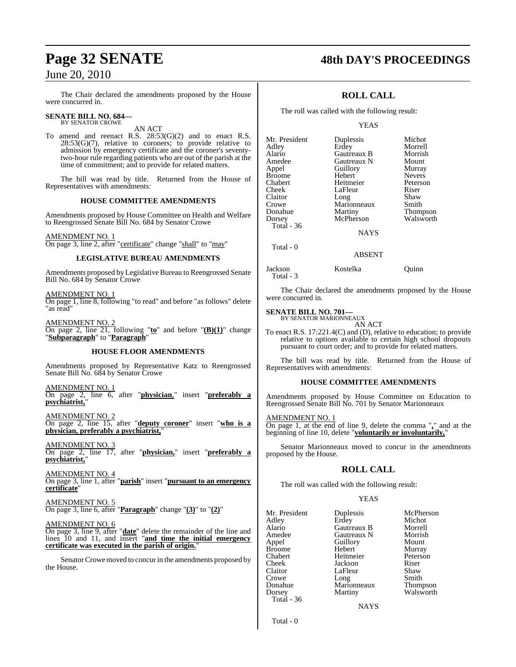The Chair declared the amendments proposed by the House were concurred in.

#### **SENATE BILL NO. 684—** BY SENATOR CROWE

AN ACT

To amend and reenact R.S. 28:53(G)(2) and to enact R.S. 28:53(G)(7), relative to coroners; to provide relative to admission by emergency certificate and the coroner's seventytwo-hour rule regarding patients who are out of the parish at the time of commitment; and to provide for related matters.

The bill was read by title. Returned from the House of Representatives with amendments:

# **HOUSE COMMITTEE AMENDMENTS**

Amendments proposed by House Committee on Health and Welfare to Reengrossed Senate Bill No. 684 by Senator Crowe

# AMENDMENT NO. 1

On page 3, line 2, after "certificate" change "shall" to "may"

# **LEGISLATIVE BUREAU AMENDMENTS**

Amendments proposed by Legislative Bureau to Reengrossed Senate Bill No. 684 by Senator Crowe

AMENDMENT NO. 1

On page 1, line 8, following "to read" and before "as follows" delete "as read"

AMENDMENT NO. 2 On page 2, line 21, following "**to**" and before "**(B)(1)**" change "**Subparagraph**" to "**Paragraph**"

# **HOUSE FLOOR AMENDMENTS**

Amendments proposed by Representative Katz to Reengrossed Senate Bill No. 684 by Senator Crowe

AMENDMENT NO. 1 On page 2, line 6, after "**physician**," insert "**preferably a psychiatrist,**"

AMENDMENT NO. 2 On page 2, line 15, after "**deputy coroner**" insert "**who is a physician, preferably a psychiatrist,**"

AMENDMENT NO. 3 On page 2, line 17, after "**physician,**" insert "**preferably a psychiatrist,**"

AMENDMENT NO. 4 On page 3, line 1, after "**parish**" insert "**pursuant to an emergency certificate**"

# AMENDMENT NO. 5

On page 3, line 6, after "**Paragraph**" change "**(3)**" to "**(2)**"

# AMENDMENT NO. 6

On page 3, line 9, after "**date**" delete the remainder of the line and lines 10 and 11, and insert "**and time the initial emergency certificate was executed in the parish of origin.**"

Senator Crowe moved to concur in the amendments proposed by the House.

# **Page 32 SENATE 48th DAY'S PROCEEDINGS**

# **ROLL CALL**

The roll was called with the following result:

YEAS

| Mr. President | Duplessis   | Michot        |
|---------------|-------------|---------------|
| Adley         | Erdey       | Morrell       |
| Alario        | Gautreaux B | Morrish       |
| Amedee        | Gautreaux N | Mount         |
| Appel         | Guillory    | Murray        |
| <b>Broome</b> | Hebert      | <b>Nevers</b> |
| Chabert       | Heitmeier   | Peterson      |
| Cheek         | LaFleur     | Riser         |
| Claitor       | Long        | Shaw          |
| Crowe         | Marionneaux | Smith         |
| Donahue       | Martiny     | Thompson      |
| Dorsey        | McPherson   | Walsworth     |
| Total - 36    |             |               |
|               | <b>NAYS</b> |               |
|               |             |               |

ABSENT

# Jackson Kostelka Quinn

Total - 3

Total - 0

The Chair declared the amendments proposed by the House were concurred in.

# **SENATE BILL NO. 701—** BY SENATOR MARIONNEAUX

AN ACT

To enact R.S. 17:221.4(C) and (D), relative to education; to provide relative to options available to certain high school dropouts pursuant to court order; and to provide for related matters.

The bill was read by title. Returned from the House of Representatives with amendments:

# **HOUSE COMMITTEE AMENDMENTS**

Amendments proposed by House Committee on Education to Reengrossed Senate Bill No. 701 by Senator Marionneaux

AMENDMENT NO. 1

On page 1, at the end of line 9, delete the comma "**,**" and at the beginning of line 10, delete "**voluntarily or involuntarily,**"

Senator Marionneaux moved to concur in the amendments proposed by the House.

# **ROLL CALL**

The roll was called with the following result:

# YEAS

Mr. President Duplessis McPherson<br>Adley Erdey Michot Adley Erdey Michot Amedee Gautreaux N Morrish<br>
Appel Guillory Mount Broome Hebert Murray<br>Chabert Heitmeier Peterson Chabert Heitmeier Peters<br>Cheek Jackson Riser Cheek Jackson Riser Crowe Long Smith<br>Donahue Marionneaux Thompson Dorsey Martiny Walsworth Total - 36

Gautreaux B Appel Guillory<br>
Hebert Murray LaFleur Shaw<br>Long Smith Marionneaux

**NAYS** 

Total - 0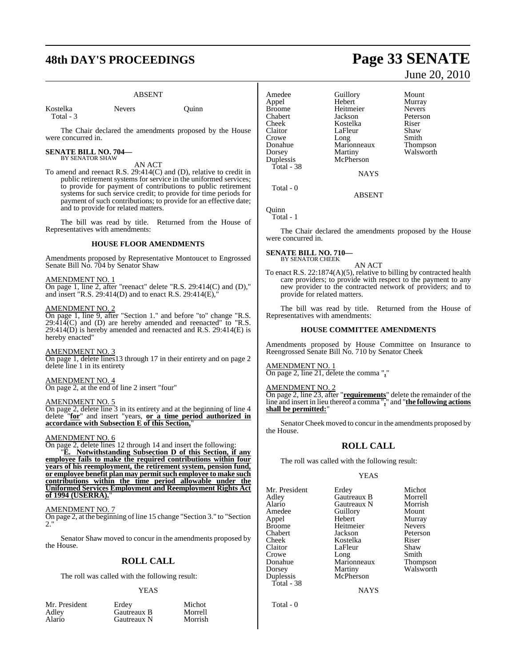# **48th DAY'S PROCEEDINGS Page 33 SENATE**

# ABSENT

Kostelka Nevers Quinn Total - 3

The Chair declared the amendments proposed by the House were concurred in.

# **SENATE BILL NO. 704—** BY SENATOR SHAW

# AN ACT

To amend and reenact R.S. 29:414(C) and (D), relative to credit in public retirement systems for service in the uniformed services; to provide for payment of contributions to public retirement systems for such service credit; to provide for time periods for payment of such contributions; to provide for an effective date; and to provide for related matters.

The bill was read by title. Returned from the House of Representatives with amendments:

# **HOUSE FLOOR AMENDMENTS**

Amendments proposed by Representative Montoucet to Engrossed Senate Bill No. 704 by Senator Shaw

# AMENDMENT NO. 1

On page 1, line 2, after "reenact" delete "R.S. 29:414(C) and (D)," and insert "R.S. 29:414(D) and to enact R.S. 29:414(E),

# AMENDMENT NO. 2

On page 1, line 9, after "Section 1." and before "to" change "R.S.  $29:414(C)$  and  $(D)$  are hereby amended and reenacted" to "R.S.  $29:414(D)$  is hereby amended and reenacted and R.S.  $29:414(E)$  is hereby enacted"

## AMENDMENT NO. 3

On page 1, delete lines13 through 17 in their entirety and on page 2 delete line 1 in its entirety

## AMENDMENT NO. 4

On page 2, at the end of line 2 insert "four"

# AMENDMENT NO. 5

On page 2, delete line 3 in its entirety and at the beginning of line 4 delete "**for**" and insert "years, **or a time period authorized in accordance with Subsection E of this Section,**"

# AMENDMENT NO. 6

On page 2, delete lines 12 through 14 and insert the following: "**E. Notwithstanding Subsection D of this Section, if any employee fails to make the required contributions within four years of his reemployment, the retirement system, pension fund, or employee benefit plan may permitsuch employee to make such contributions within the time period allowable under the Uniformed Services Employment and Reemployment Rights Act of 1994 (USERRA).**"

# AMENDMENT NO. 7

On page 2, at the beginning of line 15 change "Section 3." to "Section  $2.$ "

Senator Shaw moved to concur in the amendments proposed by the House.

# **ROLL CALL**

The roll was called with the following result:

### YEAS

| Mr. President | Erdev       | Michot  |
|---------------|-------------|---------|
| Adley         | Gautreaux B | Morrell |
| Alario        | Gautreaux N | Morrish |
|               |             |         |

Amedee Guillory Mount<br>Appel Hebert Murray Appel Hebert Murray Broome Heitmeier<br>Chabert Jackson Chabert Jackson Peterson Cheek Kostelka<br>Claitor LaFleur Crowe Long Smith<br>Donahue Marionneaux Thompson Dorsey Martiny Walsworth<br>
Duplessis McPherson Total - 38

LaFleur Shaw<br>Long Smith **Marionneaux**<br>Martiny McPherson

Total - 0

ABSENT

**NAYS** 

Quinn Total - 1

The Chair declared the amendments proposed by the House were concurred in.

#### **SENATE BILL NO. 710—** BY SENATOR CHEEK

AN ACT

To enact R.S. 22:1874(A)(5), relative to billing by contracted health care providers; to provide with respect to the payment to any new provider to the contracted network of providers; and to provide for related matters.

The bill was read by title. Returned from the House of Representatives with amendments:

# **HOUSE COMMITTEE AMENDMENTS**

Amendments proposed by House Committee on Insurance to Reengrossed Senate Bill No. 710 by Senator Cheek

# AMENDMENT NO. 1

On page 2, line 21, delete the comma "**,**"

AMENDMENT NO. 2

On page 2, line 23, after "**requirements**" delete the remainder of the line and insert in lieu thereof a comma "**,**" and "**the following actions shall be permitted:**"

Senator Cheek moved to concur in the amendments proposed by the House.

# **ROLL CALL**

The roll was called with the following result:

## YEAS

Mr. President Erdey Michot<br>Adley Gautreaux B Morrell Adley Gautreaux B Morrell Alario Gautreaux N Morrish<br>Amedee Guillory Mount Appel Broome Heitmeier Nevers Chabert Jackson Peterson Cheek Kostelka Riser<br>Claitor LaFleur Shaw Claitor LaFleur Shaw<br>Crowe Long Smith Crowe Long Smith<br>Donahue Marionneaux Thompson Donahue Marionneaux<br>Dorsey Martiny Dorsey Martiny Walsworth<br>
Duplessis McPherson Total - 38

Amedeuthory<br>
Hebert Murray McPherson

**NAYS** 

Total - 0

# June 20, 2010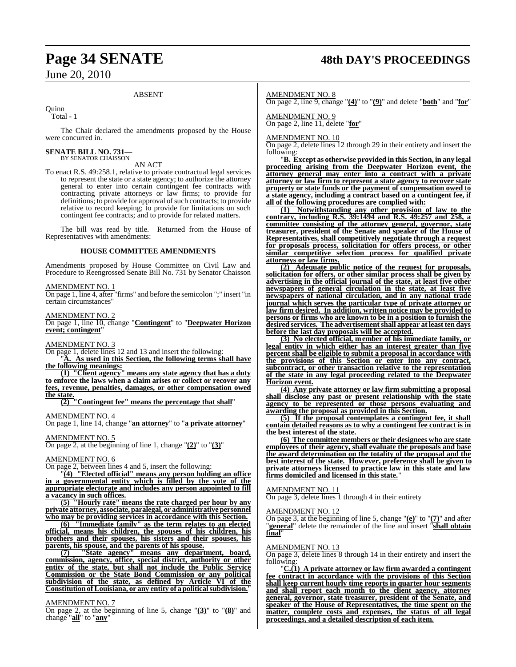# ABSENT

**Ouinn** 

Total - 1

The Chair declared the amendments proposed by the House were concurred in.

# **SENATE BILL NO. 731—** BY SENATOR CHAISSON

# AN ACT

To enact R.S. 49:258.1, relative to private contractual legal services to represent the state or a state agency; to authorize the attorney general to enter into certain contingent fee contracts with contracting private attorneys or law firms; to provide for definitions; to provide for approval of such contracts; to provide relative to record keeping; to provide for limitations on such contingent fee contracts; and to provide for related matters.

The bill was read by title. Returned from the House of Representatives with amendments:

## **HOUSE COMMITTEE AMENDMENTS**

Amendments proposed by House Committee on Civil Law and Procedure to Reengrossed Senate Bill No. 731 by Senator Chaisson

# AMENDMENT NO. 1

On page 1, line 4, after "firms" and before the semicolon ";" insert "in certain circumstances"

## AMENDMENT NO. 2

On page 1, line 10, change "**Contingent**" to "**Deepwater Horizon event; contingent**"

# AMENDMENT NO. 3

On page 1, delete lines 12 and 13 and insert the following:

"**A. As used in this Section, the following terms shall have the following meanings:**

**(1) "Client agency" means any state agency that has a duty to enforce the laws when a claim arises or collect or recover any fees, revenue, penalties, damages, or other compensation owed the state.**

**(2) "Contingent fee" means the percentage that shall**"

# AMENDMENT NO. 4

On page 1, line 14, change "**an attorney**" to "**a private attorney**"

# AMENDMENT NO. 5

On page 2, at the beginning of line 1, change "**(2)**" to "**(3)**"

# AMENDMENT NO. 6

On page 2, between lines 4 and 5, insert the following:

"**(4) "Elected official" means any person holding an office in a governmental entity which is filled by the vote of the appropriate electorate and includes any person appointed to fill a vacancy in such offices.**

**(5) "Hourly rate" means the rate charged per hour by any private attorney, associate, paralegal, or administrative personnel who may be providing services in accordance with this Section.**

**(6) "Immediate family" as the term relates to an elected official, means his children, the spouses of his children, his brothers and their spouses, his sisters and their spouses, his parents, his spouse, and the parents of his spouse.**

**(7) "State agency" means any department, board, commission, agency, office, special district, authority or other entity of the state, but shall not include the Public Service Commission or the State Bond Commission or any political subdivision of the state, as defined by Article VI of the Constitution ofLouisiana, or any entity of a politicalsubdivision.**"

# AMENDMENT NO. 7

On page 2, at the beginning of line 5, change "**(3)**" to "**(8)**" and change "**all**" to "**any**"

# **Page 34 SENATE 48th DAY'S PROCEEDINGS**

# AMENDMENT NO. 8

On page 2, line 9, change "**(4)**" to "**(9)**" and delete "**both**" and "**for**"

AMENDMENT NO. 9 On page 2, line 11, delete "**for**"

# AMENDMENT NO. 10

 $\overline{\text{On page 2}}$ , delete lines 12 through 29 in their entirety and insert the following:

"**B. Except as otherwise provided in this Section, in any legal proceeding arising from the Deepwater Horizon event, the attorney general may enter into a contract with a private attorney or law firm to represent a state agency to recover state property or state funds or the payment of compensation owed to a state agency, including a contract based on a contingent fee, if all of the following procedures are complied with:**

**(1) Notwithstanding any other provision of law to the contrary, including R.S. 39:1494 and R.S. 49:257 and 258, a committee consisting of the attorney general, governor, state treasurer, president of the Senate and speaker of the House of Representatives, shall competitively negotiate through a request for proposals process, solicitation for offers process, or other similar competitive selection process for qualified private attorneys or law firms.**

**(2) Adequate public notice of the request for proposals, solicitation for offers, or other similar process shall be given by advertising in the official journal of the state, at least five other newspapers of general circulation in the state, at least five newspapers of national circulation, and in any national trade journal which serves the particular type of private attorney or law firm desired. In addition, written notice may be provided to persons or firms who are known to be in a position to furnish the desired services. The advertisement shall appear at least ten days before the last day proposals will be accepted.**

**(3) No elected official, member of his immediate family, or legal entity in which either has an interest greater than five percent shall be eligible to submit a proposal in accordance with the provisions of this Section or enter into any contract, subcontract, or other transaction relative to the representation of the state in any legal proceeding related to the Deepwater Horizon event.**

**(4) Any private attorney or law firm submitting a proposal shall disclose any past or present relationship with the state agency to be represented or those persons evaluating and awarding the proposal as provided in this Section.**

**(5) If the proposal contemplates a contingent fee, it shall contain detailed reasons as to why a contingent fee contract is in the best interest of the state.**

**(6) The committee members or their designees who are state employees of their agency, shall evaluate the proposals and base the award determination on the totality of the proposal and the best interest of the state. However, preference shall be given to private attorneys licensed to practice law in this state and law firms domiciled and licensed in this state.**"

# AMENDMENT NO. 11

On page 3, delete lines 1 through 4 in their entirety

# AMENDMENT NO. 12

On page 3, at the beginning of line 5, change "**(e)**" to "**(7)**" and after "**general**" delete the remainder of the line and insert "**shall obtain final**"

# AMENDMENT NO. 13

On page 3, delete lines 8 through 14 in their entirety and insert the following:

"**C.(1) A private attorney or law firm awarded a contingent fee contract in accordance with the provisions of this Section shall keep current hourly time reports in quarter hour segments and shall report each month to the client agency, attorney general, governor, state treasurer, president of the Senate, and speaker of the House of Representatives, the time spent on the matter, complete costs and expenses, the status of all legal proceedings, and a detailed description of each item.**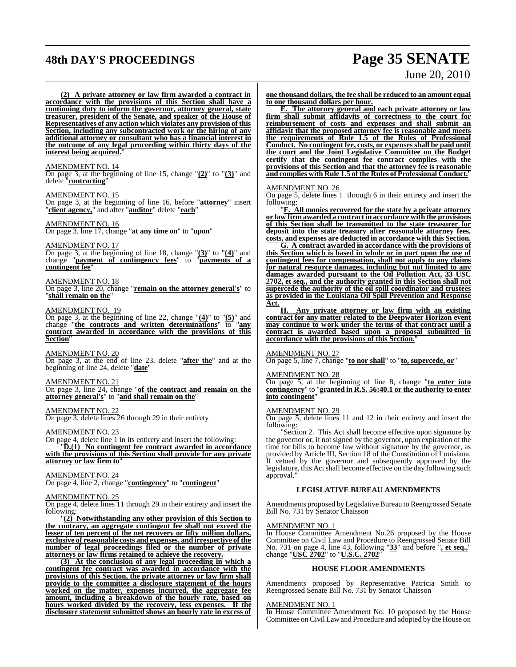# **48th DAY'S PROCEEDINGS Page 35 SENATE**

# June 20, 2010

**(2) A private attorney or law firm awarded a contract in accordance with the provisions of this Section shall have a continuing duty to inform the governor, attorney general, state treasurer, president of the Senate, and speaker of the House of Representatives of any action which violates any provision of this Section, including any subcontracted work or the hiring of any additional attorney or consultant who has a financial interest in the outcome of any legal proceeding within thirty days of the interest being acquired.**"

# AMENDMENT NO. 14

On page 3, at the beginning of line 15, change "**(2)**" to "**(3)**" and delete "**contracting**"

## AMENDMENT NO. 15

On page 3, at the beginning of line 16, before "**attorney**" insert "**client agency,**" and after "**auditor**" delete "**each**"

# AMENDMENT NO. 16

On page 3, line 17, change "**at any time on**" to "**upon**"

AMENDMENT NO. 17

On page 3, at the beginning of line 18, change "**(3)**" to "**(4)**" and change "**payment of contingency fees**" to "**payments of a contingent fee**"

# AMENDMENT NO. 18

On page 3, line 20, change "**remain on the attorney general's**" to "**shall remain on the**"

## AMENDMENT NO. 19

On page 3, at the beginning of line 22, change "**(4)**" to "**(5)**" and change "**the contracts and written determinations**" to "**any contract awarded in accordance with the provisions of this Section**"

# AMENDMENT NO. 20

On page 3, at the end of line 23, delete "**after the**" and at the beginning of line 24, delete "**date**"

# AMENDMENT NO. 21

On page 3, line 24, change "**of the contract and remain on the attorney general's**" to "**and shall remain on the**"

# AMENDMENT NO. 22

On page 3, delete lines 26 through 29 in their entirety

# AMENDMENT NO. 23

On page 4, delete line  $\overline{1}$  in its entirety and insert the following:

"**D.(1) No contingent fee contract awarded in accordance with the provisions of this Section shall provide for any private attorney or law firm to**"

## AMENDMENT NO. 24

On page 4, line 2, change "**contingency**" to "**contingent**"

# AMENDMENT NO. 25

On page 4, delete lines 11 through 29 in their entirety and insert the following:

"**(2) Notwithstanding any other provision of this Section to the contrary, an aggregate contingent fee shall not exceed the lesser of ten percent of the net recovery or fifty million dollars, exclusive of reasonable costs and expenses, and irrespective of the number of legal proceedings filed or the number of private attorneys or law firms retained to achieve the recovery.**

**(3) At the conclusion of any legal proceeding in which a contingent fee contract was awarded in accordance with the provisions of this Section, the private attorney or law firm shall provide to the committee a disclosure statement of the hours worked on the matter, expenses incurred, the aggregate fee amount, including a breakdown of the hourly rate, based on hours worked divided by the recovery, less expenses. If the disclosure statement submitted shows an hourly rate in excess of**

**one thousand dollars, the fee shall be reduced to an amount equal to one thousand dollars per hour.**

**E. The attorney general and each private attorney or law firm shall submit affidavits of correctness to the court for reimbursement of costs and expenses and shall submit an affidavit that the proposed attorney fee is reasonable and meets the requirements of Rule 1.5 of the Rules of Professional Conduct. No contingent fee, costs, or expenses shall be paid until the court and the Joint Legislative Committee on the Budget certify that the contingent fee contract complies with the provisions of this Section and that the attorney fee is reasonable and complies with Rule 1.5 of the Rules of Professional Conduct.**"

# AMENDMENT NO. 26

On page 5, delete lines 1 through 6 in their entirety and insert the following:

"**F. All monies recovered for the state by a private attorney or law firm awarded a contract in accordance with the provisions of this Section shall be transmitted to the state treasurer for deposit into the state treasury after reasonable attorney fees, costs, and expenses are deducted in accordance with this Section.**

**G. A contract awarded in accordance with the provisions of this Section which is based in whole or in part upon the use of contingent fees for compensation, shall not apply to any claims for natural resource damages, including but not limited to any damages awarded pursuant to the Oil Pollution Act, 33 USC 2702, et seq., and the authority granted in this Section shall not supercede the authority of the oil spill coordinator and trustees as provided in the Louisiana Oil Spill Prevention and Response Act.**

**H. Any private attorney or law firm with an existing contract for any matter related to the Deepwater Horizon event may continue to work under the terms of that contract until a contract is awarded based upon a proposal submitted in accordance with the provisions of this Section.**"

# AMENDMENT NO. 27

On page 5, line 7, change "**to nor shall**" to "**to, supercede, or**"

### AMENDMENT NO. 28

On page 5, at the beginning of line 8, change "**to enter into contingency**" to "**granted in R.S. 56:40.1 or the authority to enter into contingent**"

# AMENDMENT NO. 29

On page 5, delete lines 11 and 12 in their entirety and insert the following:

"Section 2. This Act shall become effective upon signature by the governor or, if not signed by the governor, upon expiration of the time for bills to become law without signature by the governor, as provided by Article III, Section 18 of the Constitution of Louisiana. If vetoed by the governor and subsequently approved by the legislature, this Act shall become effective on the day following such approval.

# **LEGISLATIVE BUREAU AMENDMENTS**

Amendments proposed byLegislative Bureau to Reengrossed Senate Bill No. 731 by Senator Chaisson

#### <u>AMENDMENT NO. 1</u>

In House Committee Amendment No.26 proposed by the House Committee on Civil Law and Procedure to Reengrossed Senate Bill No. 731 on page 4, line 43, following "**33**" and before "**, et seq.,**" change "**USC 2702**" to "**U.S.C. 2702**"

# **HOUSE FLOOR AMENDMENTS**

Amendments proposed by Representative Patricia Smith to Reengrossed Senate Bill No. 731 by Senator Chaisson

# AMENDMENT NO. 1

In House Committee Amendment No. 10 proposed by the House Committee onCivil Lawand Procedure and adopted by the House on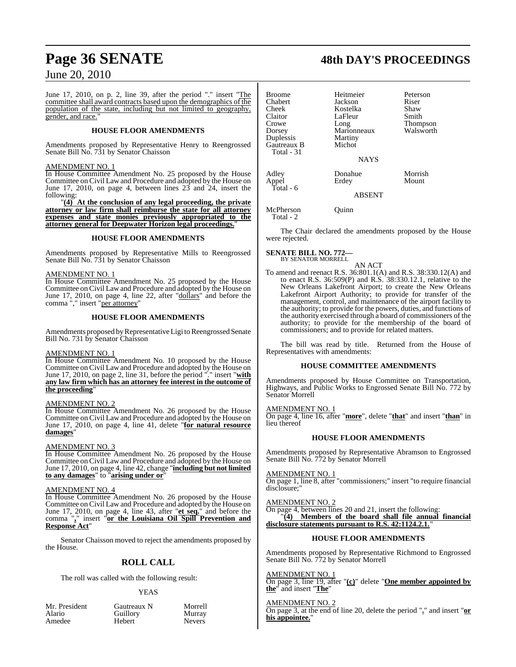June 17, 2010, on p. 2, line 39, after the period "." insert "The committee shall award contracts based upon the demographics of the population of the state, including but not limited to geography, gender, and race.

# **HOUSE FLOOR AMENDMENTS**

Amendments proposed by Representative Henry to Reengrossed Senate Bill No. 731 by Senator Chaisson

# AMENDMENT NO. 1

In House Committee Amendment No. 25 proposed by the House Committee on Civil Law and Procedure and adopted by the House on June 17, 2010, on page 4, between lines 23 and 24, insert the following:

"**(4) At the conclusion of any legal proceeding, the private attorney or law firm shall reimburse the state for all attorney expenses and state monies previously appropriated to the attorney general for Deepwater Horizon legal proceedings.**"

# **HOUSE FLOOR AMENDMENTS**

Amendments proposed by Representative Mills to Reengrossed Senate Bill No. 731 by Senator Chaisson

# AMENDMENT NO. 1

In House Committee Amendment No. 25 proposed by the House Committee on Civil Law and Procedure and adopted by the House on June 17, 2010, on page 4, line 22, after "dollars" and before the comma "," insert "per attorney"

# **HOUSE FLOOR AMENDMENTS**

Amendments proposed by Representative Ligi to Reengrossed Senate Bill No. 731 by Senator Chaisson

# AMENDMENT NO. 1

In House Committee Amendment No. 10 proposed by the House Committee on Civil Law and Procedure and adopted by the House on June 17, 2010, on page 2, line 31, before the period "." insert "**with any law firm which has an attorney fee interest in the outcome of the proceeding**"

# AMENDMENT NO. 2

In House Committee Amendment No. 26 proposed by the House Committee on Civil Law and Procedure and adopted by the House on June 17, 2010, on page 4, line 41, delete "**for natural resource damages**"

# AMENDMENT NO. 3

In House Committee Amendment No. 26 proposed by the House Committee on Civil Law and Procedure and adopted by the House on June 17, 2010, on page 4, line 42, change "**including but not limited to any damages**" to "**arising under or**"

# AMENDMENT NO. 4

In House Committee Amendment No. 26 proposed by the House Committee on Civil Law and Procedure and adopted by the House on June 17, 2010, on page 4, line 43, after "**et seq.**" and before the comma "**,**" insert "**or the Louisiana Oil Spill Prevention and Response Act**"

Senator Chaisson moved to reject the amendments proposed by the House.

# **ROLL CALL**

The roll was called with the following result:

# YEAS

| Mr. President | Gautreaux N | Morrel        |
|---------------|-------------|---------------|
| Alario        | Guillory    | Murray        |
| Amedee        | Hebert      | <b>Nevers</b> |

t Cautreaux N Morrell<br>
Cuillory Murray Guillory Murray<br>
Hebert Nevers

# **Page 36 SENATE 48th DAY'S PROCEEDINGS**

| Broome<br>Chabert<br>Cheek<br>Claitor<br>Crowe<br>Dorsey<br>Duplessis<br>Gautreaux B<br>Total - 31 | Heitmeier<br>Jackson<br>Kostelka<br>LaFleur<br>Long<br>Marionneaux<br>Martiny<br>Michot<br><b>NAYS</b> | Peterson<br>Riser<br>Shaw<br>Smith<br><b>Thompson</b><br>Walsworth |
|----------------------------------------------------------------------------------------------------|--------------------------------------------------------------------------------------------------------|--------------------------------------------------------------------|
| Adley<br>Appel<br>Total - 6                                                                        | Donahue<br>Erdey                                                                                       | Morrish<br>Mount                                                   |
|                                                                                                    | <b>ABSENT</b>                                                                                          |                                                                    |

McPherson Quinn Total - 2

The Chair declared the amendments proposed by the House were rejected.

**SENATE BILL NO. 772—** BY SENATOR MORRELL

AN ACT

To amend and reenact R.S. 36:801.1(A) and R.S. 38:330.12(A) and to enact R.S. 36:509(P) and R.S. 38:330.12.1, relative to the New Orleans Lakefront Airport; to create the New Orleans Lakefront Airport Authority; to provide for transfer of the management, control, and maintenance of the airport facility to the authority; to provide for the powers, duties, and functions of the authority exercised through a board of commissioners of the authority; to provide for the membership of the board of commissioners; and to provide for related matters.

The bill was read by title. Returned from the House of Representatives with amendments:

# **HOUSE COMMITTEE AMENDMENTS**

Amendments proposed by House Committee on Transportation, Highways, and Public Works to Engrossed Senate Bill No. 772 by Senator Morrell

# AMENDMENT NO. 1

On page 4, line 16, after "**more**", delete "**that**" and insert "**than**" in lieu thereof

# **HOUSE FLOOR AMENDMENTS**

Amendments proposed by Representative Abramson to Engrossed Senate Bill No. 772 by Senator Morrell

AMENDMENT NO. 1

On page 1, line 8, after "commissioners;" insert "to require financial disclosure:

# AMENDMENT NO. 2

On page 4, between lines 20 and 21, insert the following:

"**(4) Members of the board shall file annual financial disclosure statements pursuant to R.S. 42:1124.2.1.**"

# **HOUSE FLOOR AMENDMENTS**

Amendments proposed by Representative Richmond to Engrossed Senate Bill No. 772 by Senator Morrell

AMENDMENT NO. 1

On page 3, line 19, after "**(c)**" delete "**One member appointed by the**" and insert "**The**"

# AMENDMENT NO. 2

On page 3, at the end of line 20, delete the period "**.**" and insert "**or his appointee.**"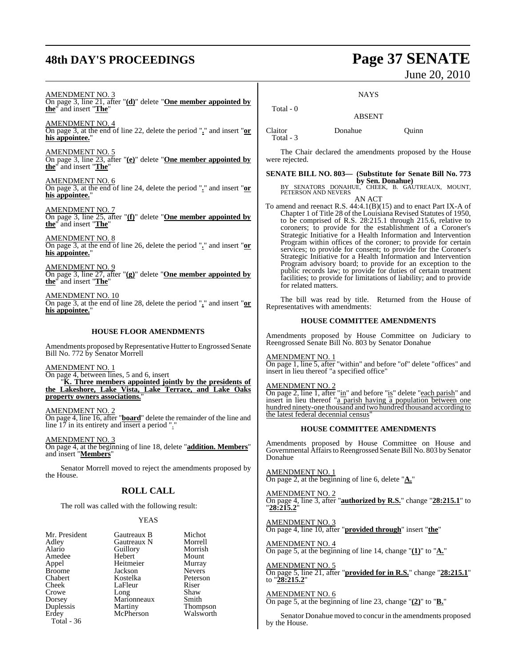# **48th DAY'S PROCEEDINGS Page 37 SENATE**

# June 20, 2010

**NAYS** 

AMENDMENT NO. 3 On page 3, line 21, after "**(d)**" delete "**One member appointed by the**" and insert "**The**"

AMENDMENT NO. 4 On page 3, at the end of line 22, delete the period "**.**" and insert "**or his appointee.**"

AMENDMENT NO. 5 On page 3, line 23, after "**(e)**" delete "**One member appointed by the**" and insert "**The**"

AMENDMENT NO. 6 On page 3, at the end of line 24, delete the period "**.**" and insert "**or his appointee.**"

AMENDMENT NO. 7 On page 3, line 25, after "**(f)**" delete "**One member appointed by the**" and insert "**The**"

AMENDMENT NO. 8 On page 3, at the end of line 26, delete the period "**.**" and insert "**or his appointee.**"

AMENDMENT NO. 9 On page 3, line 27, after "**(g)**" delete "**One member appointed by the**" and insert "**The**"

AMENDMENT NO. 10 On page 3, at the end of line 28, delete the period "**.**" and insert "**or his appointee.**"

# **HOUSE FLOOR AMENDMENTS**

Amendments proposed by Representative Hutter to Engrossed Senate Bill No. 772 by Senator Morrell

AMENDMENT NO. 1

On page 4, between lines, 5 and 6, insert "**K. Three members appointed jointly by the presidents of the Lakeshore, Lake Vista, Lake Terrace, and Lake Oaks property owners associations.**"

AMENDMENT NO. 2 On page 4, line 16, after "**board**" delete the remainder of the line and line 17 in its entirety and insert a period "."

AMENDMENT NO. 3 On page 4, at the beginning of line 18, delete "**addition. Members**" and insert "**Members**"

Senator Morrell moved to reject the amendments proposed by the House.

# **ROLL CALL**

The roll was called with the following result:

# YEAS

| Mr. President<br>Adley | Gautreaux B<br>Gautreaux N | Michot<br>Morrell |
|------------------------|----------------------------|-------------------|
| Alario                 | Guillory                   | Morrish           |
| Amedee                 | Hebert                     | Mount             |
| Appel                  | Heitmeier                  | Murray            |
| <b>Broome</b>          | Jackson                    | <b>Nevers</b>     |
| Chabert                | Kostelka                   | Peterson          |
| Cheek                  | LaFleur                    | Riser             |
| Crowe                  | Long                       | Shaw              |
| Dorsey                 | Marionneaux                | Smith             |
| Duplessis              | Martiny                    | <b>Thompson</b>   |
| Erdey                  | McPherson                  | Walsworth         |
| Total - 36             |                            |                   |

Claitor Donahue Quinn

Total - 3

Total - 0

The Chair declared the amendments proposed by the House were rejected.

ABSENT

**SENATE BILL NO. 803— (Substitute for Senate Bill No. 773**

**by Sen. Donahue)**<br>BY SENATORS DONAHUE, CHEEK, B. GAUTREAUX, MOUNT,<br>PETERSON AND NEVERS AN ACT

To amend and reenact R.S. 44:4.1(B)(15) and to enact Part IX-A of Chapter 1 of Title 28 of the Louisiana Revised Statutes of 1950, to be comprised of R.S. 28:215.1 through 215.6, relative to coroners; to provide for the establishment of a Coroner's Strategic Initiative for a Health Information and Intervention Program within offices of the coroner; to provide for certain services; to provide for consent; to provide for the Coroner's Strategic Initiative for a Health Information and Intervention Program advisory board; to provide for an exception to the public records law; to provide for duties of certain treatment facilities; to provide for limitations of liability; and to provide for related matters.

The bill was read by title. Returned from the House of Representatives with amendments:

# **HOUSE COMMITTEE AMENDMENTS**

Amendments proposed by House Committee on Judiciary to Reengrossed Senate Bill No. 803 by Senator Donahue

AMENDMENT NO. 1 On page 1, line 5, after "within" and before "of" delete "offices" and insert in lieu thereof "a specified office"

AMENDMENT NO. 2

On page 2, line 1, after "in" and before "is" delete "each parish" and insert in lieu thereof "a parish having a population between one hundred ninety-one thousand and two hundred thousand according to the latest federal decennial census'

# **HOUSE COMMITTEE AMENDMENTS**

Amendments proposed by House Committee on House and Governmental Affairs to Reengrossed Senate Bill No. 803 by Senator Donahue

AMENDMENT NO. 1 On page 2, at the beginning of line 6, delete "**A.**"

AMENDMENT NO. 2 On page 4, line 3, after "**authorized by R.S.**" change "**28:215.1**" to "**28:215.2**"

AMENDMENT NO. 3 On page 4, line 10, after "**provided through**" insert "**the**"

AMENDMENT NO. 4 On page 5, at the beginning of line 14, change "**(1)**" to "**A.**"

AMENDMENT NO. 5 On page 5, line 21, after "**provided for in R.S.**" change "**28:215.1**" to "**28:215.2**"

AMENDMENT NO. 6

On page 5, at the beginning of line 23, change "**(2)**" to "**B.**"

Senator Donahue moved to concur in the amendments proposed by the House.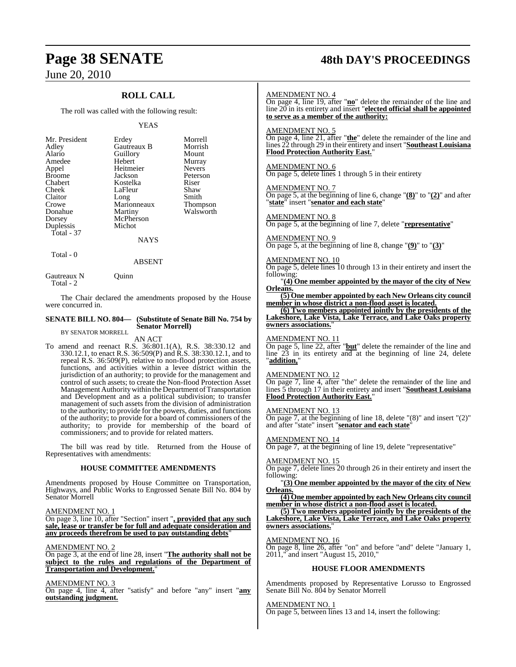# **ROLL CALL**

The roll was called with the following result:

## YEAS

| Mr. President | Erdey       | Morrell       |
|---------------|-------------|---------------|
| Adley         | Gautreaux B | Morrish       |
| Alario        | Guillory    | Mount         |
| Amedee        | Hebert      | Murray        |
| Appel         | Heitmeier   | <b>Nevers</b> |
| <b>Broome</b> | Jackson     | Peterson      |
| Chabert       | Kostelka    | Riser         |
| Cheek         | LaFleur     | Shaw          |
| Claitor       | Long        | Smith         |
| Crowe         | Marionneaux | Thompson      |
| Donahue       | Martiny     | Walsworth     |
| Dorsey        | McPherson   |               |
| Duplessis     | Michot      |               |
| Total - 37    |             |               |
|               | NAYS        |               |

Total - 0

Total - 2

Gautreaux N Quinn

The Chair declared the amendments proposed by the House were concurred in.

#### **SENATE BILL NO. 804— (Substitute of Senate Bill No. 754 by Senator Morrell)** BY SENATOR MORRELL

ABSENT

# AN ACT

To amend and reenact R.S. 36:801.1(A), R.S. 38:330.12 and 330.12.1, to enact R.S. 36:509(P) and R.S. 38:330.12.1, and to repeal R.S. 36:509(P), relative to non-flood protection assets, functions, and activities within a levee district within the jurisdiction of an authority; to provide for the management and control of such assets; to create the Non-flood Protection Asset Management Authoritywithin theDepartment of Transportation and Development and as a political subdivision; to transfer management of such assets from the division of administration to the authority; to provide for the powers, duties, and functions of the authority; to provide for a board of commissioners of the authority; to provide for membership of the board of commissioners; and to provide for related matters.

The bill was read by title. Returned from the House of Representatives with amendments:

# **HOUSE COMMITTEE AMENDMENTS**

Amendments proposed by House Committee on Transportation, Highways, and Public Works to Engrossed Senate Bill No. 804 by Senator Morrell

AMENDMENT NO. 1

On page 3, line 10, after "Section" insert "**, provided that any such sale, lease or transfer be for full and adequate consideration and any proceeds therefrom be used to pay outstanding debts**"

AMENDMENT NO. 2

On page 3, at the end of line 28, insert "**The authority shall not be subject to the rules and regulations of the Department of Transportation and Development.**"

AMENDMENT NO. 3 On page 4, line 4, after "satisfy" and before "any" insert "**any outstanding judgment.**

# **Page 38 SENATE 48th DAY'S PROCEEDINGS**

# AMENDMENT NO. 4

On page 4, line 19, after "**no**" delete the remainder of the line and line 20 in its entirety and insert "**elected official shall be appointed to serve as a member of the authority:**

# AMENDMENT NO. 5

On page 4, line 21, after "**the**" delete the remainder of the line and lines 22 through 29 in their entirety and insert "**Southeast Louisiana Flood Protection Authority East.**"

# AMENDMENT NO. 6

On page 5, delete lines 1 through 5 in their entirety

# AMENDMENT NO. 7

On page 5, at the beginning of line 6, change "**(8)**" to "**(2)**" and after "**state**" insert "**senator and each state**"

## AMENDMENT NO. 8

On page 5, at the beginning of line 7, delete "**representative**"

# AMENDMENT NO. 9

On page 5, at the beginning of line 8, change "**(9)**" to "**(3)**"

# AMENDMENT NO. 10

On page 5, delete lines 10 through 13 in their entirety and insert the following:

"**(4) One member appointed by the mayor of the city of New Orleans.**

**(5) One member appointed by each New Orleans city council member in whose district a non-flood asset is located.**

**(6) Two members appointed jointly by the presidents of the Lakeshore, Lake Vista, Lake Terrace, and Lake Oaks property owners associations.**"

# AMEND<u>MENT NO. 11</u>

On page 5, line 22, after "**but**" delete the remainder of the line and line  $23$  in its entirety and at the beginning of line 24, delete "**addition,**"

# AMENDMENT NO. 12

On page 7, line 4, after "the" delete the remainder of the line and lines 5 through 17 in their entirety and insert "**Southeast Louisiana Flood Protection Authority East.**"

# AMENDMENT NO. 13

On page 7, at the beginning of line 18, delete "(8)" and insert "(2)" and after "state" insert "**senator and each state**"

# AMENDMENT NO. 14

On page 7, at the beginning of line 19, delete "representative"

# AMENDMENT NO. 15

On page 7, delete lines 20 through 26 in their entirety and insert the following:

"**(3) One member appointed by the mayor of the city of New Orleans.**

**(4) One member appointed by each New Orleans city council member in whose district a non-flood asset is located.**

**(5) Two members appointed jointly by the presidents of the Lakeshore, Lake Vista, Lake Terrace, and Lake Oaks property owners associations.**"

## AMENDMENT NO. 16

On page 8, line 26, after "on" and before "and" delete "January 1, 2011," and insert "August 15, 2010,"

# **HOUSE FLOOR AMENDMENTS**

Amendments proposed by Representative Lorusso to Engrossed Senate Bill No. 804 by Senator Morrell

# AMENDMENT NO. 1

On page 5, between lines 13 and 14, insert the following: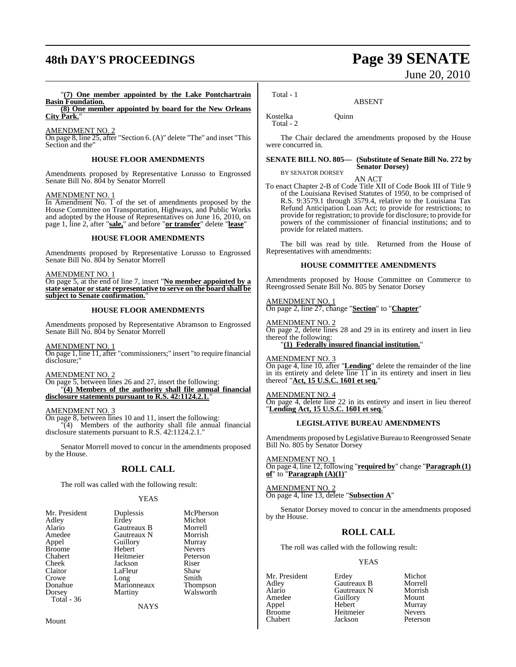# **48th DAY'S PROCEEDINGS Page 39 SENATE**

## "**(7) One member appointed by the Lake Pontchartrain Basin Foundation. (8) One member appointed by board for the New Orleans**

**City Park.**"

AMENDMENT NO. 2

On page 8, line 25, after "Section 6. (A)" delete "The" and inset "This Section and the"

# **HOUSE FLOOR AMENDMENTS**

Amendments proposed by Representative Lorusso to Engrossed Senate Bill No. 804 by Senator Morrell

# AMENDMENT NO. 1

In Amendment No. 1 of the set of amendments proposed by the House Committee on Transportation, Highways, and Public Works and adopted by the House of Representatives on June 16, 2010, on page 1, line 2, after "**sale,**" and before "**or transfer**" delete "**lease**"

# **HOUSE FLOOR AMENDMENTS**

Amendments proposed by Representative Lorusso to Engrossed Senate Bill No. 804 by Senator Morrell

# AMENDMENT NO. 1

On page 5, at the end of line 7, insert "**No member appointed by a state senator or state representative to serve on the board shall be subject to Senate confirmation.**"

# **HOUSE FLOOR AMENDMENTS**

Amendments proposed by Representative Abramson to Engrossed Senate Bill No. 804 by Senator Morrell

AMENDMENT NO. 1

On page 1, line 11, after "commissioners;" insert "to require financial disclosure:

# AMENDMENT NO. 2

On page 5, between lines 26 and 27, insert the following: "**(4) Members of the authority shall file annual financial disclosure statements pursuant to R.S. 42:1124.2.1.**"

# AMENDMENT NO. 3

On page 8, between lines 10 and 11, insert the following: "(4) Members of the authority shall file annual financial disclosure statements pursuant to R.S. 42:1124.2.1."

Senator Morrell moved to concur in the amendments proposed by the House.

# **ROLL CALL**

The roll was called with the following result:

# YEAS

| Mr. President | Duplessis   | McPherson       |
|---------------|-------------|-----------------|
| Adley         | Erdey       | Michot          |
| Alario        | Gautreaux B | Morrell         |
| Amedee        | Gautreaux N | Morrish         |
| Appel         | Guillory    | Murray          |
| <b>Broome</b> | Hebert      | <b>Nevers</b>   |
| Chabert       | Heitmeier   | Peterson        |
| Cheek         | Jackson     | Riser           |
| Claitor       | LaFleur     | Shaw            |
| Crowe         | Long        | Smith           |
| Donahue       | Marionneaux | <b>Thompson</b> |
| Dorsey        | Martiny     | Walsworth       |
| Total - 36    |             |                 |
|               | NAYS        |                 |

Mount

June 20, 2010

Total - 1

Kostelka Quinn Total - 2

The Chair declared the amendments proposed by the House were concurred in.

ABSENT

## **SENATE BILL NO. 805— (Substitute of Senate Bill No. 272 by Senator Dorsey)**

BY SENATOR DORSEY AN ACT

To enact Chapter 2-B of Code Title XII of Code Book III of Title 9 of the Louisiana Revised Statutes of 1950, to be comprised of R.S. 9:3579.1 through 3579.4, relative to the Louisiana Tax Refund Anticipation Loan Act; to provide for restrictions; to provide for registration; to provide for disclosure; to provide for powers of the commissioner of financial institutions; and to provide for related matters.

The bill was read by title. Returned from the House of Representatives with amendments:

# **HOUSE COMMITTEE AMENDMENTS**

Amendments proposed by House Committee on Commerce to Reengrossed Senate Bill No. 805 by Senator Dorsey

# AMENDMENT NO. 1

On page 2, line 27, change "**Section**" to "**Chapter**"

AMENDMENT NO. 2 On page 2, delete lines 28 and 29 in its entirety and insert in lieu thereof the following:

# "**(1) Federally insured financial institution.**"

AMENDMENT NO. 3

On page 4, line 10, after "**Lending**" delete the remainder of the line in its entirety and delete  $\overline{lin}$  in its entirety and insert in lieu thereof "**Act, 15 U.S.C. 1601 et seq.**"

# AMENDMENT NO. 4

On page 4, delete line 22 in its entirety and insert in lieu thereof "**Lending Act, 15 U.S.C. 1601 et seq.**"

# **LEGISLATIVE BUREAU AMENDMENTS**

Amendments proposed by Legislative Bureau to Reengrossed Senate Bill No. 805 by Senator Dorsey

AMENDMENT NO. 1 On page 4, line 12, following "**required by**" change "**Paragraph (1) of**" to "**Paragraph (A)(1)**"

AMENDMENT NO. 2 On page 4, line 13, delete "**Subsection A**"

Senator Dorsey moved to concur in the amendments proposed by the House.

# **ROLL CALL**

The roll was called with the following result:

# YEAS

Broome Heitmeier<br>Chabert Iackson

Mr. President Erdey Michot<br>Adley Gautreaux B Morrell Adley Gautreaux B Morrell Alario Gautreaux N Morrish Amedeu<br>
Amedeu<br>
Amedeu<br>
Amedeu<br>
Mount<br>
Murray Appel Hebert Murray Peterson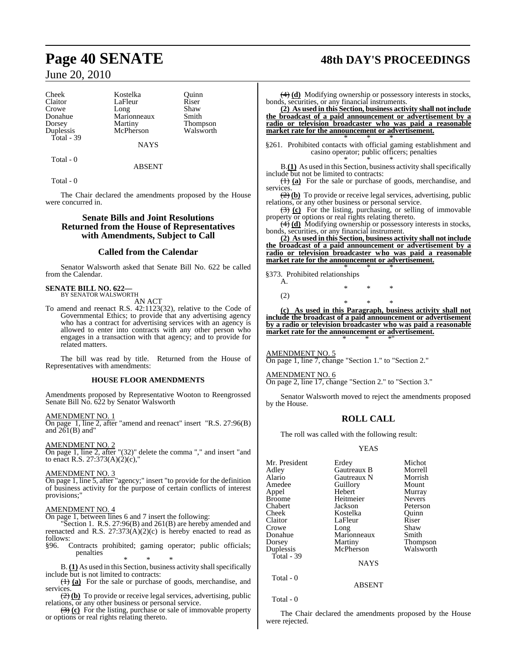Cheek Kostelka Quinn Donahue Marionneaux<br>Dorsey Martiny Total - 39

Claitor LaFleur Riser<br>Crowe Long Shaw Crowe Long Shaw<br>Donahue Marionneaux Smith Dorsey Martiny Thompson<br>
Duplessis McPherson Walsworth **NAYS** 

Total - 0

ABSENT

Walsworth

Total - 0

The Chair declared the amendments proposed by the House were concurred in.

# **Senate Bills and Joint Resolutions Returned from the House of Representatives with Amendments, Subject to Call**

# **Called from the Calendar**

Senator Walsworth asked that Senate Bill No. 622 be called from the Calendar.

## **SENATE BILL NO. 622—** BY SENATOR WALSWORTH

AN ACT

To amend and reenact R.S. 42:1123(32), relative to the Code of Governmental Ethics; to provide that any advertising agency who has a contract for advertising services with an agency is allowed to enter into contracts with any other person who engages in a transaction with that agency; and to provide for related matters.

The bill was read by title. Returned from the House of Representatives with amendments:

# **HOUSE FLOOR AMENDMENTS**

Amendments proposed by Representative Wooton to Reengrossed Senate Bill No. 622 by Senator Walsworth

# AMENDMENT NO. 1

On page 1, line 2, after "amend and reenact" insert "R.S. 27:96(B) and  $26I(B)$  and"

# AMENDMENT NO. 2

On page 1, line 2, after "(32)" delete the comma "," and insert "and to enact R.S. 27:373(A)(2)(c),"

# AMENDMENT NO. 3

On page 1, line 5, after "agency;" insert "to provide for the definition of business activity for the purpose of certain conflicts of interest provisions;"

# AMENDMENT NO. 4

On page 1, between lines 6 and 7 insert the following:

"Section 1. R.S. 27:96(B) and 261(B) are hereby amended and reenacted and R.S. 27:373(A)(2)(c) is hereby enacted to read as follows:

§96. Contracts prohibited; gaming operator; public officials; penalties

\* \* \* B. (1) As used in this Section, business activity shall specifically include but is not limited to contracts:

(1) **(a)** For the sale or purchase of goods, merchandise, and services.

(2) **(b)** To provide or receive legal services, advertising, public relations, or any other business or personal service.

(3) **(c)** For the listing, purchase or sale of immovable property or options or real rights relating thereto.

# **Page 40 SENATE 48th DAY'S PROCEEDINGS**

(4) **(d)** Modifying ownership or possessory interests in stocks, bonds, securities, or any financial instruments.

**(2) As used in this Section, business activity shall not include the broadcast of a paid announcement or advertisement by a radio or television broadcaster who was paid a reasonable market rate for the announcement or advertisement.** \* \* \*

§261. Prohibited contacts with official gaming establishment and casino operator; public officers; penalties

\* \* \* B.**(1)** As used in this Section, business activity shall specifically include but not be limited to contracts:

(1) **(a)** For the sale or purchase of goods, merchandise, and services.

(2) **(b)** To provide or receive legal services, advertising, public relations, or any other business or personal service.

(3) **(c)** For the listing, purchasing, or selling of immovable property or options or real rights relating thereto.

(4) **(d)** Modifying ownership or possessory interests in stocks, bonds, securities, or any financial instrument.

**(2) As used in this Section, business activity shall not include the broadcast of a paid announcement or advertisement by a radio or television broadcaster who was paid a reasonable market rate for the announcement or advertisement.** \* \* \*

# §373. Prohibited relationships

A. \* \* \* (2) \* \* \*

**(c) As used in this Paragraph, business activity shall not include the broadcast of a paid announcement or advertisement by a radio or television broadcaster who was paid a reasonable market rate for the announcement or advertisement.** \* \* \*"

AMENDMENT NO. 5 On page 1, line 7, change "Section 1." to "Section 2."

AMENDMENT NO. 6 On page 2, line 17, change "Section 2." to "Section 3."

Senator Walsworth moved to reject the amendments proposed by the House.

# **ROLL CALL**

The roll was called with the following result:

# YEAS

| Mr. President | Erdey       | Michot        |
|---------------|-------------|---------------|
| Adley         | Gautreaux B | Morrell       |
| Alario        | Gautreaux N | Morrish       |
| Amedee        | Guillory    | Mount         |
| Appel         | Hebert      | Murray        |
| Broome        | Heitmeier   | <b>Nevers</b> |
| Chabert       | Jackson     | Peterson      |
| Cheek         | Kostelka    | Ouinn         |
| Claitor       | LaFleur     | Riser         |
| Crowe         | Long        | Shaw          |
| Donahue       | Marionneaux | Smith         |
| Dorsey        | Martiny     | Thompson      |
| Duplessis     | McPherson   | Walsworth     |
| Total - 39    |             |               |
|               | <b>NAYS</b> |               |
|               |             |               |

Total - 0

# Total - 0

The Chair declared the amendments proposed by the House were rejected.

ABSENT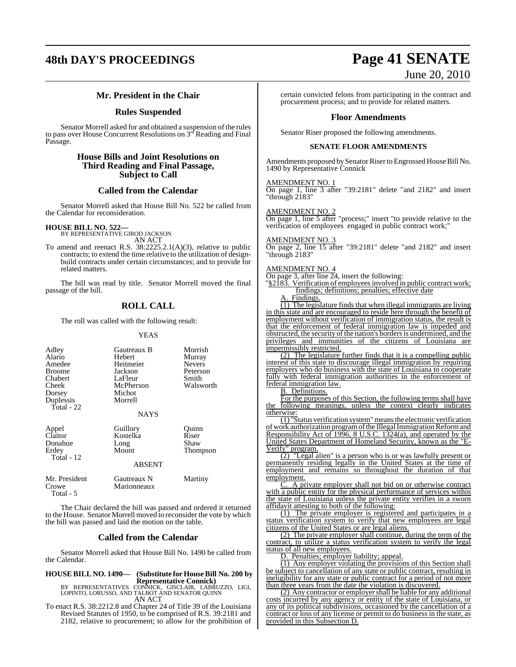# **48th DAY'S PROCEEDINGS Page 41 SENATE**

# **Mr. President in the Chair**

# **Rules Suspended**

Senator Morrell asked for and obtained a suspension of the rules to pass over House Concurrent Resolutions on 3rd Reading and Final Passage.

# **House Bills and Joint Resolutions on Third Reading and Final Passage, Subject to Call**

# **Called from the Calendar**

Senator Morrell asked that House Bill No. 522 be called from the Calendar for reconsideration.

# **HOUSE BILL NO. 522—** BY REPRESENTATIVE GIROD JACKSON

Total - 12

AN ACT

To amend and reenact R.S. 38:2225.2.1(A)(3), relative to public contracts; to extend the time relative to the utilization of designbuild contracts under certain circumstances; and to provide for related matters.

The bill was read by title. Senator Morrell moved the final passage of the bill.

# **ROLL CALL**

The roll was called with the following result:

## YEAS

| Adley<br>Alario | Gautreaux B<br><b>Hebert</b> | Morrish<br>Murray |
|-----------------|------------------------------|-------------------|
| Amedee          | Heitmeier                    | <b>Nevers</b>     |
| <b>Broome</b>   | Jackson                      | Peterson          |
| Chabert         | LaFleur                      | Smith             |
| Cheek           | McPherson                    | Walsworth         |
| Dorsey          | Michot                       |                   |
| Duplessis       | Morrell                      |                   |
| Total - 22      |                              |                   |
|                 | <b>NAYS</b>                  |                   |
| Appel           | Guillory                     | Ouinn             |
| Claitor         | Kostelka                     | Riser             |
| Donahue         | Long                         | Shaw              |
| Erdey           | Mount                        | <b>Thompson</b>   |

# ABSENT

| Mr. President | Gautreaux N | Martiny |
|---------------|-------------|---------|
| Crowe         | Marionneaux |         |
| Total - $5$   |             |         |

The Chair declared the bill was passed and ordered it returned to the House. Senator Morrell moved to reconsider the vote by which the bill was passed and laid the motion on the table.

# **Called from the Calendar**

Senator Morrell asked that House Bill No. 1490 be called from the Calendar.

**HOUSE BILL NO. 1490— (Substitute for House Bill No. 200 by**

**Representative Connick)**<br>BY REPRESENTATIVES CONNICK, GISCLAIR, LABRUZZO, LIGI,<br>LOPINTO, LORUSSO, AND TALBOT AND SENATOR QUINN AN ACT

To enact R.S. 38:2212.8 and Chapter 24 of Title 39 of the Louisiana Revised Statutes of 1950, to be comprised of R.S. 39:2181 and 2182, relative to procurement; to allow for the prohibition of

# June 20, 2010

certain convicted felons from participating in the contract and procurement process; and to provide for related matters.

# **Floor Amendments**

Senator Riser proposed the following amendments.

# **SENATE FLOOR AMENDMENTS**

Amendments proposed by Senator Riser to Engrossed House Bill No. 1490 by Representative Connick

# AMENDMENT NO. 1

On page 1, line 3 after "39:2181" delete "and 2182" and insert "through 2183"

# AMENDMENT NO. 2

On page 1, line 5 after "process;" insert "to provide relative to the verification of employees engaged in public contract work;

# AMENDMENT NO. 3

On page 2, line 15 after "39:2181" delete "and 2182" and insert "through 2183"

# AMENDMENT NO. 4

On page 3, after line 24, insert the following:

"§2183. Verification of employees involved in public contract work; findings; definitions; penalties; effective date

Findings.

(1) The legislature finds that when illegal immigrants are living in this state and are encouraged to reside here through the benefit of employment without verification of immigration status, the result is that the enforcement of federal immigration law is impeded and obstructed, the security of the nation's borders is undermined, and the privileges and immunities of the citizens of Louisiana are impermissibly restricted.

(2) The legislature further finds that it is a compelling public interest of this state to discourage illegal immigration by requiring employers who do business with the state of Louisiana to cooperate fully with federal immigration authorities in the enforcement of federal immigration law.

## B. Definitions.

For the purposes of this Section, the following terms shall have the following meanings, unless the context clearly indicates otherwise:

(1) "Status verification system" means the electronic verification of work authorization program of the Illegal Immigration Reform and Responsibility Act of 1996, 8 U.S.C. 1324(a), and operated by the United States Department of Homeland Security, known as the "E-Verify" program.

(2) "Legal alien" is a person who is or was lawfully present or permanently residing legally in the United States at the time of employment and remains so throughout the duration of that employment.

 $\overline{A}$  private employer shall not bid on or otherwise contract with a public entity for the physical performance of services within the state of Louisiana unless the private entity verifies in a sworn affidavit attesting to both of the following:

(1) The private employer is registered and participates in a status verification system to verify that new employees are legal citizens of the United States or are legal aliens.

(2) The private employer shall continue, during the term of the contract, to utilize a status verification system to verify the legal status of all new employees.

D. Penalties; employer liability; appeal.

(1) Any employer violating the provisions of this Section shall be subject to cancellation of any state or public contract, resulting in ineligibility for any state or public contract for a period of not more than three years from the date the violation is discovered.

(2) Any contractor or employer shall be liable for any additional costs incurred by any agency or entity of the state of Louisiana, or any of its political subdivisions, occasioned by the cancellation of a contract or loss of any license or permit to do business in the state, as provided in this Subsection D.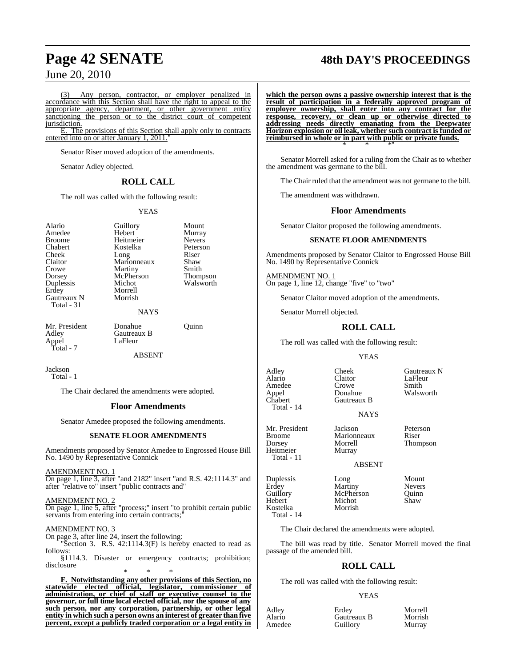Any person, contractor, or employer penalized in accordance with this Section shall have the right to appeal to the appropriate agency, department, or other government entity sanctioning the person or to the district court of competent jurisdiction.

E. The provisions of this Section shall apply only to contracts entered into on or after January 1, 2011."

Senator Riser moved adoption of the amendments.

Senator Adley objected.

# **ROLL CALL**

The roll was called with the following result:

# YEAS

Alario Guillory Mount<br>Amedee Hebert Murray Crowe Martiny<br>Dorsey McPherson Gautreaux N Total - 31

Amedee Hebert Murray<br>Broome Heitmeier Nevers Broome Heitmeier Nevers<br>
Chabert Kostelka Peterson Kostelka Cheek Long Riser<br>Claitor Marionneaux Shaw Claitor Marionneaux Shaw<br>Crowe Martiny Smith Dorsey McPherson Thompson<br>
Duplessis Michot Walsworth Duplessis Michot Walsworth Morrell<br>Morrish

Mr. President Donahue Quinn<br>Adley Gautreaux B Appel LaFleur Total - 7

Gautreaux B<br>LaFleur

ABSENT

**NAYS** 

Jackson Total - 1

The Chair declared the amendments were adopted.

# **Floor Amendments**

Senator Amedee proposed the following amendments.

# **SENATE FLOOR AMENDMENTS**

Amendments proposed by Senator Amedee to Engrossed House Bill No. 1490 by Representative Connick

AMENDMENT NO. 1

On page 1, line 3, after "and 2182" insert "and R.S. 42:1114.3" and after "relative to" insert "public contracts and"

AMENDMENT NO. 2 On page 1, line 5, after "process;" insert "to prohibit certain public servants from entering into certain contracts;

AMENDMENT NO. 3

On page 3, after line 24, insert the following:

"Section 3. R.S. 42:1114.3(F) is hereby enacted to read as follows:

§1114.3. Disaster or emergency contracts; prohibition; disclosure \* \* \*

**F. Notwithstanding any other provisions of this Section, no statewide elected official, legislator, commissioner of administration, or chief of staff or executive counsel to the governor, or full time local elected official, nor the spouse of any such person, nor any corporation, partnership, or other legal entity in which such a person owns an interest of greater than five percent, except a publicly traded corporation or a legal entity in**

# **Page 42 SENATE 48th DAY'S PROCEEDINGS**

**which the person owns a passive ownership interest that is the result of participation in a federally approved program of employee ownership, shall enter into any contract for the response, recovery, or clean up or otherwise directed to addressing needs directly emanating from the Deepwater Horizon explosion or oil leak, whether such contract is funded or reimbursed in whole or in part with public or private funds.** \* \* \*"

Senator Morrell asked for a ruling from the Chair as to whether the amendment was germane to the bill.

The Chair ruled that the amendment was not germane to the bill.

The amendment was withdrawn.

# **Floor Amendments**

Senator Claitor proposed the following amendments.

# **SENATE FLOOR AMENDMENTS**

Amendments proposed by Senator Claitor to Engrossed House Bill No. 1490 by Representative Connick

AMENDMENT NO. 1 On page 1, line 12, change "five" to "two"

Senator Claitor moved adoption of the amendments.

Senator Morrell objected.

# **ROLL CALL**

The roll was called with the following result:

## **YEAS**

Adley Cheek Gautreaux N<br>
Alario Claitor LaFleur Alario Claitor LaFleur Amedee Crowe<br>Appel Donahue Appel Donahue Walsworth<br>
Chabert Gautreaux B Total - 14

Heitmeier Total - 11 Gautreaux B **NAYS** 

Mr. President Jackson Peterson<br>Broome Marionneaux Riser Broome Marionneaux<br>Dorsey Morrell

Erdey Martiny Nevers Total - 14

Guillory McPherson<br>Hebert Michot Kostelka Morrish

The Chair declared the amendments were adopted.

The bill was read by title. Senator Morrell moved the final passage of the amended bill.

# **ROLL CALL**

The roll was called with the following result:

## YEAS

| Adley  | Erdev       | Morrell |
|--------|-------------|---------|
| Alario | Gautreaux B | Morrish |
| Amedee | Guillory    | Murray  |

Morrell Thompson<br>Murrav ABSENT

Duplessis Long Mount<br>Erdey Martiny Nevers Michot Shaw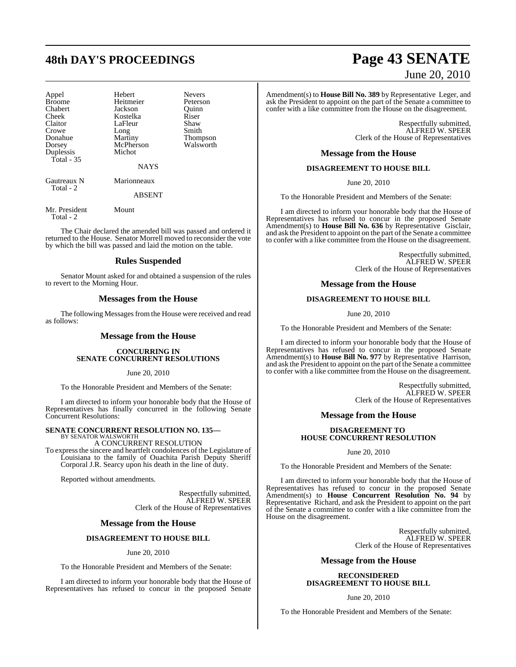| Appel                    | Hebert      | <b>Nevers</b>   |
|--------------------------|-------------|-----------------|
| <b>Broome</b>            | Heitmeier   | Peterson        |
| Chabert                  | Jackson     | Ouinn           |
| Cheek                    | Kostelka    | Riser           |
| Claitor                  | LaFleur     | Shaw            |
| Crowe                    | Long        | Smith           |
| Donahue                  | Martiny     | <b>Thompson</b> |
| Dorsey                   | McPherson   | Walsworth       |
| Duplessis                | Michot      |                 |
| Total $-35$              |             |                 |
|                          | <b>NAYS</b> |                 |
| Gautreaux N<br>Total - 2 | Marionneaux |                 |
|                          | ABSENT      |                 |

Mr. President Mount

Total - 2

The Chair declared the amended bill was passed and ordered it returned to the House. Senator Morrell moved to reconsider the vote by which the bill was passed and laid the motion on the table.

# **Rules Suspended**

Senator Mount asked for and obtained a suspension of the rules to revert to the Morning Hour.

# **Messages from the House**

The following Messages from the House were received and read as follows:

# **Message from the House**

# **CONCURRING IN SENATE CONCURRENT RESOLUTIONS**

June 20, 2010

To the Honorable President and Members of the Senate:

I am directed to inform your honorable body that the House of Representatives has finally concurred in the following Senate Concurrent Resolutions:

#### **SENATE CONCURRENT RESOLUTION NO. 135—** BY SENATOR WALSWORTH

# A CONCURRENT RESOLUTION

To expressthe sincere and heartfelt condolences of the Legislature of Louisiana to the family of Ouachita Parish Deputy Sheriff Corporal J.R. Searcy upon his death in the line of duty.

Reported without amendments.

Respectfully submitted, ALFRED W. SPEER Clerk of the House of Representatives

# **Message from the House**

# **DISAGREEMENT TO HOUSE BILL**

# June 20, 2010

To the Honorable President and Members of the Senate:

I am directed to inform your honorable body that the House of Representatives has refused to concur in the proposed Senate

# **48th DAY'S PROCEEDINGS Page 43 SENATE** June 20, 2010

Amendment(s) to **House Bill No. 389** by Representative Leger, and ask the President to appoint on the part of the Senate a committee to confer with a like committee from the House on the disagreement.

> Respectfully submitted, ALFRED W. SPEER Clerk of the House of Representatives

# **Message from the House**

# **DISAGREEMENT TO HOUSE BILL**

June 20, 2010

To the Honorable President and Members of the Senate:

I am directed to inform your honorable body that the House of Representatives has refused to concur in the proposed Senate Amendment(s) to **House Bill No. 636** by Representative Gisclair, and ask the President to appoint on the part of the Senate a committee to confer with a like committee from the House on the disagreement.

> Respectfully submitted, ALFRED W. SPEER Clerk of the House of Representatives

# **Message from the House**

# **DISAGREEMENT TO HOUSE BILL**

June 20, 2010

To the Honorable President and Members of the Senate:

I am directed to inform your honorable body that the House of Representatives has refused to concur in the proposed Senate Amendment(s) to **House Bill No. 977** by Representative Harrison, and ask the President to appoint on the part of the Senate a committee to confer with a like committee from the House on the disagreement.

> Respectfully submitted, ALFRED W. SPEER Clerk of the House of Representatives

# **Message from the House**

# **DISAGREEMENT TO HOUSE CONCURRENT RESOLUTION**

June 20, 2010

To the Honorable President and Members of the Senate:

I am directed to inform your honorable body that the House of Representatives has refused to concur in the proposed Senate Amendment(s) to **House Concurrent Resolution No. 94** by Representative Richard, and ask the President to appoint on the part of the Senate a committee to confer with a like committee from the House on the disagreement.

> Respectfully submitted, ALFRED W. SPEER Clerk of the House of Representatives

# **Message from the House**

# **RECONSIDERED DISAGREEMENT TO HOUSE BILL**

June 20, 2010

To the Honorable President and Members of the Senate: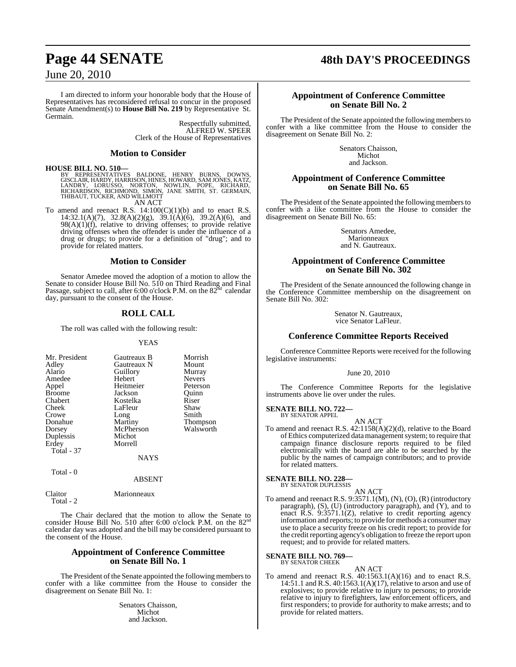# **Page 44 SENATE 48th DAY'S PROCEEDINGS**

# June 20, 2010

I am directed to inform your honorable body that the House of Representatives has reconsidered refusal to concur in the proposed Senate Amendment(s) to **House Bill No. 219** by Representative St. Germain.

Respectfully submitted, ALFRED W. SPEER Clerk of the House of Representatives

# **Motion to Consider**

# **HOUSE BILL NO. 510—**

BY REPRESENTATIVES BALDONE, HENRY BURNS, DOWNS,<br>GISCLAIR,HARDY,HARRISON,HINES,HOWARD,SAMJONES,KATZ,<br>LANDRY, LORUSSO, NORTON, NOWLIN, POPE, RICHARD,<br>RICHARDSON,RICHMOND,SIMON,JANE SMITH,ST. GERMAIN,<br>THIBAUT,TUCKER,ANDWILLMO AN ACT

To amend and reenact R.S.  $14:100(C)(1)(b)$  and to enact R.S. 14:32.1(A)(7), 32.8(A)(2)(g), 39.1(A)(6), 39.2(A)(6), and  $98(A)(1)(f)$ , relative to driving offenses; to provide relative  $\sigma$ ( $\Delta$ )( $\mu$ ), relative to driving streams). The influence of a driving offenses when the offender is under the influence of a drug or drugs; to provide for a definition of "drug"; and to provide for related matters.

# **Motion to Consider**

Senator Amedee moved the adoption of a motion to allow the Senate to consider House Bill No. 510 on Third Reading and Final<br>Passage, subject to call, after 6:00 o'clock P.M. on the 82<sup>nd</sup> calendar day, pursuant to the consent of the House.

# **ROLL CALL**

The roll was called with the following result:

### YEAS

| Mr. President | Gautreaux B | Morrish         |
|---------------|-------------|-----------------|
| Adley         | Gautreaux N | Mount           |
| Alario        | Guillory    | Murray          |
| Amedee        | Hebert      | <b>Nevers</b>   |
| Appel         | Heitmeier   | Peterson        |
| <b>Broome</b> | Jackson     | Ouinn           |
| Chabert       | Kostelka    | Riser           |
| Cheek         | LaFleur     | Shaw            |
| Crowe         | Long        | Smith           |
| Donahue       | Martiny     | <b>Thompson</b> |
| Dorsey        | McPherson   | Walsworth       |
| Duplessis     | Michot      |                 |
| Erdey         | Morrell     |                 |
| Total - 37    |             |                 |
|               | NAYS        |                 |

# ABSENT

Claitor Marionneaux Total - 2

 $Total - 0$ 

The Chair declared that the motion to allow the Senate to consider House Bill No. 510 after 6:00 o'clock P.M. on the 82nd calendar day was adopted and the bill may be considered pursuant to the consent of the House.

# **Appointment of Conference Committee on Senate Bill No. 1**

The President of the Senate appointed the following members to confer with a like committee from the House to consider the disagreement on Senate Bill No. 1:

> Senators Chaisson, Michot and Jackson.

# **Appointment of Conference Committee on Senate Bill No. 2**

The President of the Senate appointed the following members to confer with a like committee from the House to consider the disagreement on Senate Bill No. 2:

> Senators Chaisson, Michot and Jackson.

# **Appointment of Conference Committee on Senate Bill No. 65**

The President of the Senate appointed the following members to confer with a like committee from the House to consider the disagreement on Senate Bill No. 65:

> Senators Amedee, Marionneaux and N. Gautreaux.

# **Appointment of Conference Committee on Senate Bill No. 302**

The President of the Senate announced the following change in the Conference Committee membership on the disagreement on Senate Bill No. 302:

> Senator N. Gautreaux, vice Senator LaFleur.

# **Conference Committee Reports Received**

Conference Committee Reports were received for the following legislative instruments:

June 20, 2010

The Conference Committee Reports for the legislative instruments above lie over under the rules.

#### **SENATE BILL NO. 722—** BY SENATOR APPEL

- AN ACT
- To amend and reenact R.S. 42:1158(A)(2)(d), relative to the Board of Ethics computerized data management system; to require that campaign finance disclosure reports required to be filed electronically with the board are able to be searched by the public by the names of campaign contributors; and to provide for related matters.

#### **SENATE BILL NO. 228—** BY SENATOR DUPLESSIS

AN ACT To amend and reenact R.S. 9:3571.1(M), (N), (O), (R) (introductory paragraph), (S), (U) (introductory paragraph), and (Y), and to enact R.S. 9:3571.1(Z), relative to credit reporting agency information and reports; to provide for methods a consumer may use to place a security freeze on his credit report; to provide for the credit reporting agency's obligation to freeze the report upon request; and to provide for related matters.

# **SENATE BILL NO. 769—**<br>BY SENATOR CHEEK

AN ACT To amend and reenact R.S.  $40:1563.1(A)(16)$  and to enact R.S. 14:51.1 and R.S. 40:1563.1(A)(17), relative to arson and use of explosives; to provide relative to injury to persons; to provide relative to injury to firefighters, law enforcement officers, and first responders; to provide for authority to make arrests; and to provide for related matters.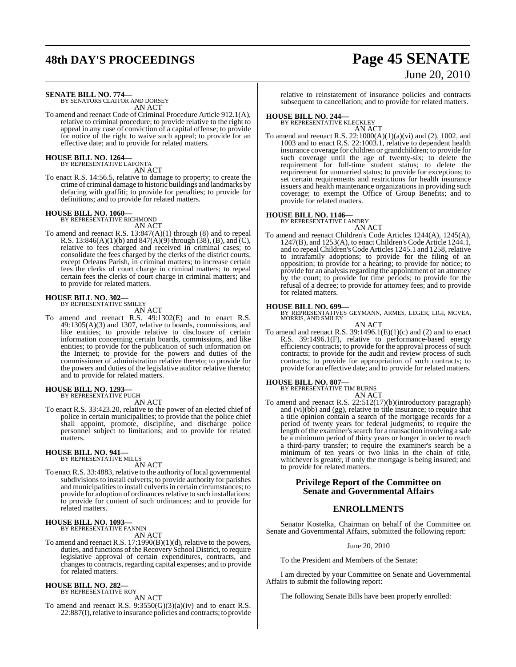# **48th DAY'S PROCEEDINGS Page 45 SENATE** June 20, 2010

**SENATE BILL NO. 774—** BY SENATORS CLAITOR AND DORSEY

AN ACT

To amend and reenact Code of Criminal Procedure Article 912.1(A), relative to criminal procedure; to provide relative to the right to appeal in any case of conviction of a capital offense; to provide for notice of the right to waive such appeal; to provide for an effective date; and to provide for related matters.

#### **HOUSE BILL NO. 1264—** BY REPRESENTATIVE LAFONTA

AN ACT

To enact R.S. 14:56.5, relative to damage to property; to create the crime of criminal damage to historic buildings and landmarks by defacing with graffiti; to provide for penalties; to provide for definitions; and to provide for related matters.

## **HOUSE BILL NO. 1060—**

BY REPRESENTATIVE RICHMOND

- AN ACT
- To amend and reenact R.S. 13:847(A)(1) through (8) and to repeal R.S. 13:846(A)(1)(b) and  $847(A)(9)$  through (38), (B), and (C), relative to fees charged and received in criminal cases; to consolidate the fees charged by the clerks of the district courts, except Orleans Parish, in criminal matters; to increase certain fees the clerks of court charge in criminal matters; to repeal certain fees the clerks of court charge in criminal matters; and to provide for related matters.

# **HOUSE BILL NO. 302—** BY REPRESENTATIVE SMILEY

AN ACT

To amend and reenact R.S. 49:1302(E) and to enact R.S. 49:1305(A)(3) and 1307, relative to boards, commissions, and like entities; to provide relative to disclosure of certain information concerning certain boards, commissions, and like entities; to provide for the publication of such information on the Internet; to provide for the powers and duties of the commissioner of administration relative thereto; to provide for the powers and duties of the legislative auditor relative thereto; and to provide for related matters.

## **HOUSE BILL NO. 1293—** BY REPRESENTATIVE PUGH

AN ACT

To enact R.S. 33:423.20, relative to the power of an elected chief of police in certain municipalities; to provide that the police chief shall appoint, promote, discipline, and discharge police personnel subject to limitations; and to provide for related matters.

# **HOUSE BILL NO. 941—** BY REPRESENTATIVE MILLS

AN ACT

To enact R.S. 33:4883, relative to the authority of local governmental subdivisions to install culverts; to provide authority for parishes and municipalities to install culverts in certain circumstances; to provide for adoption of ordinances relative to such installations; to provide for content of such ordinances; and to provide for related matters.

#### **HOUSE BILL NO. 1093—** BY REPRESENTATIVE FANNIN

AN ACT

To amend and reenact R.S. 17:1990(B)(1)(d), relative to the powers, duties, and functions of the Recovery School District, to require legislative approval of certain expenditures, contracts, and changes to contracts, regarding capital expenses; and to provide for related matters.

#### **HOUSE BILL NO. 282—** BY REPRESENTATIVE ROY

AN ACT

To amend and reenact R.S.  $9:3550(G)(3)(a)(iv)$  and to enact R.S. 22:887(I), relative to insurance policies and contracts; to provide relative to reinstatement of insurance policies and contracts subsequent to cancellation; and to provide for related matters.

# **HOUSE BILL NO. 244—** BY REPRESENTATIVE KLECKLEY

AN ACT To amend and reenact R.S. 22:1000(A)(1)(a)(vi) and (2), 1002, and 1003 and to enact R.S. 22:1003.1, relative to dependent health insurance coverage for children or grandchildren; to provide for such coverage until the age of twenty-six; to delete the requirement for full-time student status; to delete the requirement for unmarried status; to provide for exceptions; to set certain requirements and restrictions for health insurance issuers and health maintenance organizations in providing such coverage; to exempt the Office of Group Benefits; and to provide for related matters.

# **HOUSE BILL NO. 1146—** BY REPRESENTATIVE LANDRY

AN ACT

To amend and reenact Children's Code Articles 1244(A), 1245(A), 1247(B), and 1253(A), to enact Children's Code Article 1244.1, and to repeal Children's Code Articles 1245.1 and 1258, relative to intrafamily adoptions; to provide for the filing of an opposition; to provide for a hearing; to provide for notice; to provide for an analysis regarding the appointment of an attorney by the court; to provide for time periods; to provide for the refusal of a decree; to provide for attorney fees; and to provide for related matters.

**HOUSE BILL NO. 699—** BY REPRESENTATIVES GEYMANN, ARMES, LEGER, LIGI, MCVEA, MORRIS, AND SMILEY AN ACT

To amend and reenact R.S.  $39:1496.1(E)(1)(c)$  and (2) and to enact R.S. 39:1496.1(F), relative to performance-based energy efficiency contracts; to provide for the approval process of such contracts; to provide for the audit and review process of such contracts; to provide for appropriation of such contracts; to provide for an effective date; and to provide for related matters.

# **HOUSE BILL NO. 807—**

BY REPRESENTATIVE TIM BURNS AN ACT

To amend and reenact R.S. 22:512(17)(b)(introductory paragraph) and (vi)(bb) and (gg), relative to title insurance; to require that a title opinion contain a search of the mortgage records for a period of twenty years for federal judgments; to require the length of the examiner's search for a transaction involving a sale be a minimum period of thirty years or longer in order to reach a third-party transfer; to require the examiner's search be a minimum of ten years or two links in the chain of title, whichever is greater, if only the mortgage is being insured; and to provide for related matters.

# **Privilege Report of the Committee on Senate and Governmental Affairs**

# **ENROLLMENTS**

Senator Kostelka, Chairman on behalf of the Committee on Senate and Governmental Affairs, submitted the following report:

June 20, 2010

To the President and Members of the Senate:

I am directed by your Committee on Senate and Governmental Affairs to submit the following report:

The following Senate Bills have been properly enrolled: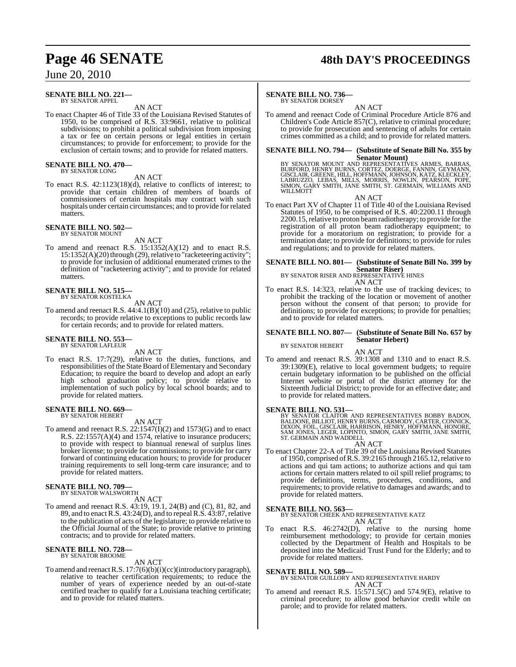#### **SENATE BILL NO. 221—** BY SENATOR APPEL

AN ACT

To enact Chapter 46 of Title 33 of the Louisiana Revised Statutes of 1950, to be comprised of R.S. 33:9661, relative to political subdivisions; to prohibit a political subdivision from imposing a tax or fee on certain persons or legal entities in certain circumstances; to provide for enforcement; to provide for the exclusion of certain towns; and to provide for related matters.

# **SENATE BILL NO. 470—** BY SENATOR LONG

AN ACT

To enact R.S. 42:1123(18)(d), relative to conflicts of interest; to provide that certain children of members of boards of commissioners of certain hospitals may contract with such hospitals under certain circumstances; and to provide for related matters.

# **SENATE BILL NO. 502—** BY SENATOR MOUNT

AN ACT

To amend and reenact R.S. 15:1352(A)(12) and to enact R.S. 15:1352(A)(20) through (29), relative to "racketeering activity"; to provide for inclusion of additional enumerated crimes to the definition of "racketeering activity"; and to provide for related matters.

#### **SENATE BILL NO. 515—** BY SENATOR KOSTELKA

AN ACT

To amend and reenact R.S. 44:4.1(B)(10) and (25), relative to public records; to provide relative to exceptions to public records law for certain records; and to provide for related matters.

#### **SENATE BILL NO. 553** BY SENATOR LAFLEUR

AN ACT

To enact R.S. 17:7(29), relative to the duties, functions, and responsibilities of the State Board of Elementary and Secondary Education; to require the board to develop and adopt an early high school graduation policy; to provide relative to implementation of such policy by local school boards; and to provide for related matters.

# **SENATE BILL NO. 669—** BY SENATOR HEBERT

AN ACT

To amend and reenact R.S. 22:1547(I)(2) and 1573(G) and to enact R.S. 22:1557(A)(4) and 1574, relative to insurance producers; to provide with respect to biannual renewal of surplus lines broker license; to provide for commissions; to provide for carry forward of continuing education hours; to provide for producer training requirements to sell long-term care insurance; and to provide for related matters.

# **SENATE BILL NO. 709—**

BY SENATOR WALSWORTH

- AN ACT
- To amend and reenact R.S. 43:19, 19.1, 24(B) and (C), 81, 82, and 89, and to enact R.S. 43:24(D), and to repeal R.S. 43:87, relative to the publication of acts of the legislature; to provide relative to the Official Journal of the State; to provide relative to printing contracts; and to provide for related matters.

#### **SENATE BILL NO. 728—** BY SENATOR BROOME

AN ACT

To amend and reenact R.S. 17:7(6)(b)(i)(cc)(introductory paragraph), relative to teacher certification requirements; to reduce the number of years of experience needed by an out-of-state certified teacher to qualify for a Louisiana teaching certificate; and to provide for related matters.

# **Page 46 SENATE 48th DAY'S PROCEEDINGS**

# **SENATE BILL NO. 736—**

BY SENATOR DORSEY

AN ACT To amend and reenact Code of Criminal Procedure Article 876 and Children's Code Article 857(C), relative to criminal procedure; to provide for prosecution and sentencing of adults for certain crimes committed as a child; and to provide for related matters.

# **SENATE BILL NO. 794— (Substitute of Senate Bill No. 355 by**

Senator Mount)<br>BURFORD, HENRY BURNS, CORTEZ, DOERGE, BARRES, BARRAS,<br>BURFORD, HENRY BURNS, CORTEZ, DOERGE, FANNIN, GEYMANN,<br>LABRUZZO, LEBAS, MILLS, MORRIS, NOWLIN, PEARSON, ROPE,<br>SIMON, GARY SMITH, JANE SMITH, ST. GERMAIN, WILLMOTT

AN ACT

To enact Part XV of Chapter 11 of Title 40 of the Louisiana Revised Statutes of 1950, to be comprised of R.S. 40:2200.11 through 2200.15, relative to proton beam radiotherapy; to provide for the registration of all proton beam radiotherapy equipment; to provide for a moratorium on registration; to provide for a termination date; to provide for definitions; to provide for rules and regulations; and to provide for related matters.

# **SENATE BILL NO. 801— (Substitute of Senate Bill No. 399 by Senator Riser)**

BY SENATOR RISER AND REPRESENTATIVE HINES

- AN ACT
- To enact R.S. 14:323, relative to the use of tracking devices; to prohibit the tracking of the location or movement of another person without the consent of that person; to provide for definitions; to provide for exceptions; to provide for penalties; and to provide for related matters.

#### **SENATE BILL NO. 807— (Substitute of Senate Bill No. 657 by Senator Hebert)** BY SENATOR HEBERT

AN ACT

To amend and reenact R.S. 39:1308 and 1310 and to enact R.S. 39:1309(E), relative to local government budgets; to require certain budgetary information to be published on the official Internet website or portal of the district attorney for the Sixteenth Judicial District; to provide for an effective date; and to provide for related matters.

SENATE BILL NO. 531—<br>BY SENATOR CLAITOR AND REPRESENTATIVES BOBBY BADON, BALLDONE, BILLIOT, HENRY BURNS, CARMODY, CARTER, CONNICK,<br>DIXON, FOIL, GISCLAIR, HARRISON, HENRY, HOFFMANN, HONORE,<br>SAM JONES, LEGER, LOPINTO, SIMON, ST. GERMAIN AND WADDELL

AN ACT To enact Chapter 22-A of Title 39 of the Louisiana Revised Statutes of 1950, comprised ofR.S. 39:2165 through 2165.12, relative to actions and qui tam actions; to authorize actions and qui tam actions for certain matters related to oil spill relief programs; to provide definitions, terms, procedures, conditions, and requirements; to provide relative to damages and awards; and to provide for related matters.

# **SENATE BILL NO. 563—**

BY SENATOR CHEEK AND REPRESENTATIVE KATZ AN ACT

To enact R.S. 46:2742(D), relative to the nursing home reimbursement methodology; to provide for certain monies collected by the Department of Health and Hospitals to be deposited into the Medicaid Trust Fund for the Elderly; and to provide for related matters.

# **SENATE BILL NO. 589—**

BY SENATOR GUILLORY AND REPRESENTATIVE HARDY AN ACT

To amend and reenact R.S. 15:571.5(C) and 574.9(E), relative to criminal procedure; to allow good behavior credit while on parole; and to provide for related matters.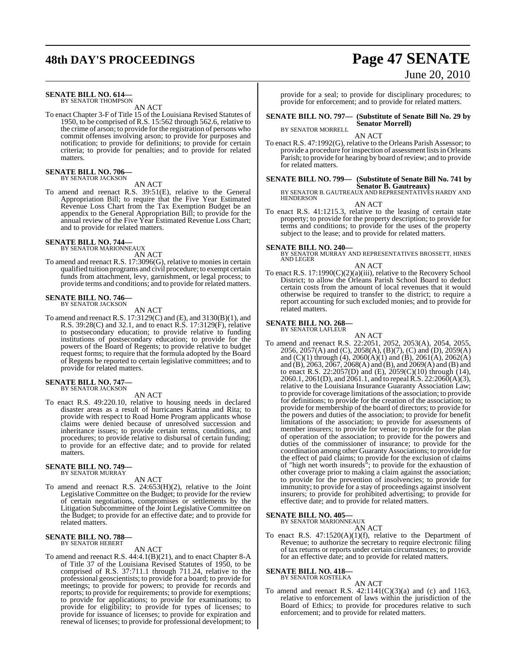# **48th DAY'S PROCEEDINGS Page 47 SENATE**

#### **SENATE BILL NO. 614—** BY SENATOR THOMPSON

AN ACT

To enact Chapter 3-F of Title 15 of the Louisiana Revised Statutes of 1950, to be comprised of R.S. 15:562 through 562.6, relative to the crime of arson; to provide for the registration of persons who commit offenses involving arson; to provide for purposes and notification; to provide for definitions; to provide for certain criteria; to provide for penalties; and to provide for related matters.

# **SENATE BILL NO. 706—** BY SENATOR JACKSON

AN ACT

To amend and reenact R.S. 39:51(E), relative to the General Appropriation Bill; to require that the Five Year Estimated Revenue Loss Chart from the Tax Exemption Budget be an appendix to the General Appropriation Bill; to provide for the annual review of the Five Year Estimated Revenue Loss Chart; and to provide for related matters.

#### **SENATE BILL NO. 744—** BY SENATOR MARIONNEAUX

AN ACT

To amend and reenact R.S. 17:3096(G), relative to monies in certain qualified tuition programs and civil procedure; to exempt certain funds from attachment, levy, garnishment, or legal process; to provide terms and conditions; and to provide for related matters.

# **SENATE BILL NO. 746—** BY SENATOR JACKSON

AN ACT

To amend and reenact R.S. 17:3129(C) and (E), and 3130(B)(1), and R.S. 39:28(C) and 32.1, and to enact R.S. 17:3129(F), relative to postsecondary education; to provide relative to funding institutions of postsecondary education; to provide for the powers of the Board of Regents; to provide relative to budget request forms; to require that the formula adopted by the Board of Regents be reported to certain legislative committees; and to provide for related matters.

#### **SENATE BILL NO. 747—** BY SENATOR JACKSON

## AN ACT

To enact R.S. 49:220.10, relative to housing needs in declared disaster areas as a result of hurricanes Katrina and Rita; to provide with respect to Road Home Program applicants whose claims were denied because of unresolved succession and inheritance issues; to provide certain terms, conditions, and procedures; to provide relative to disbursal of certain funding; to provide for an effective date; and to provide for related matters.

# **SENATE BILL NO. 749—**

BY SENATOR MURRAY

AN ACT

To amend and reenact R.S. 24:653(H)(2), relative to the Joint Legislative Committee on the Budget; to provide for the review of certain negotiations, compromises or settlements by the Litigation Subcommittee of the Joint Legislative Committee on the Budget; to provide for an effective date; and to provide for related matters.

# **SENATE BILL NO. 788—** BY SENATOR HEBERT

#### AN ACT

To amend and reenact R.S. 44:4.1(B)(21), and to enact Chapter 8-A of Title 37 of the Louisiana Revised Statutes of 1950, to be comprised of R.S. 37:711.1 through 711.24, relative to the professional geoscientists; to provide for a board; to provide for meetings; to provide for powers; to provide for records and reports; to provide for requirements; to provide for exemptions; to provide for applications; to provide for examinations; to provide for eligibility; to provide for types of licenses; to provide for issuance of licenses; to provide for expiration and renewal of licenses; to provide for professional development; to

# June 20, 2010

provide for a seal; to provide for disciplinary procedures; to provide for enforcement; and to provide for related matters.

**SENATE BILL NO. 797— (Substitute of Senate Bill No. 29 by Senator Morrell)**

BY SENATOR MORRELL AN ACT

To enact R.S. 47:1992(G), relative to the Orleans Parish Assessor; to provide a procedure for inspection of assessment listsin Orleans Parish; to provide for hearing by board of review; and to provide for related matters.

**SENATE BILL NO. 799— (Substitute of Senate Bill No. 741 by**

S**enator B. Gautreaux)**<br>BY SENATOR B. GAUTREAUX AND REPRESENTATIVES HARDY AND<br>HENDERSON AN ACT

To enact R.S. 41:1215.3, relative to the leasing of certain state property; to provide for the property description; to provide for terms and conditions; to provide for the uses of the property subject to the lease; and to provide for related matters.

**SENATE BILL NO. 240—** BY SENATOR MURRAY AND REPRESENTATIVES BROSSETT, HINES AND LEGER

### AN ACT

To enact R.S. 17:1990(C)(2)(a)(iii), relative to the Recovery School District; to allow the Orleans Parish School Board to deduct certain costs from the amount of local revenues that it would otherwise be required to transfer to the district; to require a report accounting for such excluded monies; and to provide for related matters.

# **SENATE BILL NO. 268—** BY SENATOR LAFLEUR

AN ACT

To amend and reenact R.S. 22:2051, 2052, 2053(A), 2054, 2055, 2056, 2057(A) and (C), 2058(A), (B)(7), (C) and (D), 2059(A) and (C)(1) through (4), 2060(A)(1) and (B), 2061(A), 2062(A) and (B), 2063, 2067, 2068(A) and (B), and 2069(A) and (B) and to enact R.S. 22:2057(D) and (E), 2059(C)(10) through (14), 2060.1, 2061(D), and 2061.1, and to repealR.S. 22:2060(A)(3), relative to the Louisiana Insurance Guaranty Association Law; to provide for coverage limitations ofthe association; to provide for definitions; to provide for the creation of the association; to provide for membership of the board of directors; to provide for the powers and duties of the association; to provide for benefit limitations of the association; to provide for assessments of member insurers; to provide for venue; to provide for the plan of operation of the association; to provide for the powers and duties of the commissioner of insurance; to provide for the coordination among other GuarantyAssociations; to provide for the effect of paid claims; to provide for the exclusion of claims of "high net worth insureds"; to provide for the exhaustion of other coverage prior to making a claim against the association; to provide for the prevention of insolvencies; to provide for immunity; to provide for a stay of proceedings against insolvent insurers; to provide for prohibited advertising; to provide for effective date; and to provide for related matters.

# **SENATE BILL NO. 405—**

BY SENATOR MARIONNEAUX

AN ACT

To enact R.S. 47:1520(A)(1)(f), relative to the Department of Revenue; to authorize the secretary to require electronic filing of tax returns or reports under certain circumstances; to provide for an effective date; and to provide for related matters.

**SENATE BILL NO. 418—**

BY SENATOR KOSTELKA AN ACT

To amend and reenact R.S.  $42:1141(C)(3)(a)$  and (c) and 1163, relative to enforcement of laws within the jurisdiction of the Board of Ethics; to provide for procedures relative to such enforcement; and to provide for related matters.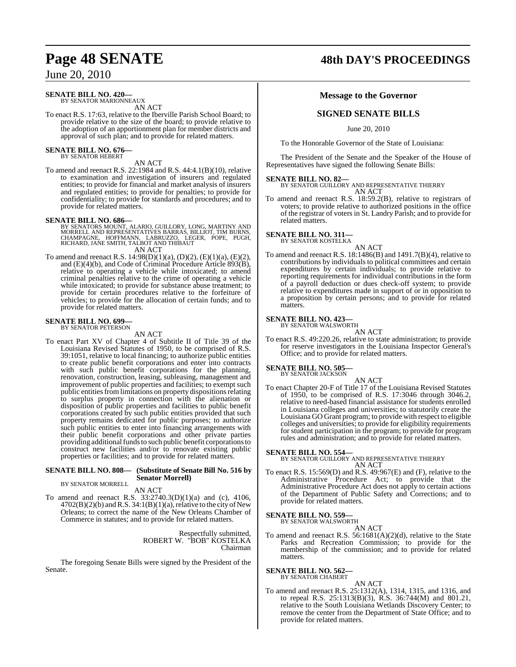# **SENATE BILL NO. 420—**

BY SENATOR MARIONNEAUX AN ACT

To enact R.S. 17:63, relative to the Iberville Parish School Board; to provide relative to the size of the board; to provide relative to the adoption of an apportionment plan for member districts and approval of such plan; and to provide for related matters.

### **SENATE BILL NO. 676—** BY SENATOR HEBERT

AN ACT

To amend and reenact R.S. 22:1984 and R.S. 44:4.1(B)(10), relative to examination and investigation of insurers and regulated entities; to provide for financial and market analysis of insurers and regulated entities; to provide for penalties; to provide for confidentiality; to provide for standards and procedures; and to provide for related matters.

- **SENATE BILL NO. 686—**<br>BY SENATORS MOUNT, ALARIO, GUILLORY, LONG, MARTINY AND RORRELL AND REPRESENTATIVES BARRAS, BILLIOT, TIM BURNS, CHAMPAGNE, HOFFMANN, LABRUZZO, LEGER, POPE, PUGH, RICHARD, JANE SMITH, TALBOT AND THIBAU
	-
- To amend and reenact R.S. 14:98(D)(1)(a), (D)(2), (E)(1)(a), (E)(2), To amend and reenact R.S. 14:98(D)(1)(a), (D)(2), (E)(1)(a), (E)(2), and (E)(4)(b), and Code of Criminal Procedure Article 893(B), relative to operating a vehicle while intoxicated; to amend criminal penalties relative to the crime of operating a vehicle while intoxicated; to provide for substance abuse treatment; to provide for certain procedures relative to the forfeiture of vehicles; to provide for the allocation of certain funds; and to provide for related matters.

#### **SENATE BILL NO. 699—** BY SENATOR PETERSON

AN ACT

To enact Part XV of Chapter 4 of Subtitle II of Title 39 of the Louisiana Revised Statutes of 1950, to be comprised of R.S. 39:1051, relative to local financing; to authorize public entities to create public benefit corporations and enter into contracts with such public benefit corporations for the planning, renovation, construction, leasing, subleasing, management and improvement of public properties and facilities; to exempt such public entities from limitations on property dispositions relating to surplus property in connection with the alienation or disposition of public properties and facilities to public benefit corporations created by such public entities provided that such property remains dedicated for public purposes; to authorize such public entities to enter into financing arrangements with their public benefit corporations and other private parties providing additional funds to such public benefit corporations to construct new facilities and/or to renovate existing public properties or facilities; and to provide for related matters.

### **SENATE BILL NO. 808— (Substitute of Senate Bill No. 516 by Senator Morrell)**

BY SENATOR MORRELL

AN ACT To amend and reenact R.S. 33:2740.3(D)(1)(a) and (c), 4106,  $4702(B)(2)(b)$  and R.S.  $34:1(B)(1)(a)$ , relative to the city of New Orleans; to correct the name of the New Orleans Chamber of Commerce in statutes; and to provide for related matters.

> Respectfully submitted, ROBERT W. "BOB" KOSTELKA Chairman

The foregoing Senate Bills were signed by the President of the Senate.

# **Page 48 SENATE 48th DAY'S PROCEEDINGS**

# **Message to the Governor**

# **SIGNED SENATE BILLS**

June 20, 2010

To the Honorable Governor of the State of Louisiana:

The President of the Senate and the Speaker of the House of Representatives have signed the following Senate Bills:

**SENATE BILL NO. 82—** BY SENATOR GUILLORY AND REPRESENTATIVE THIERRY AN ACT

To amend and reenact R.S. 18:59.2(B), relative to registrars of voters; to provide relative to authorized positions in the office of the registrar of voters in St. Landry Parish; and to provide for related matters.

# **SENATE BILL NO. 311—**

BY SENATOR KOSTELKA

AN ACT To amend and reenact R.S. 18:1486(B) and 1491.7(B)(4), relative to contributions by individuals to political committees and certain expenditures by certain individuals; to provide relative to reporting requirements for individual contributions in the form of a payroll deduction or dues check-off system; to provide relative to expenditures made in support of or in opposition to a proposition by certain persons; and to provide for related matters.

# **SENATE BILL NO. 423—**

BY SENATOR WALSWORTH

- AN ACT
- To enact R.S. 49:220.26, relative to state administration; to provide for reserve investigators in the Louisiana Inspector General's Office; and to provide for related matters.

# **SENATE BILL NO. 505—** BY SENATOR JACKSON

AN ACT To enact Chapter 20-F of Title 17 of the Louisiana Revised Statutes of 1950, to be comprised of R.S. 17:3046 through 3046.2, relative to need-based financial assistance for students enrolled in Louisiana colleges and universities; to statutorily create the Louisiana GO Grant program; to provide with respect to eligible colleges and universities; to provide for eligibility requirements for student participation in the program; to provide for program rules and administration; and to provide for related matters.

**SENATE BILL NO. 554—** BY SENATOR GUILLORY AND REPRESENTATIVE THIERRY AN ACT

To enact R.S. 15:569(D) and R.S. 49:967(E) and (F), relative to the Administrative Procedure Act; to provide that the Administrative Procedure Act does not apply to certain actions of the Department of Public Safety and Corrections; and to provide for related matters.

# **SENATE BILL NO. 559**

BY SENATOR WALSWORTH AN ACT

To amend and reenact R.S. 56:1681(A)(2)(d), relative to the State Parks and Recreation Commission; to provide for the membership of the commission; and to provide for related matters.

#### **SENATE BILL NO. 562** BY SENATOR CHABERT

AN ACT

To amend and reenact R.S. 25:1312(A), 1314, 1315, and 1316, and to repeal R.S. 25:1313(B)(3), R.S. 36:744(M) and 801.21, relative to the South Louisiana Wetlands Discovery Center; to remove the center from the Department of State Office; and to provide for related matters.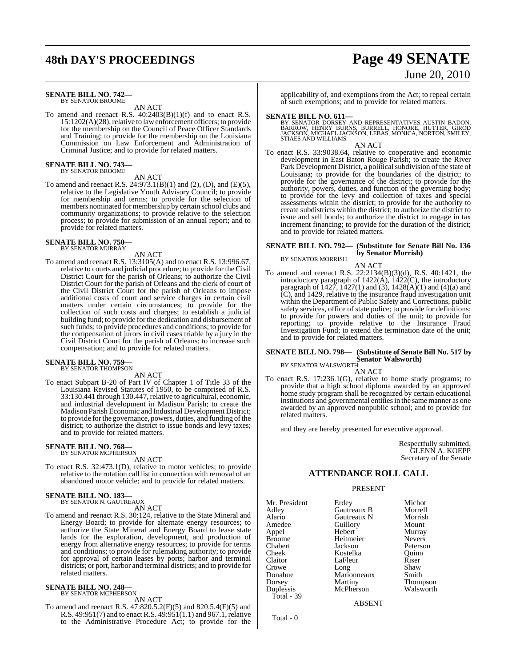#### **SENATE BILL NO. 742—** BY SENATOR BROOME

AN ACT

To amend and reenact R.S. 40:2403(B)(1)(f) and to enact R.S.  $15:1202(A)(28)$ , relative to law enforcement officers; to provide for the membership on the Council of Peace Officer Standards and Training; to provide for the membership on the Louisiana Commission on Law Enforcement and Administration of Criminal Justice; and to provide for related matters.

**SENATE BILL NO. 743—** BY SENATOR BROOME

AN ACT

To amend and reenact R.S. 24:973.1(B)(1) and (2), (D), and (E)(5), relative to the Legislative Youth Advisory Council; to provide for membership and terms; to provide for the selection of members nominated for membership by certain school clubs and community organizations; to provide relative to the selection process; to provide for submission of an annual report; and to provide for related matters.

#### **SENATE BILL NO. 750—** BY SENATOR MURRAY

AN ACT

To amend and reenact R.S. 13:3105(A) and to enact R.S. 13:996.67, relative to courts and judicial procedure; to provide for the Civil District Court for the parish of Orleans; to authorize the Civil District Court for the parish of Orleans and the clerk of court of the Civil District Court for the parish of Orleans to impose additional costs of court and service charges in certain civil matters under certain circumstances; to provide for the collection of such costs and charges; to establish a judicial building fund; to provide for the dedication and disbursement of such funds; to provide procedures and conditions; to provide for the compensation of jurors in civil cases triable by a jury in the Civil District Court for the parish of Orleans; to increase such compensation; and to provide for related matters.

# **SENATE BILL NO. 759—**

BY SENATOR THOMPSON

and to provide for related matters.

AN ACT To enact Subpart B-20 of Part IV of Chapter 1 of Title 33 of the Louisiana Revised Statutes of 1950, to be comprised of R.S. 33:130.441 through 130.447, relative to agricultural, economic, and industrial development in Madison Parish; to create the Madison Parish Economic and Industrial Development District; to provide for the governance, powers, duties, and funding of the

district; to authorize the district to issue bonds and levy taxes;

#### **SENATE BILL NO. 768—** BY SENATOR MCPHERSON

AN ACT

To enact R.S. 32:473.1(D), relative to motor vehicles; to provide relative to the rotation call list in connection with removal of an abandoned motor vehicle; and to provide for related matters.

## **SENATE BILL NO. 183—** BY SENATOR N. GAUTREAUX

AN ACT

To amend and reenact R.S. 30:124, relative to the State Mineral and Energy Board; to provide for alternate energy resources; to authorize the State Mineral and Energy Board to lease state lands for the exploration, development, and production of energy from alternative energy resources; to provide for terms and conditions; to provide for rulemaking authority; to provide for approval of certain leases by ports; harbor and terminal districts; or port, harbor and terminal districts; and to provide for related matters.

#### **SENATE BILL NO. 248—** BY SENATOR MCPHERSON

AN ACT

To amend and reenact R.S. 47:820.5.2(F)(5) and 820.5.4(F)(5) and R.S. 49:951(7) and to enact R.S. 49:951(1.1) and 967.1, relative to the Administrative Procedure Act; to provide for the

applicability of, and exemptions from the Act; to repeal certain of such exemptions; and to provide for related matters.

**SENATE BILL NO. 611—**<br>BY SENATOR DORSEY AND REPRESENTATIVES AUSTIN BADON,<br>BARROW, HENRY BURNS, BURRELL, HONORE, HUTTER, GIROD<br>JACKSON, MICHAEL JACKSON, LEBAS, MONICA, NORTON, SMILEY, STIAES AND WILLIAMS

AN ACT

To enact R.S. 33:9038.64, relative to cooperative and economic development in East Baton Rouge Parish; to create the River Park Development District, a political subdivision of the state of Louisiana; to provide for the boundaries of the district; to provide for the governance of the district; to provide for the authority, powers, duties, and function of the governing body; to provide for the levy and collection of taxes and special assessments within the district; to provide for the authority to create subdistricts within the district; to authorize the district to issue and sell bonds; to authorize the district to engage in tax increment financing; to provide for the duration of the district; and to provide for related matters.

# **SENATE BILL NO. 792— (Substitute for Senate Bill No. 136 by Senator Morrish)**

BY SENATOR MORRISH

AN ACT

To amend and reenact R.S. 22:2134(B)(3)(d), R.S. 40:1421, the introductory paragraph of 1422(A), 1422(C), the introductory paragraph of  $1427$ ,  $1427(1)$  and  $(3)$ ,  $1428(A)(1)$  and  $(4)(a)$  and (C), and 1429, relative to the insurance fraud investigation unit within the Department of Public Safety and Corrections, public safety services, office of state police; to provide for definitions; to provide for powers and duties of the unit; to provide for reporting; to provide relative to the Insurance Fraud Investigation Fund; to extend the termination date of the unit; and to provide for related matters.

# **SENATE BILL NO. 798— (Substitute of Senate Bill No. 517 by Senator Walsworth)** BY SENATOR WALSWORTH

AN ACT

To enact R.S. 17:236.1(G), relative to home study programs; to provide that a high school diploma awarded by an approved home study program shall be recognized by certain educational institutions and governmental entities in the same manner as one awarded by an approved nonpublic school; and to provide for related matters.

and they are hereby presented for executive approval.

Respectfully submitted, GLENN A. KOEPP Secretary of the Senate

# **ATTENDANCE ROLL CALL**

# PRESENT

Mr. President Erdey Michot<br>Adley Gautreaux B Morrell Adley Gautreaux B Morrell Alario Gautreaux N Morrish Appel<br>Broome Broome Heitmeier Nevers<br>
Chabert Jackson Peterso Chabert Jackson Peterson Cheek Kostelka Quinn Crowe Long Shaw Donahue Marionneaux<br>Dorsey Martiny Dorsey Martiny Thompson Total - 39

Amedeu<br>
Amedeu<br>
Amedeu<br>
Amedeu<br>
Mount<br>
Murray LaFleur Riser<br>Long Shaw McPherson

ABSENT

Total - 0

**48th DAY'S PROCEEDINGS Page 49 SENATE** June 20, 2010